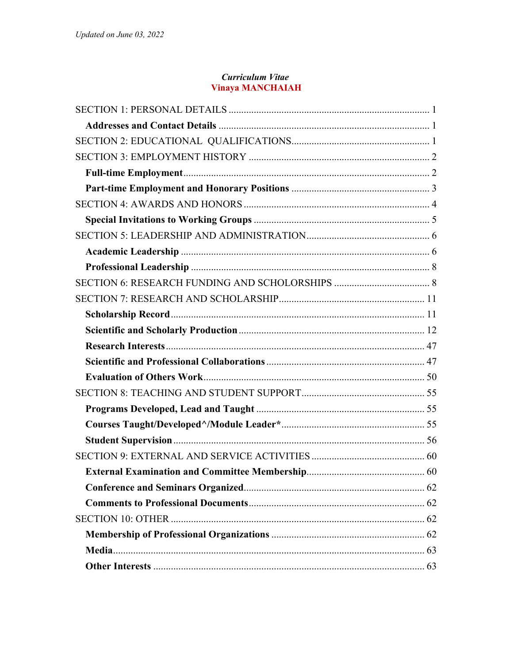### **Curriculum Vitae Vinaya MANCHAIAH**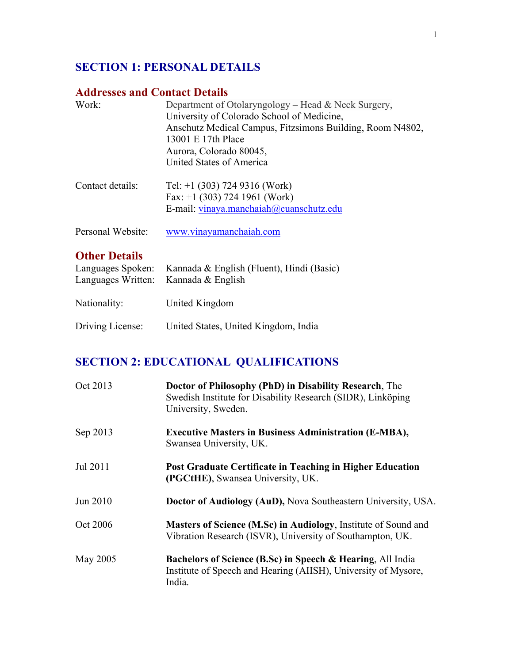## **SECTION 1: PERSONAL DETAILS**

## **Addresses and Contact Details**

| Work:             | Department of Otolaryngology – Head & Neck Surgery,       |
|-------------------|-----------------------------------------------------------|
|                   | University of Colorado School of Medicine,                |
|                   | Anschutz Medical Campus, Fitzsimons Building, Room N4802, |
|                   | 13001 E 17th Place                                        |
|                   | Aurora, Colorado 80045,                                   |
|                   | United States of America                                  |
| Contact details:  | Tel: $+1$ (303) 724 9316 (Work)                           |
|                   | Fax: $+1$ (303) 724 1961 (Work)                           |
|                   | E-mail: vinaya.manchaiah@cuanschutz.edu                   |
| Personal Website: | www.vinayamanchaiah.com                                   |

## **Other Details**

|                  | Languages Spoken: Kannada & English (Fluent), Hindi (Basic)<br>Languages Written: Kannada & English |
|------------------|-----------------------------------------------------------------------------------------------------|
| Nationality:     | United Kingdom                                                                                      |
| Driving License: | United States, United Kingdom, India                                                                |

# **SECTION 2: EDUCATIONAL QUALIFICATIONS**

| Oct 2013 | Doctor of Philosophy (PhD) in Disability Research, The<br>Swedish Institute for Disability Research (SIDR), Linköping<br>University, Sweden.      |
|----------|---------------------------------------------------------------------------------------------------------------------------------------------------|
| Sep 2013 | <b>Executive Masters in Business Administration (E-MBA),</b><br>Swansea University, UK.                                                           |
| Jul 2011 | Post Graduate Certificate in Teaching in Higher Education<br>(PGCtHE), Swansea University, UK.                                                    |
| Jun 2010 | Doctor of Audiology (AuD), Nova Southeastern University, USA.                                                                                     |
| Oct 2006 | Masters of Science (M.Sc) in Audiology, Institute of Sound and<br>Vibration Research (ISVR), University of Southampton, UK.                       |
| May 2005 | <b>Bachelors of Science (B.Sc) in Speech &amp; Hearing, All India</b><br>Institute of Speech and Hearing (AIISH), University of Mysore,<br>India. |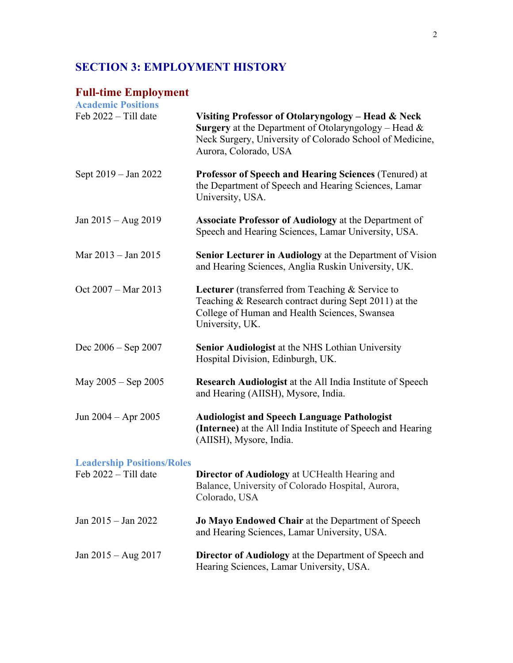## **SECTION 3: EMPLOYMENT HISTORY**

# **Full-time Employment**

| <b>Academic Positions</b>                                 |                                                                                                                                                                                                           |
|-----------------------------------------------------------|-----------------------------------------------------------------------------------------------------------------------------------------------------------------------------------------------------------|
| Feb 2022 - Till date                                      | Visiting Professor of Otolaryngology - Head & Neck<br><b>Surgery</b> at the Department of Otolaryngology – Head $\&$<br>Neck Surgery, University of Colorado School of Medicine,<br>Aurora, Colorado, USA |
| Sept 2019 – Jan 2022                                      | Professor of Speech and Hearing Sciences (Tenured) at<br>the Department of Speech and Hearing Sciences, Lamar<br>University, USA.                                                                         |
| Jan $2015 - Aug 2019$                                     | <b>Associate Professor of Audiology</b> at the Department of<br>Speech and Hearing Sciences, Lamar University, USA.                                                                                       |
| Mar 2013 – Jan 2015                                       | <b>Senior Lecturer in Audiology</b> at the Department of Vision<br>and Hearing Sciences, Anglia Ruskin University, UK.                                                                                    |
| Oct 2007 – Mar 2013                                       | Lecturer (transferred from Teaching & Service to<br>Teaching & Research contract during Sept 2011) at the<br>College of Human and Health Sciences, Swansea<br>University, UK.                             |
| Dec $2006 -$ Sep $2007$                                   | Senior Audiologist at the NHS Lothian University<br>Hospital Division, Edinburgh, UK.                                                                                                                     |
| May $2005 -$ Sep $2005$                                   | <b>Research Audiologist at the All India Institute of Speech</b><br>and Hearing (AIISH), Mysore, India.                                                                                                   |
| Jun $2004 -$ Apr $2005$                                   | <b>Audiologist and Speech Language Pathologist</b><br>(Internee) at the All India Institute of Speech and Hearing<br>(AIISH), Mysore, India.                                                              |
| <b>Leadership Positions/Roles</b><br>Feb 2022 - Till date | Director of Audiology at UCHealth Hearing and<br>Balance, University of Colorado Hospital, Aurora,<br>Colorado, USA                                                                                       |
| Jan 2015 - Jan 2022                                       | Jo Mayo Endowed Chair at the Department of Speech<br>and Hearing Sciences, Lamar University, USA.                                                                                                         |
| Jan $2015 - Aug 2017$                                     | <b>Director of Audiology</b> at the Department of Speech and<br>Hearing Sciences, Lamar University, USA.                                                                                                  |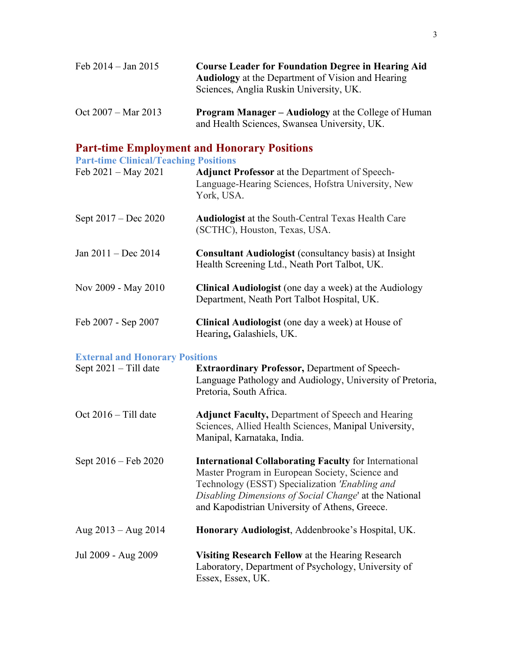| Feb 2014 – Jan 2015           | <b>Course Leader for Foundation Degree in Hearing Aid</b><br><b>Audiology</b> at the Department of Vision and Hearing<br>Sciences, Anglia Ruskin University, UK. |
|-------------------------------|------------------------------------------------------------------------------------------------------------------------------------------------------------------|
| Oct $2007 - \text{Mar } 2013$ | <b>Program Manager – Audiology</b> at the College of Human<br>and Health Sciences, Swansea University, UK.                                                       |

### **Part-time Employment and Honorary Positions**

**Part-time Clinical/Teaching Positions**

| Feb 2021 – May 2021                    | <b>Adjunct Professor</b> at the Department of Speech-<br>Language-Hearing Sciences, Hofstra University, New<br>York, USA. |
|----------------------------------------|---------------------------------------------------------------------------------------------------------------------------|
| Sept 2017 – Dec 2020                   | <b>Audiologist</b> at the South-Central Texas Health Care<br>(SCTHC), Houston, Texas, USA.                                |
| Jan 2011 – Dec 2014                    | <b>Consultant Audiologist</b> (consultancy basis) at Insight<br>Health Screening Ltd., Neath Port Talbot, UK.             |
| Nov 2009 - May 2010                    | <b>Clinical Audiologist</b> (one day a week) at the Audiology<br>Department, Neath Port Talbot Hospital, UK.              |
| Feb 2007 - Sep 2007                    | <b>Clinical Audiologist</b> (one day a week) at House of<br>Hearing, Galashiels, UK.                                      |
| <b>External and Honorary Positions</b> |                                                                                                                           |
| Sept $2021 - Till$ date                | <b>Extraordinary Professor, Department of Speech-</b><br>Language Pathology and Audiology, University of Pretoria,        |

Oct 2016 – Till date **Adjunct Faculty,** Department of Speech and Hearing Sciences, Allied Health Sciences, Manipal University, Manipal, Karnataka, India.

Pretoria, South Africa.

- Sept 2016 Feb 2020 **International Collaborating Faculty** for International Master Program in European Society, Science and Technology (ESST) Specialization *'Enabling and Disabling Dimensions of Social Change*' at the National and Kapodistrian University of Athens, Greece.
- Aug 2013 Aug 2014 **Honorary Audiologist**, Addenbrooke's Hospital, UK.
- Jul 2009 Aug 2009 **Visiting Research Fellow** at the Hearing Research Laboratory, Department of Psychology, University of Essex, Essex, UK.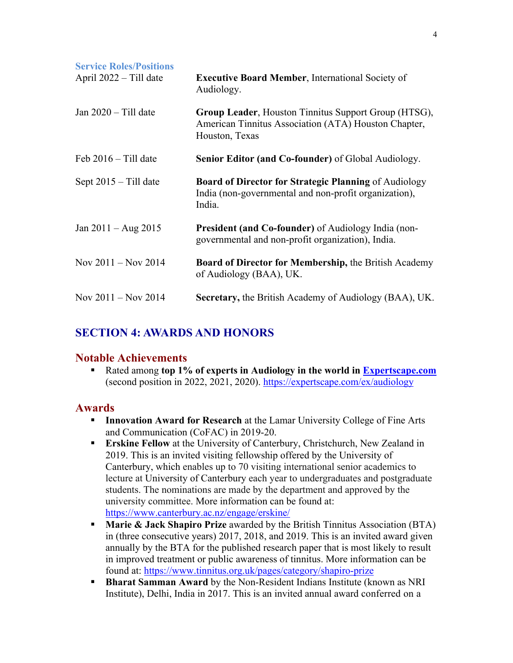| <b>Service Roles/Positions</b><br>April 2022 – Till date | <b>Executive Board Member, International Society of</b><br>Audiology.                                                           |
|----------------------------------------------------------|---------------------------------------------------------------------------------------------------------------------------------|
| Jan $2020 - Till$ date                                   | Group Leader, Houston Tinnitus Support Group (HTSG),<br>American Tinnitus Association (ATA) Houston Chapter,<br>Houston, Texas  |
| Feb $2016 -$ Till date                                   | <b>Senior Editor (and Co-founder)</b> of Global Audiology.                                                                      |
| Sept $2015 -$ Till date                                  | <b>Board of Director for Strategic Planning of Audiology</b><br>India (non-governmental and non-profit organization),<br>India. |
| Jan $2011 - \text{Aug } 2015$                            | <b>President (and Co-founder)</b> of Audiology India (non-<br>governmental and non-profit organization), India.                 |
| Nov $2011 -$ Nov $2014$                                  | <b>Board of Director for Membership, the British Academy</b><br>of Audiology (BAA), UK.                                         |
| Nov $2011 -$ Nov $2014$                                  | <b>Secretary, the British Academy of Audiology (BAA), UK.</b>                                                                   |

## **SECTION 4: AWARDS AND HONORS**

## **Notable Achievements**

§ Rated among **top 1% of experts in Audiology in the world in Expertscape.com** (second position in 2022, 2021, 2020). https://expertscape.com/ex/audiology

## **Awards**

- **Innovation Award for Research** at the Lamar University College of Fine Arts and Communication (CoFAC) in 2019-20.
- **Erskine Fellow** at the University of Canterbury, Christchurch, New Zealand in 2019. This is an invited visiting fellowship offered by the University of Canterbury, which enables up to 70 visiting international senior academics to lecture at University of Canterbury each year to undergraduates and postgraduate students. The nominations are made by the department and approved by the university committee. More information can be found at: https://www.canterbury.ac.nz/engage/erskine/
- **Marie & Jack Shapiro Prize** awarded by the British Tinnitus Association (BTA) in (three consecutive years) 2017, 2018, and 2019. This is an invited award given annually by the BTA for the published research paper that is most likely to result in improved treatment or public awareness of tinnitus. More information can be found at: https://www.tinnitus.org.uk/pages/category/shapiro-prize
- § **Bharat Samman Award** by the Non-Resident Indians Institute (known as NRI Institute), Delhi, India in 2017. This is an invited annual award conferred on a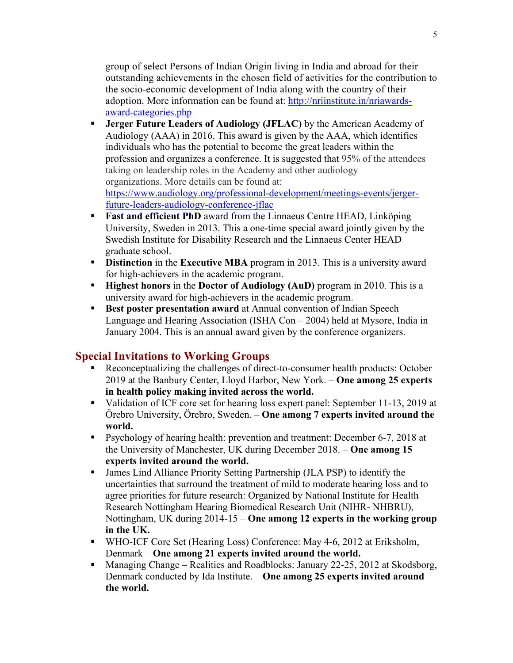group of select Persons of Indian Origin living in India and abroad for their outstanding achievements in the chosen field of activities for the contribution to the socio-economic development of India along with the country of their adoption. More information can be found at: http://nriinstitute.in/nriawardsaward-categories.php

- § **Jerger Future Leaders of Audiology (JFLAC)** by the American Academy of Audiology (AAA) in 2016. This award is given by the AAA, which identifies individuals who has the potential to become the great leaders within the profession and organizes a conference. It is suggested that 95% of the attendees taking on leadership roles in the Academy and other audiology organizations. More details can be found at: https://www.audiology.org/professional-development/meetings-events/jergerfuture-leaders-audiology-conference-jflac
- **Fast and efficient PhD** award from the Linnaeus Centre HEAD, Linköping University, Sweden in 2013. This a one-time special award jointly given by the Swedish Institute for Disability Research and the Linnaeus Center HEAD graduate school.
- **Distinction** in the **Executive MBA** program in 2013. This is a university award for high-achievers in the academic program.
- § **Highest honors** in the **Doctor of Audiology (AuD)** program in 2010. This is a university award for high-achievers in the academic program.
- **Best poster presentation award** at Annual convention of Indian Speech Language and Hearing Association (ISHA Con – 2004) held at Mysore, India in January 2004. This is an annual award given by the conference organizers.

## **Special Invitations to Working Groups**

- Reconceptualizing the challenges of direct-to-consumer health products: October 2019 at the Banbury Center, Lloyd Harbor, New York. – **One among 25 experts in health policy making invited across the world.**
- Validation of ICF core set for hearing loss expert panel: September 11-13, 2019 at Örebro University, Örebro, Sweden. – **One among 7 experts invited around the world.**
- Psychology of hearing health: prevention and treatment: December 6-7, 2018 at the University of Manchester, UK during December 2018. – **One among 15 experts invited around the world.**
- § James Lind Alliance Priority Setting Partnership (JLA PSP) to identify the uncertainties that surround the treatment of mild to moderate hearing loss and to agree priorities for future research: Organized by National Institute for Health Research Nottingham Hearing Biomedical Research Unit (NIHR- NHBRU), Nottingham, UK during 2014-15 – **One among 12 experts in the working group in the UK.**
- WHO-ICF Core Set (Hearing Loss) Conference: May 4-6, 2012 at Eriksholm, Denmark – **One among 21 experts invited around the world.**
- § Managing Change Realities and Roadblocks: January 22-25, 2012 at Skodsborg, Denmark conducted by Ida Institute. – **One among 25 experts invited around the world.**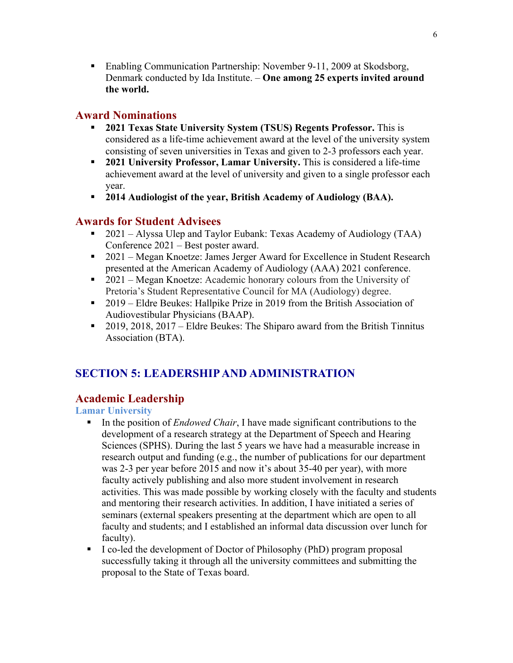■ Enabling Communication Partnership: November 9-11, 2009 at Skodsborg, Denmark conducted by Ida Institute. – **One among 25 experts invited around the world.** 

## **Award Nominations**

- § **2021 Texas State University System (TSUS) Regents Professor.** This is considered as a life-time achievement award at the level of the university system consisting of seven universities in Texas and given to 2-3 professors each year.
- § **2021 University Professor, Lamar University.** This is considered a life-time achievement award at the level of university and given to a single professor each year.
- § **2014 Audiologist of the year, British Academy of Audiology (BAA).**

## **Awards for Student Advisees**

- 2021 Alyssa Ulep and Taylor Eubank: Texas Academy of Audiology (TAA) Conference 2021 – Best poster award.
- 2021 Megan Knoetze: James Jerger Award for Excellence in Student Research presented at the American Academy of Audiology (AAA) 2021 conference.
- 2021 Megan Knoetze: Academic honorary colours from the University of Pretoria's Student Representative Council for MA (Audiology) degree.
- 2019 Eldre Beukes: Hallpike Prize in 2019 from the British Association of Audiovestibular Physicians (BAAP).
- 2019, 2018, 2017 Eldre Beukes: The Shiparo award from the British Tinnitus Association (BTA).

## **SECTION 5: LEADERSHIP AND ADMINISTRATION**

## **Academic Leadership**

**Lamar University**

- § In the position of *Endowed Chair*, I have made significant contributions to the development of a research strategy at the Department of Speech and Hearing Sciences (SPHS). During the last 5 years we have had a measurable increase in research output and funding (e.g., the number of publications for our department was 2-3 per year before 2015 and now it's about 35-40 per year), with more faculty actively publishing and also more student involvement in research activities. This was made possible by working closely with the faculty and students and mentoring their research activities. In addition, I have initiated a series of seminars (external speakers presenting at the department which are open to all faculty and students; and I established an informal data discussion over lunch for faculty).
- § I co-led the development of Doctor of Philosophy (PhD) program proposal successfully taking it through all the university committees and submitting the proposal to the State of Texas board.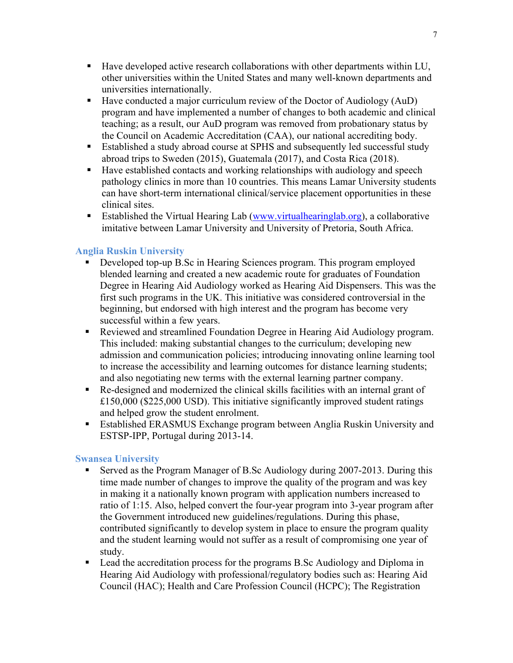- Have developed active research collaborations with other departments within LU, other universities within the United States and many well-known departments and universities internationally.
- Have conducted a major curriculum review of the Doctor of Audiology (AuD) program and have implemented a number of changes to both academic and clinical teaching; as a result, our AuD program was removed from probationary status by the Council on Academic Accreditation (CAA), our national accrediting body.
- Established a study abroad course at SPHS and subsequently led successful study abroad trips to Sweden (2015), Guatemala (2017), and Costa Rica (2018).
- Have established contacts and working relationships with audiology and speech pathology clinics in more than 10 countries. This means Lamar University students can have short-term international clinical/service placement opportunities in these clinical sites.
- § Established the Virtual Hearing Lab (www.virtualhearinglab.org), a collaborative imitative between Lamar University and University of Pretoria, South Africa.

### **Anglia Ruskin University**

- § Developed top-up B.Sc in Hearing Sciences program. This program employed blended learning and created a new academic route for graduates of Foundation Degree in Hearing Aid Audiology worked as Hearing Aid Dispensers. This was the first such programs in the UK. This initiative was considered controversial in the beginning, but endorsed with high interest and the program has become very successful within a few years.
- § Reviewed and streamlined Foundation Degree in Hearing Aid Audiology program. This included: making substantial changes to the curriculum; developing new admission and communication policies; introducing innovating online learning tool to increase the accessibility and learning outcomes for distance learning students; and also negotiating new terms with the external learning partner company.
- § Re-designed and modernized the clinical skills facilities with an internal grant of £150,000 (\$225,000 USD). This initiative significantly improved student ratings and helped grow the student enrolment.
- Established ERASMUS Exchange program between Anglia Ruskin University and ESTSP-IPP, Portugal during 2013-14.

#### **Swansea University**

- Served as the Program Manager of B.Sc Audiology during 2007-2013. During this time made number of changes to improve the quality of the program and was key in making it a nationally known program with application numbers increased to ratio of 1:15. Also, helped convert the four-year program into 3-year program after the Government introduced new guidelines/regulations. During this phase, contributed significantly to develop system in place to ensure the program quality and the student learning would not suffer as a result of compromising one year of study.
- Lead the accreditation process for the programs B.Sc Audiology and Diploma in Hearing Aid Audiology with professional/regulatory bodies such as: Hearing Aid Council (HAC); Health and Care Profession Council (HCPC); The Registration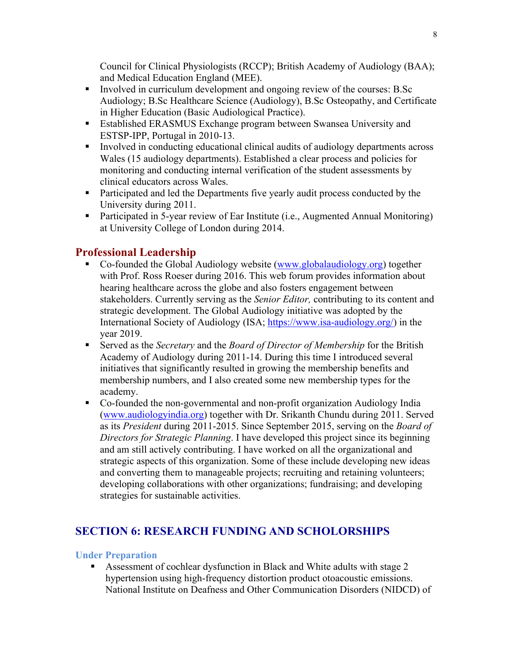Council for Clinical Physiologists (RCCP); British Academy of Audiology (BAA); and Medical Education England (MEE).

- Involved in curriculum development and ongoing review of the courses: B.Sc Audiology; B.Sc Healthcare Science (Audiology), B.Sc Osteopathy, and Certificate in Higher Education (Basic Audiological Practice).
- Established ERASMUS Exchange program between Swansea University and ESTSP-IPP, Portugal in 2010-13.
- Involved in conducting educational clinical audits of audiology departments across Wales (15 audiology departments). Established a clear process and policies for monitoring and conducting internal verification of the student assessments by clinical educators across Wales.
- Participated and led the Departments five yearly audit process conducted by the University during 2011.
- Participated in 5-year review of Ear Institute (i.e., Augmented Annual Monitoring) at University College of London during 2014.

## **Professional Leadership**

- § Co-founded the Global Audiology website (www.globalaudiology.org) together with Prof. Ross Roeser during 2016. This web forum provides information about hearing healthcare across the globe and also fosters engagement between stakeholders. Currently serving as the *Senior Editor,* contributing to its content and strategic development. The Global Audiology initiative was adopted by the International Society of Audiology (ISA; https://www.isa-audiology.org/) in the year 2019.
- Served as the *Secretary* and the *Board of Director of Membership* for the British Academy of Audiology during 2011-14. During this time I introduced several initiatives that significantly resulted in growing the membership benefits and membership numbers, and I also created some new membership types for the academy.
- § Co-founded the non-governmental and non-profit organization Audiology India (www.audiologyindia.org) together with Dr. Srikanth Chundu during 2011. Served as its *President* during 2011-2015. Since September 2015, serving on the *Board of Directors for Strategic Planning*. I have developed this project since its beginning and am still actively contributing. I have worked on all the organizational and strategic aspects of this organization. Some of these include developing new ideas and converting them to manageable projects; recruiting and retaining volunteers; developing collaborations with other organizations; fundraising; and developing strategies for sustainable activities.

## **SECTION 6: RESEARCH FUNDING AND SCHOLORSHIPS**

#### **Under Preparation**

• Assessment of cochlear dysfunction in Black and White adults with stage 2 hypertension using high-frequency distortion product otoacoustic emissions. National Institute on Deafness and Other Communication Disorders (NIDCD) of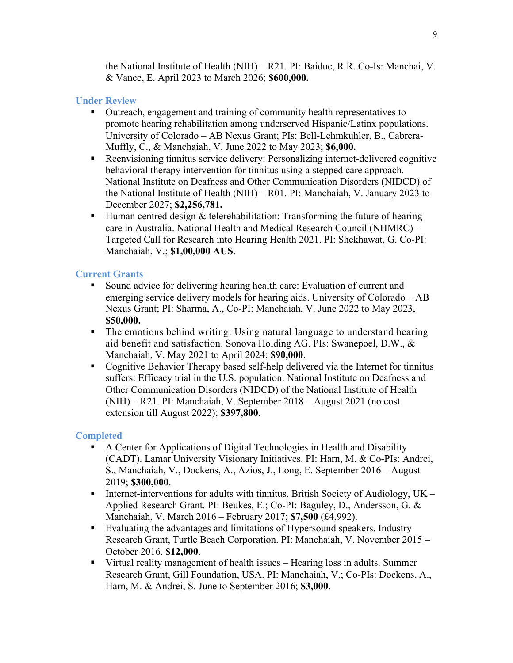the National Institute of Health (NIH) – R21. PI: Baiduc, R.R. Co-Is: Manchai, V. & Vance, E. April 2023 to March 2026; **\$600,000.**

### **Under Review**

- § Outreach, engagement and training of community health representatives to promote hearing rehabilitation among underserved Hispanic/Latinx populations. University of Colorado – AB Nexus Grant; PIs: Bell-Lehmkuhler, B., Cabrera-Muffly, C., & Manchaiah, V. June 2022 to May 2023; **\$6,000.**
- Reenvisioning tinnitus service delivery: Personalizing internet-delivered cognitive behavioral therapy intervention for tinnitus using a stepped care approach. National Institute on Deafness and Other Communication Disorders (NIDCD) of the National Institute of Health (NIH) – R01. PI: Manchaiah, V. January 2023 to December 2027; **\$2,256,781.**
- **•** Human centred design  $\&$  telerehabilitation: Transforming the future of hearing care in Australia. National Health and Medical Research Council (NHMRC) – Targeted Call for Research into Hearing Health 2021. PI: Shekhawat, G. Co-PI: Manchaiah, V.; **\$1,00,000 AUS**.

### **Current Grants**

- Sound advice for delivering hearing health care: Evaluation of current and emerging service delivery models for hearing aids. University of Colorado – AB Nexus Grant; PI: Sharma, A., Co-PI: Manchaiah, V. June 2022 to May 2023, **\$50,000.**
- The emotions behind writing: Using natural language to understand hearing aid benefit and satisfaction. Sonova Holding AG. PIs: Swanepoel, D.W., & Manchaiah, V. May 2021 to April 2024; **\$90,000**.
- Cognitive Behavior Therapy based self-help delivered via the Internet for tinnitus suffers: Efficacy trial in the U.S. population. National Institute on Deafness and Other Communication Disorders (NIDCD) of the National Institute of Health (NIH) – R21. PI: Manchaiah, V. September 2018 – August 2021 (no cost extension till August 2022); **\$397,800**.

#### **Completed**

- A Center for Applications of Digital Technologies in Health and Disability (CADT). Lamar University Visionary Initiatives. PI: Harn, M. & Co-PIs: Andrei, S., Manchaiah, V., Dockens, A., Azios, J., Long, E. September 2016 – August 2019; **\$300,000**.
- **I** Internet-interventions for adults with tinnitus. British Society of Audiology,  $UK -$ Applied Research Grant. PI: Beukes, E.; Co-PI: Baguley, D., Andersson, G. & Manchaiah, V. March 2016 – February 2017; **\$7,500** (£4,992).
- Evaluating the advantages and limitations of Hypersound speakers. Industry Research Grant, Turtle Beach Corporation. PI: Manchaiah, V. November 2015 – October 2016. **\$12,000**.
- Virtual reality management of health issues Hearing loss in adults. Summer Research Grant, Gill Foundation, USA. PI: Manchaiah, V.; Co-PIs: Dockens, A., Harn, M. & Andrei, S. June to September 2016; **\$3,000**.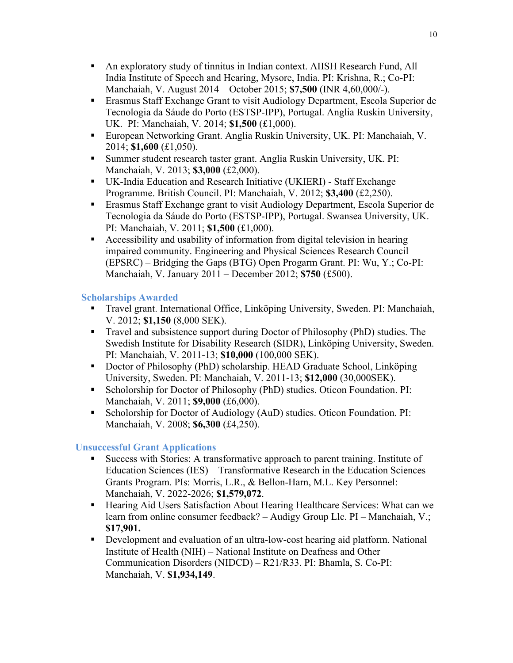- § An exploratory study of tinnitus in Indian context. AIISH Research Fund, All India Institute of Speech and Hearing, Mysore, India. PI: Krishna, R.; Co-PI: Manchaiah, V. August 2014 – October 2015; **\$7,500** (INR 4,60,000/-).
- Erasmus Staff Exchange Grant to visit Audiology Department, Escola Superior de Tecnologia da Sáude do Porto (ESTSP-IPP), Portugal. Anglia Ruskin University, UK. PI: Manchaiah, V. 2014; **\$1,500** (£1,000).
- European Networking Grant. Anglia Ruskin University, UK. PI: Manchaiah, V. 2014; **\$1,600** (£1,050).
- Summer student research taster grant. Anglia Ruskin University, UK. PI: Manchaiah, V. 2013; **\$3,000** (£2,000).
- UK-India Education and Research Initiative (UKIERI) Staff Exchange Programme. British Council. PI: Manchaiah, V. 2012; **\$3,400** (£2,250).
- § Erasmus Staff Exchange grant to visit Audiology Department, Escola Superior de Tecnologia da Sáude do Porto (ESTSP-IPP), Portugal. Swansea University, UK. PI: Manchaiah, V. 2011; **\$1,500** (£1,000).
- Accessibility and usability of information from digital television in hearing impaired community. Engineering and Physical Sciences Research Council (EPSRC) – Bridging the Gaps (BTG) Open Progarm Grant. PI: Wu, Y.; Co-PI: Manchaiah, V. January 2011 – December 2012; **\$750** (£500).

## **Scholarships Awarded**

- § Travel grant. International Office, Linköping University, Sweden. PI: Manchaiah, V. 2012; **\$1,150** (8,000 SEK).
- Travel and subsistence support during Doctor of Philosophy (PhD) studies. The Swedish Institute for Disability Research (SIDR), Linköping University, Sweden. PI: Manchaiah, V. 2011-13; **\$10,000** (100,000 SEK).
- § Doctor of Philosophy (PhD) scholarship. HEAD Graduate School, Linköping University, Sweden. PI: Manchaiah, V. 2011-13; **\$12,000** (30,000SEK).
- § Scholorship for Doctor of Philosophy (PhD) studies. Oticon Foundation. PI: Manchaiah, V. 2011; **\$9,000** (£6,000).
- Scholorship for Doctor of Audiology (AuD) studies. Oticon Foundation. PI: Manchaiah, V. 2008; **\$6,300** (£4,250).

## **Unsuccessful Grant Applications**

- § Success with Stories: A transformative approach to parent training. Institute of Education Sciences (IES) – Transformative Research in the Education Sciences Grants Program. PIs: Morris, L.R., & Bellon-Harn, M.L. Key Personnel: Manchaiah, V. 2022-2026; **\$1,579,072**.
- Hearing Aid Users Satisfaction About Hearing Healthcare Services: What can we learn from online consumer feedback? – Audigy Group Llc. PI – Manchaiah, V.; **\$17,901.**
- Development and evaluation of an ultra-low-cost hearing aid platform. National Institute of Health (NIH) – National Institute on Deafness and Other Communication Disorders (NIDCD) – R21/R33. PI: Bhamla, S. Co-PI: Manchaiah, V. **\$1,934,149**.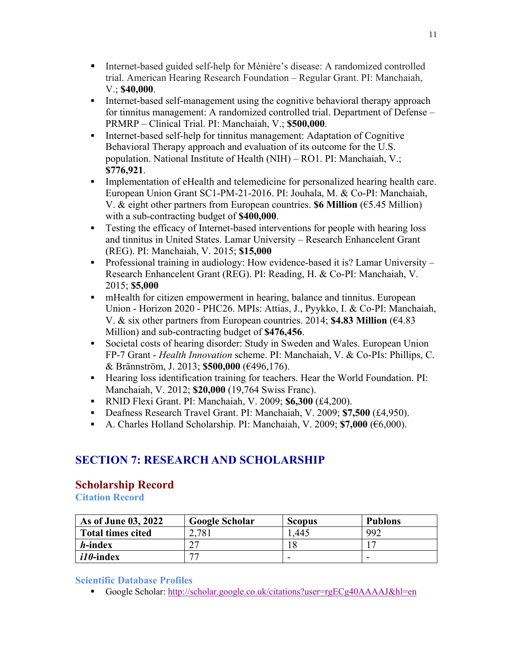- Internet-based guided self-help for Ménière's disease: A randomized controlled trial. American Hearing Research Foundation – Regular Grant. PI: Manchaiah, V.; **\$40,000**.
- § Internet-based self-management using the cognitive behavioral therapy approach for tinnitus management: A randomized controlled trial. Department of Defense – PRMRP – Clinical Trial. PI: Manchaiah, V.; **\$500,000**.
- § Internet-based self-help for tinnitus management: Adaptation of Cognitive Behavioral Therapy approach and evaluation of its outcome for the U.S. population. National Institute of Health (NIH) – RO1. PI: Manchaiah, V.; **\$776,921**.
- Implementation of eHealth and telemedicine for personalized hearing health care. European Union Grant SC1-PM-21-2016. PI: Jouhala, M. & Co-PI: Manchaiah, V. & eight other partners from European countries. **\$6 Million** (€5.45 Million) with a sub-contracting budget of **\$400,000**.
- Testing the efficacy of Internet-based interventions for people with hearing loss and tinnitus in United States. Lamar University – Research Enhancelent Grant (REG). PI: Manchaiah, V. 2015; **\$15,000**
- Professional training in audiology: How evidence-based it is? Lamar University Research Enhancelent Grant (REG). PI: Reading, H. & Co-PI: Manchaiah, V. 2015; **\$5,000**
- mHealth for citizen empowerment in hearing, balance and tinnitus. European Union - Horizon 2020 - PHC26. MPIs: Attias, J., Pyykko, I. & Co-PI: Manchaiah, V. & six other partners from European countries. 2014; **\$4.83 Million** (€4.83 Million) and sub-contracting budget of **\$476,456**.
- Societal costs of hearing disorder: Study in Sweden and Wales. European Union FP-7 Grant - *Health Innovation* scheme. PI: Manchaiah, V. & Co-PIs: Phillips, C. & Brännström, J. 2013; **\$500,000** (€496,176).
- Hearing loss identification training for teachers. Hear the World Foundation. PI: Manchaiah, V. 2012; **\$20,000** (19,764 Swiss Franc).
- § RNID Flexi Grant. PI: Manchaiah, V. 2009; **\$6,300** (£4,200).
- § Deafness Research Travel Grant. PI: Manchaiah, V. 2009; **\$7,500** (£4,950).
- § A. Charles Holland Scholarship. PI: Manchaiah, V. 2009; **\$7,000** (€6,000).

## **SECTION 7: RESEARCH AND SCHOLARSHIP**

## **Scholarship Record**

**Citation Record**

| As of June 03, 2022      | <b>Google Scholar</b> | <b>Scopus</b> | <b>Publons</b> |
|--------------------------|-----------------------|---------------|----------------|
| <b>Total times cited</b> | 2,781                 | .445          | 992            |
| <i>h</i> -index          | רי                    |               |                |
| <i>i10</i> -index        | <i>——</i>             |               | -              |

### **Scientific Database Profiles**

§ Google Scholar: http://scholar.google.co.uk/citations?user=rgECg40AAAAJ&hl=en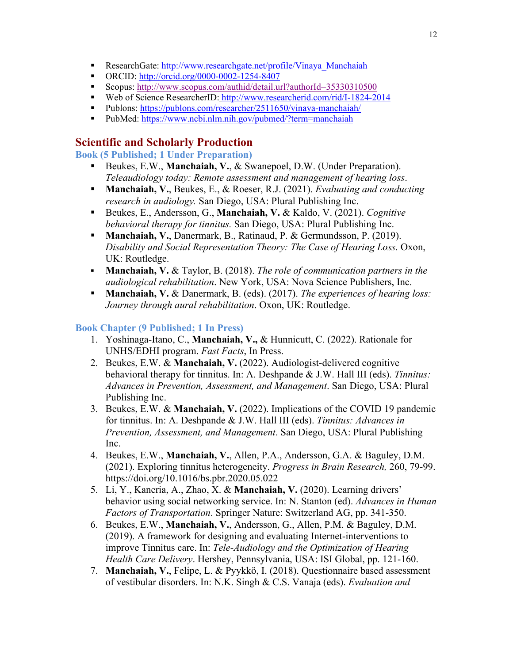- ResearchGate: http://www.researchgate.net/profile/Vinaya\_Manchaiah
- ORCID: http://orcid.org/0000-0002-1254-8407
- Scopus: http://www.scopus.com/authid/detail.url?authorId=35330310500
- Web of Science ResearcherID: http://www.researcherid.com/rid/I-1824-2014
- Publons: https://publons.com/researcher/2511650/vinaya-manchaiah/
- PubMed: https://www.ncbi.nlm.nih.gov/pubmed/?term=manchaiah

## **Scientific and Scholarly Production**

**Book (5 Published; 1 Under Preparation)**

- Beukes, E.W., **Manchaiah, V.**, & Swanepoel, D.W. (Under Preparation). *Teleaudiology today: Remote assessment and management of hearing loss*.
- § **Manchaiah, V.**, Beukes, E., & Roeser, R.J. (2021). *Evaluating and conducting research in audiology.* San Diego, USA: Plural Publishing Inc.
- Beukes, E., Andersson, G., **Manchaiah, V. & Kaldo, V. (2021).** *Cognitive behavioral therapy for tinnitus.* San Diego, USA: Plural Publishing Inc.
- **Manchaiah, V.**, Danermark, B., Ratinaud, P. & Germundsson, P. (2019). *Disability and Social Representation Theory: The Case of Hearing Loss.* Oxon, UK: Routledge.
- § **Manchaiah, V.** & Taylor, B. (2018). *The role of communication partners in the audiological rehabilitation*. New York, USA: Nova Science Publishers, Inc.
- § **Manchaiah, V.** & Danermark, B. (eds). (2017). *The experiences of hearing loss: Journey through aural rehabilitation*. Oxon, UK: Routledge.

### **Book Chapter (9 Published; 1 In Press)**

- 1. Yoshinaga-Itano, C., **Manchaiah, V.,** & Hunnicutt, C. (2022). Rationale for UNHS/EDHI program. *Fast Facts*, In Press.
- 2. Beukes, E.W. & **Manchaiah, V.** (2022). Audiologist-delivered cognitive behavioral therapy for tinnitus. In: A. Deshpande & J.W. Hall III (eds). *Tinnitus: Advances in Prevention, Assessment, and Management*. San Diego, USA: Plural Publishing Inc.
- 3. Beukes, E.W. & **Manchaiah, V.** (2022). Implications of the COVID 19 pandemic for tinnitus. In: A. Deshpande & J.W. Hall III (eds). *Tinnitus: Advances in Prevention, Assessment, and Management*. San Diego, USA: Plural Publishing Inc.
- 4. Beukes, E.W., **Manchaiah, V.**, Allen, P.A., Andersson, G.A. & Baguley, D.M. (2021). Exploring tinnitus heterogeneity. *Progress in Brain Research,* 260, 79-99. https://doi.org/10.1016/bs.pbr.2020.05.022
- 5. Li, Y., Kaneria, A., Zhao, X. & **Manchaiah, V.** (2020). Learning drivers' behavior using social networking service. In: N. Stanton (ed). *Advances in Human Factors of Transportation*. Springer Nature: Switzerland AG, pp. 341-350.
- 6. Beukes, E.W., **Manchaiah, V.**, Andersson, G., Allen, P.M. & Baguley, D.M. (2019). A framework for designing and evaluating Internet-interventions to improve Tinnitus care. In: *Tele-Audiology and the Optimization of Hearing Health Care Delivery*. Hershey, Pennsylvania, USA: ISI Global, pp. 121-160.
- 7. **Manchaiah, V.**, Felipe, L. & Pyykkö, I. (2018). Questionnaire based assessment of vestibular disorders. In: N.K. Singh & C.S. Vanaja (eds). *Evaluation and*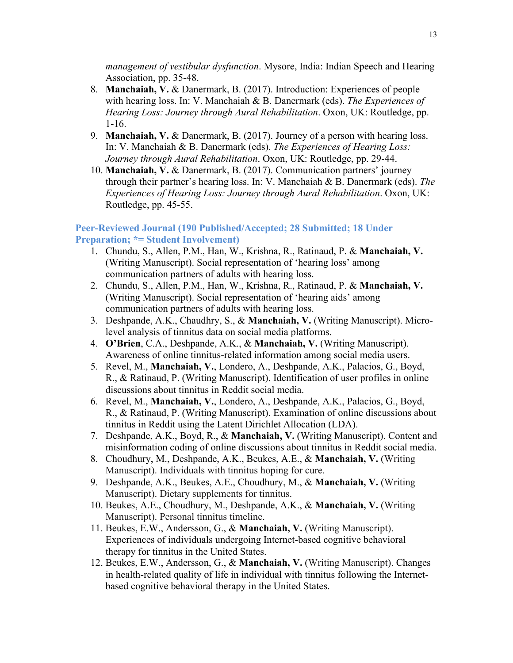*management of vestibular dysfunction*. Mysore, India: Indian Speech and Hearing Association, pp. 35-48.

- 8. **Manchaiah, V.** & Danermark, B. (2017). Introduction: Experiences of people with hearing loss. In: V. Manchaiah & B. Danermark (eds). *The Experiences of Hearing Loss: Journey through Aural Rehabilitation*. Oxon, UK: Routledge, pp. 1-16.
- 9. **Manchaiah, V.** & Danermark, B. (2017). Journey of a person with hearing loss. In: V. Manchaiah & B. Danermark (eds). *The Experiences of Hearing Loss: Journey through Aural Rehabilitation*. Oxon, UK: Routledge, pp. 29-44.
- 10. **Manchaiah, V.** & Danermark, B. (2017). Communication partners' journey through their partner's hearing loss. In: V. Manchaiah & B. Danermark (eds). *The Experiences of Hearing Loss: Journey through Aural Rehabilitation*. Oxon, UK: Routledge, pp. 45-55.

#### **Peer-Reviewed Journal (190 Published/Accepted; 28 Submitted; 18 Under Preparation; \*= Student Involvement)**

- 1. Chundu, S., Allen, P.M., Han, W., Krishna, R., Ratinaud, P. & **Manchaiah, V.** (Writing Manuscript). Social representation of 'hearing loss' among communication partners of adults with hearing loss.
- 2. Chundu, S., Allen, P.M., Han, W., Krishna, R., Ratinaud, P. & **Manchaiah, V.** (Writing Manuscript). Social representation of 'hearing aids' among communication partners of adults with hearing loss.
- 3. Deshpande, A.K., Chaudhry, S., & **Manchaiah, V.** (Writing Manuscript). Microlevel analysis of tinnitus data on social media platforms.
- 4. **O'Brien**, C.A., Deshpande, A.K., & **Manchaiah, V.** (Writing Manuscript). Awareness of online tinnitus-related information among social media users.
- 5. Revel, M., **Manchaiah, V.**, Londero, A., Deshpande, A.K., Palacios, G., Boyd, R., & Ratinaud, P. (Writing Manuscript). Identification of user profiles in online discussions about tinnitus in Reddit social media.
- 6. Revel, M., **Manchaiah, V.**, Londero, A., Deshpande, A.K., Palacios, G., Boyd, R., & Ratinaud, P. (Writing Manuscript). Examination of online discussions about tinnitus in Reddit using the Latent Dirichlet Allocation (LDA).
- 7. Deshpande, A.K., Boyd, R., & **Manchaiah, V.** (Writing Manuscript). Content and misinformation coding of online discussions about tinnitus in Reddit social media.
- 8. Choudhury, M., Deshpande, A.K., Beukes, A.E., & **Manchaiah, V.** (Writing Manuscript). Individuals with tinnitus hoping for cure.
- 9. Deshpande, A.K., Beukes, A.E., Choudhury, M., & **Manchaiah, V.** (Writing Manuscript). Dietary supplements for tinnitus.
- 10. Beukes, A.E., Choudhury, M., Deshpande, A.K., & **Manchaiah, V.** (Writing Manuscript). Personal tinnitus timeline.
- 11. Beukes, E.W., Andersson, G., & **Manchaiah, V.** (Writing Manuscript). Experiences of individuals undergoing Internet-based cognitive behavioral therapy for tinnitus in the United States.
- 12. Beukes, E.W., Andersson, G., & **Manchaiah, V.** (Writing Manuscript). Changes in health-related quality of life in individual with tinnitus following the Internetbased cognitive behavioral therapy in the United States.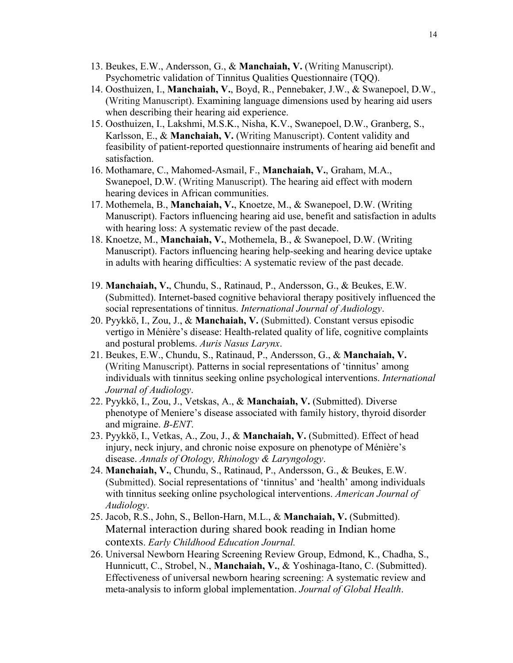- 13. Beukes, E.W., Andersson, G., & **Manchaiah, V.** (Writing Manuscript). Psychometric validation of Tinnitus Qualities Questionnaire (TQQ).
- 14. Oosthuizen, I., **Manchaiah, V.**, Boyd, R., Pennebaker, J.W., & Swanepoel, D.W., (Writing Manuscript). Examining language dimensions used by hearing aid users when describing their hearing aid experience.
- 15. Oosthuizen, I., Lakshmi, M.S.K., Nisha, K.V., Swanepoel, D.W., Granberg, S., Karlsson, E., & **Manchaiah, V.** (Writing Manuscript). Content validity and feasibility of patient-reported questionnaire instruments of hearing aid benefit and satisfaction.
- 16. Mothamare, C., Mahomed-Asmail, F., **Manchaiah, V.**, Graham, M.A., Swanepoel, D.W. (Writing Manuscript). The hearing aid effect with modern hearing devices in African communities.
- 17. Mothemela, B., **Manchaiah, V.**, Knoetze, M., & Swanepoel, D.W. (Writing Manuscript). Factors influencing hearing aid use, benefit and satisfaction in adults with hearing loss: A systematic review of the past decade.
- 18. Knoetze, M., **Manchaiah, V.**, Mothemela, B., & Swanepoel, D.W. (Writing Manuscript). Factors influencing hearing help-seeking and hearing device uptake in adults with hearing difficulties: A systematic review of the past decade.
- 19. **Manchaiah, V.**, Chundu, S., Ratinaud, P., Andersson, G., & Beukes, E.W. (Submitted). Internet-based cognitive behavioral therapy positively influenced the social representations of tinnitus. *International Journal of Audiology*.
- 20. Pyykkö, I., Zou, J., & **Manchaiah, V.** (Submitted). Constant versus episodic vertigo in Ménière's disease: Health-related quality of life, cognitive complaints and postural problems. *Auris Nasus Larynx*.
- 21. Beukes, E.W., Chundu, S., Ratinaud, P., Andersson, G., & **Manchaiah, V.** (Writing Manuscript). Patterns in social representations of 'tinnitus' among individuals with tinnitus seeking online psychological interventions. *International Journal of Audiology*.
- 22. Pyykkö, I., Zou, J., Vetskas, A., & **Manchaiah, V.** (Submitted). Diverse phenotype of Meniere's disease associated with family history, thyroid disorder and migraine. *B-ENT*.
- 23. Pyykkö, I., Vetkas, A., Zou, J., & **Manchaiah, V.** (Submitted). Effect of head injury, neck injury, and chronic noise exposure on phenotype of Ménière's disease. *Annals of Otology, Rhinology & Laryngology*.
- 24. **Manchaiah, V.**, Chundu, S., Ratinaud, P., Andersson, G., & Beukes, E.W. (Submitted). Social representations of 'tinnitus' and 'health' among individuals with tinnitus seeking online psychological interventions. *American Journal of Audiology*.
- 25. Jacob, R.S., John, S., Bellon-Harn, M.L., & **Manchaiah, V.** (Submitted). Maternal interaction during shared book reading in Indian home contexts. *Early Childhood Education Journal.*
- 26. Universal Newborn Hearing Screening Review Group, Edmond, K., Chadha, S., Hunnicutt, C., Strobel, N., **Manchaiah, V.**, & Yoshinaga-Itano, C. (Submitted). Effectiveness of universal newborn hearing screening: A systematic review and meta-analysis to inform global implementation. *Journal of Global Health*.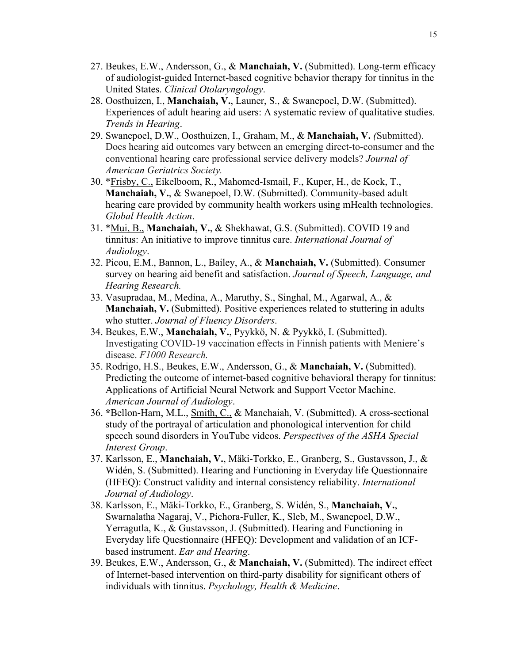- 27. Beukes, E.W., Andersson, G., & **Manchaiah, V.** (Submitted). Long-term efficacy of audiologist-guided Internet-based cognitive behavior therapy for tinnitus in the United States. *Clinical Otolaryngology*.
- 28. Oosthuizen, I., **Manchaiah, V.**, Launer, S., & Swanepoel, D.W. (Submitted). Experiences of adult hearing aid users: A systematic review of qualitative studies. *Trends in Hearing*.
- 29. Swanepoel, D.W., Oosthuizen, I., Graham, M., & **Manchaiah, V.** *(*Submitted). Does hearing aid outcomes vary between an emerging direct-to-consumer and the conventional hearing care professional service delivery models? *Journal of American Geriatrics Society.*
- 30. \*Frisby, C., Eikelboom, R., Mahomed-Ismail, F., Kuper, H., de Kock, T., **Manchaiah, V.**, & Swanepoel, D.W. (Submitted). Community-based adult hearing care provided by community health workers using mHealth technologies. *Global Health Action*.
- 31. \*Mui, B., **Manchaiah, V.**, & Shekhawat, G.S. (Submitted). COVID 19 and tinnitus: An initiative to improve tinnitus care. *International Journal of Audiology*.
- 32. Picou, E.M., Bannon, L., Bailey, A., & **Manchaiah, V.** (Submitted). Consumer survey on hearing aid benefit and satisfaction. *Journal of Speech, Language, and Hearing Research.*
- 33. Vasupradaa, M., Medina, A., Maruthy, S., Singhal, M., Agarwal, A., & **Manchaiah, V.** (Submitted). Positive experiences related to stuttering in adults who stutter. *Journal of Fluency Disorders*.
- 34. Beukes, E.W., **Manchaiah, V.**, Pyykkö, N. & Pyykkö, I. (Submitted). Investigating COVID-19 vaccination effects in Finnish patients with Meniere's disease. *F1000 Research.*
- 35. Rodrigo, H.S., Beukes, E.W., Andersson, G., & **Manchaiah, V.** (Submitted). Predicting the outcome of internet-based cognitive behavioral therapy for tinnitus: Applications of Artificial Neural Network and Support Vector Machine. *American Journal of Audiology*.
- 36. **\***Bellon-Harn, M.L., Smith, C., & Manchaiah, V. (Submitted). A cross-sectional study of the portrayal of articulation and phonological intervention for child speech sound disorders in YouTube videos. *Perspectives of the ASHA Special Interest Group*.
- 37. Karlsson, E., **Manchaiah, V.**, Mäki-Torkko, E., Granberg, S., Gustavsson, J., & Widén, S. (Submitted). Hearing and Functioning in Everyday life Questionnaire (HFEQ): Construct validity and internal consistency reliability. *International Journal of Audiology*.
- 38. Karlsson, E., Mäki-Torkko, E., Granberg, S. Widén, S., **Manchaiah, V.**, Swarnalatha Nagaraj, V., Pichora-Fuller, K., Sleb, M., Swanepoel, D.W., Yerragutla, K., & Gustavsson, J. (Submitted). Hearing and Functioning in Everyday life Questionnaire (HFEQ): Development and validation of an ICFbased instrument. *Ear and Hearing*.
- 39. Beukes, E.W., Andersson, G., & **Manchaiah, V.** (Submitted). The indirect effect of Internet-based intervention on third-party disability for significant others of individuals with tinnitus. *Psychology, Health & Medicine*.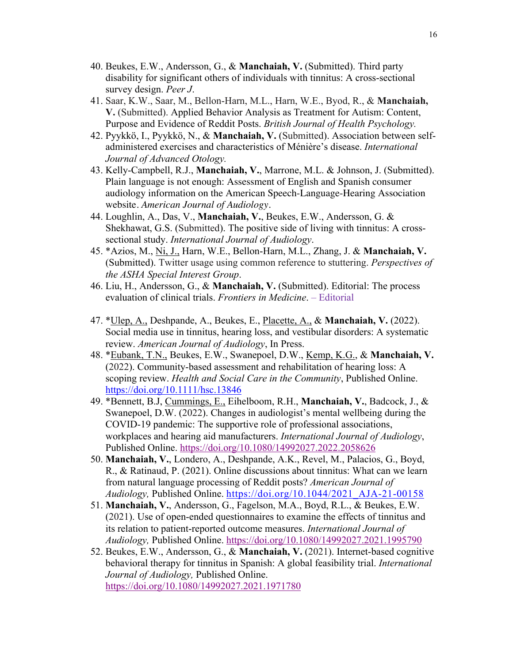- 40. Beukes, E.W., Andersson, G., & **Manchaiah, V.** (Submitted). Third party disability for significant others of individuals with tinnitus: A cross-sectional survey design. *Peer J*.
- 41. Saar, K.W., Saar, M., Bellon-Harn, M.L., Harn, W.E., Byod, R., & **Manchaiah, V.** (Submitted). Applied Behavior Analysis as Treatment for Autism: Content, Purpose and Evidence of Reddit Posts. *British Journal of Health Psychology.*
- 42. Pyykkö, I., Pyykkö, N., & **Manchaiah, V.** (Submitted). Association between selfadministered exercises and characteristics of Ménière's disease. *International Journal of Advanced Otology.*
- 43. Kelly-Campbell, R.J., **Manchaiah, V.**, Marrone, M.L. & Johnson, J. (Submitted). Plain language is not enough: Assessment of English and Spanish consumer audiology information on the American Speech-Language-Hearing Association website. *American Journal of Audiology*.
- 44. Loughlin, A., Das, V., **Manchaiah, V.**, Beukes, E.W., Andersson, G. & Shekhawat, G.S. (Submitted). The positive side of living with tinnitus: A crosssectional study. *International Journal of Audiology*.
- 45. \*Azios, M., Ni, J., Harn, W.E., Bellon-Harn, M.L., Zhang, J. & **Manchaiah, V.** (Submitted). Twitter usage using common reference to stuttering. *Perspectives of the ASHA Special Interest Group*.
- 46. Liu, H., Andersson, G., & **Manchaiah, V.** (Submitted). Editorial: The process evaluation of clinical trials. *Frontiers in Medicine*. – Editorial
- 47. \*Ulep, A., Deshpande, A., Beukes, E., Placette, A., & **Manchaiah, V.** (2022). Social media use in tinnitus, hearing loss, and vestibular disorders: A systematic review. *American Journal of Audiology*, In Press.
- 48. \*Eubank, T.N., Beukes, E.W., Swanepoel, D.W., Kemp, K.G., & **Manchaiah, V.** (2022). Community-based assessment and rehabilitation of hearing loss: A scoping review. *Health and Social Care in the Community*, Published Online. https://doi.org/10.1111/hsc.13846
- 49. \*Bennett, B.J, Cummings, E., Eihelboom, R.H., **Manchaiah, V.**, Badcock, J., & Swanepoel, D.W. (2022). Changes in audiologist's mental wellbeing during the COVID-19 pandemic: The supportive role of professional associations, workplaces and hearing aid manufacturers. *International Journal of Audiology*, Published Online. https://doi.org/10.1080/14992027.2022.2058626
- 50. **Manchaiah, V.**, Londero, A., Deshpande, A.K., Revel, M., Palacios, G., Boyd, R., & Ratinaud, P. (2021). Online discussions about tinnitus: What can we learn from natural language processing of Reddit posts? *American Journal of Audiology,* Published Online. https://doi.org/10.1044/2021\_AJA-21-00158
- 51. **Manchaiah, V.**, Andersson, G., Fagelson, M.A., Boyd, R.L., & Beukes, E.W. (2021). Use of open-ended questionnaires to examine the effects of tinnitus and its relation to patient-reported outcome measures. *International Journal of Audiology,* Published Online. https://doi.org/10.1080/14992027.2021.1995790
- 52. Beukes, E.W., Andersson, G., & **Manchaiah, V.** (2021). Internet-based cognitive behavioral therapy for tinnitus in Spanish: A global feasibility trial. *International Journal of Audiology,* Published Online. https://doi.org/10.1080/14992027.2021.1971780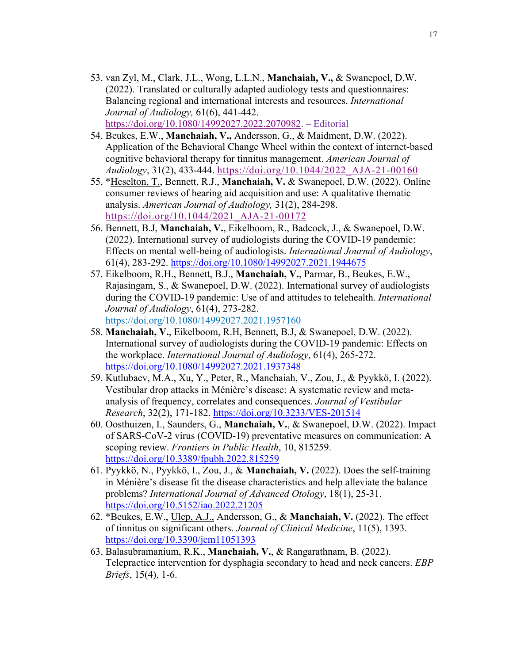- 53. van Zyl, M., Clark, J.L., Wong, L.L.N., **Manchaiah, V.,** & Swanepoel, D.W. (2022). Translated or culturally adapted audiology tests and questionnaires: Balancing regional and international interests and resources. *International Journal of Audiology,* 61(6), 441-442. https://doi.org/10.1080/14992027.2022.2070982. – Editorial
- 54. Beukes, E.W., **Manchaiah, V.,** Andersson, G., & Maidment, D.W. (2022). Application of the Behavioral Change Wheel within the context of internet-based cognitive behavioral therapy for tinnitus management. *American Journal of Audiology*, 31(2), 433-444. https://doi.org/10.1044/2022\_AJA-21-00160
- 55. \*Heselton, T., Bennett, R.J., **Manchaiah, V.** & Swanepoel, D.W. (2022). Online consumer reviews of hearing aid acquisition and use: A qualitative thematic analysis. *American Journal of Audiology,* 31(2), 284-298. https://doi.org/10.1044/2021\_AJA-21-00172
- 56. Bennett, B.J, **Manchaiah, V.**, Eikelboom, R., Badcock, J., & Swanepoel, D.W. (2022). International survey of audiologists during the COVID-19 pandemic: Effects on mental well-being of audiologists. *International Journal of Audiology*, 61(4), 283-292. https://doi.org/10.1080/14992027.2021.1944675
- 57. Eikelboom, R.H., Bennett, B.J., **Manchaiah, V.**, Parmar, B., Beukes, E.W., Rajasingam, S., & Swanepoel, D.W. (2022). International survey of audiologists during the COVID-19 pandemic: Use of and attitudes to telehealth. *International Journal of Audiology*, 61(4), 273-282. https://doi.org/10.1080/14992027.2021.1957160
- 58. **Manchaiah, V.**, Eikelboom, R.H, Bennett, B.J, & Swanepoel, D.W. (2022). International survey of audiologists during the COVID-19 pandemic: Effects on the workplace. *International Journal of Audiology*, 61(4), 265-272. https://doi.org/10.1080/14992027.2021.1937348
- 59. Kutlubaev, M.A., Xu, Y., Peter, R., Manchaiah, V., Zou, J., & Pyykkö, I. (2022). Vestibular drop attacks in Ménière's disease: A systematic review and metaanalysis of frequency, correlates and consequences. *Journal of Vestibular Research*, 32(2), 171-182. https://doi.org/10.3233/VES-201514
- 60. Oosthuizen, I., Saunders, G., **Manchaiah, V.**, & Swanepoel, D.W. (2022). Impact of SARS-CoV-2 virus (COVID-19) preventative measures on communication: A scoping review. *Frontiers in Public Health*, 10, 815259. https://doi.org/10.3389/fpubh.2022.815259
- 61. Pyykkö, N., Pyykkö, I., Zou, J., & **Manchaiah, V.** (2022). Does the self-training in Ménière's disease fit the disease characteristics and help alleviate the balance problems? *International Journal of Advanced Otology*, 18(1), 25-31. https://doi.org/10.5152/iao.2022.21205
- 62. \*Beukes, E.W., Ulep, A.J., Andersson, G., & **Manchaiah, V.** (2022). The effect of tinnitus on significant others. *Journal of Clinical Medicine*, 11(5), 1393. https://doi.org/10.3390/jcm11051393
- 63. Balasubramanium, R.K., **Manchaiah, V.**, & Rangarathnam, B. (2022). Telepractice intervention for dysphagia secondary to head and neck cancers. *EBP Briefs*, 15(4), 1-6.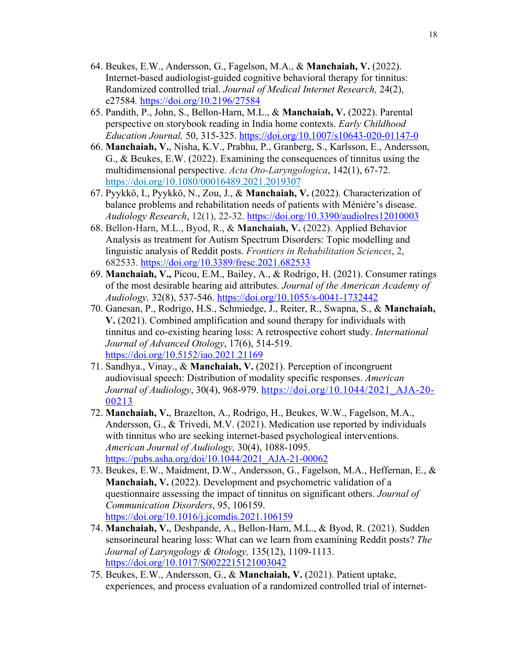- 64. Beukes, E.W., Andersson, G., Fagelson, M.A., & **Manchaiah, V.** (2022). Internet-based audiologist-guided cognitive behavioral therapy for tinnitus: Randomized controlled trial. *Journal of Medical Internet Research,* 24(2), e27584*.* https://doi.org/10.2196/27584
- 65. Pandith, P., John, S., Bellon-Harn, M.L., & **Manchaiah, V.** (2022). Parental perspective on storybook reading in India home contexts. *Early Childhood Education Journal,* 50, 315-325. https://doi.org/10.1007/s10643-020-01147-0
- 66. **Manchaiah, V.**, Nisha, K.V., Prabhu, P., Granberg, S., Karlsson, E., Andersson, G., & Beukes, E.W. (2022). Examining the consequences of tinnitus using the multidimensional perspective. *Acta Oto-Laryngologica*, 142(1), 67-72. https://doi.org/10.1080/00016489.2021.2019307
- 67. Pyykkö, I., Pyykkö, N., Zou, J., & **Manchaiah, V.** (2022). Characterization of balance problems and rehabilitation needs of patients with Ménière's disease. *Audiology Research*, 12(1), 22-32. https://doi.org/10.3390/audiolres12010003
- 68. Bellon-Harn, M.L., Byod, R., & **Manchaiah, V.** (2022). Applied Behavior Analysis as treatment for Autism Spectrum Disorders: Topic modelling and linguistic analysis of Reddit posts. *Frontiers in Rehabilitation Sciences*, 2, 682533. https://doi.org/10.3389/fresc.2021.682533
- 69. **Manchaiah, V.,** Picou, E.M., Bailey, A., & Rodrigo, H. (2021). Consumer ratings of the most desirable hearing aid attributes. *Journal of the American Academy of Audiology,* 32(8), 537-546. https://doi.org/10.1055/s-0041-1732442
- 70. Ganesan, P., Rodrigo, H.S., Schmiedge, J., Reiter, R., Swapna, S., & **Manchaiah, V.** (2021). Combined amplification and sound therapy for individuals with tinnitus and co-existing hearing loss: A retrospective cohort study. *International Journal of Advanced Otology*, 17(6), 514-519. https://doi.org/10.5152/iao.2021.21169
- 71. Sandhya., Vinay., & **Manchaiah, V.** (2021). Perception of incongruent audiovisual speech: Distribution of modality specific responses. *American Journal of Audiology*, 30(4), 968-979. https://doi.org/10.1044/2021\_AJA-20- 00213
- 72. **Manchaiah, V.**, Brazelton, A., Rodrigo, H., Beukes, W.W., Fagelson, M.A., Andersson, G., & Trivedi, M.V. (2021). Medication use reported by individuals with tinnitus who are seeking internet-based psychological interventions. *American Journal of Audiology,* 30(4), 1088-1095. https://pubs.asha.org/doi/10.1044/2021\_AJA-21-00062
- 73. Beukes, E.W., Maidment, D.W., Andersson, G., Fagelson, M.A., Heffernan, E., & **Manchaiah, V.** (2022). Development and psychometric validation of a questionnaire assessing the impact of tinnitus on significant others. *Journal of Communication Disorders*, 95, 106159. https://doi.org/10.1016/j.jcomdis.2021.106159
- 74. **Manchaiah, V.**, Deshpande, A., Bellon-Harn, M.L., & Byod, R. (2021). Sudden sensorineural hearing loss: What can we learn from examining Reddit posts? *The Journal of Laryngology & Otology,* 135(12), 1109-1113. https://doi.org/10.1017/S0022215121003042
- 75. Beukes, E.W., Andersson, G., & **Manchaiah, V.** (2021). Patient uptake, experiences, and process evaluation of a randomized controlled trial of internet-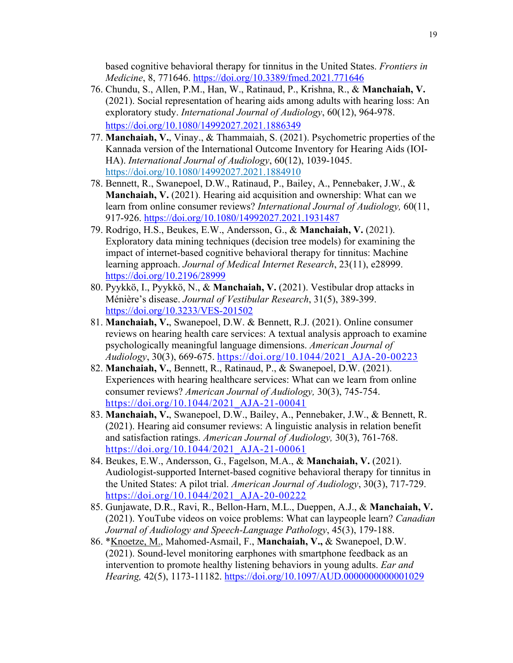based cognitive behavioral therapy for tinnitus in the United States. *Frontiers in Medicine*, 8, 771646. https://doi.org/10.3389/fmed.2021.771646

- 76. Chundu, S., Allen, P.M., Han, W., Ratinaud, P., Krishna, R., & **Manchaiah, V.** (2021). Social representation of hearing aids among adults with hearing loss: An exploratory study. *International Journal of Audiology*, 60(12), 964-978. https://doi.org/10.1080/14992027.2021.1886349
- 77. **Manchaiah, V.**, Vinay., & Thammaiah, S. (2021). Psychometric properties of the Kannada version of the International Outcome Inventory for Hearing Aids (IOI-HA). *International Journal of Audiology*, 60(12), 1039-1045. https://doi.org/10.1080/14992027.2021.1884910
- 78. Bennett, R., Swanepoel, D.W., Ratinaud, P., Bailey, A., Pennebaker, J.W., & **Manchaiah, V.** (2021). Hearing aid acquisition and ownership: What can we learn from online consumer reviews? *International Journal of Audiology,* 60(11, 917-926. https://doi.org/10.1080/14992027.2021.1931487
- 79. Rodrigo, H.S., Beukes, E.W., Andersson, G., & **Manchaiah, V.** (2021). Exploratory data mining techniques (decision tree models) for examining the impact of internet-based cognitive behavioral therapy for tinnitus: Machine learning approach. *Journal of Medical Internet Research*, 23(11), e28999. https://doi.org/10.2196/28999
- 80. Pyykkö, I., Pyykkö, N., & **Manchaiah, V.** (2021). Vestibular drop attacks in Ménière's disease. *Journal of Vestibular Research*, 31(5), 389-399. https://doi.org/10.3233/VES-201502
- 81. **Manchaiah, V.**, Swanepoel, D.W. & Bennett, R.J. (2021). Online consumer reviews on hearing health care services: A textual analysis approach to examine psychologically meaningful language dimensions. *American Journal of Audiology*, 30(3), 669-675. https://doi.org/10.1044/2021\_AJA-20-00223
- 82. **Manchaiah, V.**, Bennett, R., Ratinaud, P., & Swanepoel, D.W. (2021). Experiences with hearing healthcare services: What can we learn from online consumer reviews? *American Journal of Audiology,* 30(3), 745-754. https://doi.org/10.1044/2021\_AJA-21-00041
- 83. **Manchaiah, V.**, Swanepoel, D.W., Bailey, A., Pennebaker, J.W., & Bennett, R. (2021). Hearing aid consumer reviews: A linguistic analysis in relation benefit and satisfaction ratings. *American Journal of Audiology,* 30(3), 761-768. https://doi.org/10.1044/2021\_AJA-21-00061
- 84. Beukes, E.W., Andersson, G., Fagelson, M.A., & **Manchaiah, V.** (2021). Audiologist-supported Internet-based cognitive behavioral therapy for tinnitus in the United States: A pilot trial. *American Journal of Audiology*, 30(3), 717-729. https://doi.org/10.1044/2021\_AJA-20-00222
- 85. Gunjawate, D.R., Ravi, R., Bellon-Harn, M.L., Dueppen, A.J., & **Manchaiah, V.** (2021). YouTube videos on voice problems: What can laypeople learn? *Canadian Journal of Audiology and Speech-Language Pathology*, 45(3), 179-188.
- 86. \*Knoetze, M., Mahomed-Asmail, F., **Manchaiah, V.,** & Swanepoel, D.W. (2021). Sound-level monitoring earphones with smartphone feedback as an intervention to promote healthy listening behaviors in young adults. *Ear and Hearing,* 42(5), 1173-11182. https://doi.org/10.1097/AUD.0000000000001029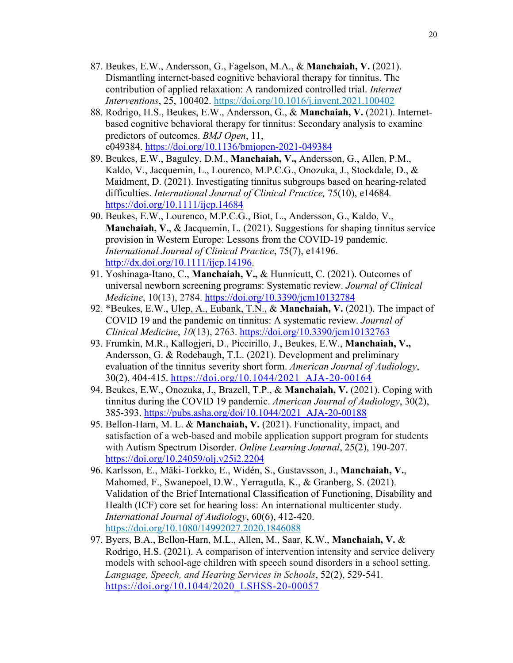- 87. Beukes, E.W., Andersson, G., Fagelson, M.A., & **Manchaiah, V.** (2021). Dismantling internet-based cognitive behavioral therapy for tinnitus. The contribution of applied relaxation: A randomized controlled trial. *Internet Interventions*, 25, 100402. https://doi.org/10.1016/j.invent.2021.100402
- 88. Rodrigo, H.S., Beukes, E.W., Andersson, G., & **Manchaiah, V.** (2021). Internetbased cognitive behavioral therapy for tinnitus: Secondary analysis to examine predictors of outcomes. *BMJ Open*, 11, e049384. https://doi.org/10.1136/bmjopen-2021-049384
- 89. Beukes, E.W., Baguley, D.M., **Manchaiah, V.,** Andersson, G., Allen, P.M., Kaldo, V., Jacquemin, L., Lourenco, M.P.C.G., Onozuka, J., Stockdale, D., & Maidment, D. (2021). Investigating tinnitus subgroups based on hearing-related difficulties. *International Journal of Clinical Practice,* 75(10), e14684*.*  https://doi.org/10.1111/ijcp.14684
- 90. Beukes, E.W., Lourenco, M.P.C.G., Biot, L., Andersson, G., Kaldo, V., **Manchaiah, V.**, & Jacquemin, L. (2021). Suggestions for shaping tinnitus service provision in Western Europe: Lessons from the COVID-19 pandemic. *International Journal of Clinical Practice*, 75(7), e14196. http://dx.doi.org/10.1111/ijcp.14196.
- 91. Yoshinaga-Itano, C., **Manchaiah, V.,** & Hunnicutt, C. (2021). Outcomes of universal newborn screening programs: Systematic review. *Journal of Clinical Medicine*, 10(13), 2784. https://doi.org/10.3390/jcm10132784
- 92. \*Beukes, E.W., Ulep, A., Eubank, T.N., & **Manchaiah, V.** (2021). The impact of COVID 19 and the pandemic on tinnitus: A systematic review. *Journal of Clinical Medicine*, *10*(13), 2763. https://doi.org/10.3390/jcm10132763
- 93. Frumkin, M.R., Kallogjeri, D., Piccirillo, J., Beukes, E.W., **Manchaiah, V.,** Andersson, G. & Rodebaugh, T.L. (2021). Development and preliminary evaluation of the tinnitus severity short form. *American Journal of Audiology*, 30(2), 404-415. https://doi.org/10.1044/2021\_AJA-20-00164
- 94. Beukes, E.W., Onozuka, J., Brazell, T.P., & **Manchaiah, V.** (2021). Coping with tinnitus during the COVID 19 pandemic. *American Journal of Audiology*, 30(2), 385-393. https://pubs.asha.org/doi/10.1044/2021\_AJA-20-00188
- 95. Bellon-Harn, M. L. & **Manchaiah, V.** (2021). Functionality, impact, and satisfaction of a web-based and mobile application support program for students with Autism Spectrum Disorder. *Online Learning Journal*, 25(2), 190-207. https://doi.org/10.24059/olj.v25i2.2204
- 96. Karlsson, E., Mäki-Torkko, E., Widén, S., Gustavsson, J., **Manchaiah, V.**, Mahomed, F., Swanepoel, D.W., Yerragutla, K., & Granberg, S. (2021). Validation of the Brief International Classification of Functioning, Disability and Health (ICF) core set for hearing loss: An international multicenter study. *International Journal of Audiology*, 60(6), 412-420. https://doi.org/10.1080/14992027.2020.1846088
- 97. Byers, B.A., Bellon-Harn, M.L., Allen, M., Saar, K.W., **Manchaiah, V.** & Rodrigo, H.S. (2021). A comparison of intervention intensity and service delivery models with school-age children with speech sound disorders in a school setting. *Language, Speech, and Hearing Services in Schools*, 52(2), 529-541. https://doi.org/10.1044/2020\_LSHSS-20-00057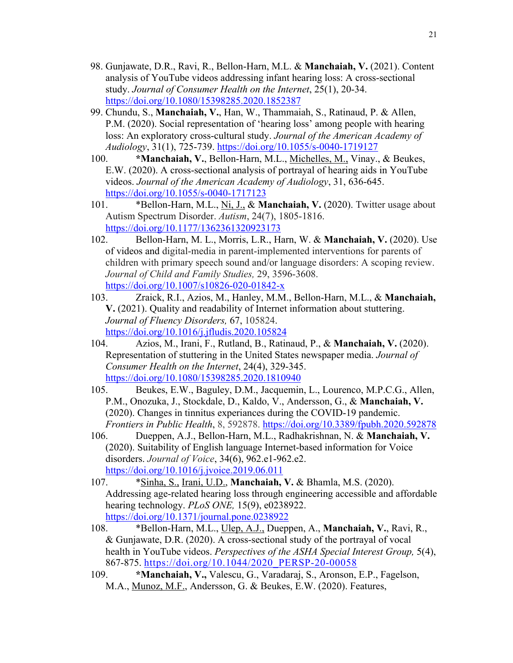- 98. Gunjawate, D.R., Ravi, R., Bellon-Harn, M.L. & **Manchaiah, V.** (2021). Content analysis of YouTube videos addressing infant hearing loss: A cross-sectional study. *Journal of Consumer Health on the Internet*, 25(1), 20-34. https://doi.org/10.1080/15398285.2020.1852387
- 99. Chundu, S., **Manchaiah, V.**, Han, W., Thammaiah, S., Ratinaud, P. & Allen, P.M. (2020). Social representation of 'hearing loss' among people with hearing loss: An exploratory cross-cultural study. *Journal of the American Academy of Audiology*, 31(1), 725-739. https://doi.org/10.1055/s-0040-1719127
- 100. **\*Manchaiah, V.**, Bellon-Harn, M.L., Michelles, M., Vinay., & Beukes, E.W. (2020). A cross-sectional analysis of portrayal of hearing aids in YouTube videos. *Journal of the American Academy of Audiology*, 31, 636-645. https://doi.org/10.1055/s-0040-1717123
- 101. \*Bellon-Harn, M.L., Ni, J., & **Manchaiah, V.** (2020). Twitter usage about Autism Spectrum Disorder. *Autism*, 24(7), 1805-1816. https://doi.org/10.1177/1362361320923173
- 102. Bellon-Harn, M. L., Morris, L.R., Harn, W. & **Manchaiah, V.** (2020). Use of videos and digital-media in parent-implemented interventions for parents of children with primary speech sound and/or language disorders: A scoping review. *Journal of Child and Family Studies,* 29, 3596-3608. https://doi.org/10.1007/s10826-020-01842-x
- 103. Zraick, R.I., Azios, M., Hanley, M.M., Bellon-Harn, M.L., & **Manchaiah, V.** (2021). Quality and readability of Internet information about stuttering. *Journal of Fluency Disorders,* 67, 105824. https://doi.org/10.1016/j.jfludis.2020.105824
- 104. Azios, M., Irani, F., Rutland, B., Ratinaud, P., & **Manchaiah, V.** (2020). Representation of stuttering in the United States newspaper media. *Journal of Consumer Health on the Internet*, 24(4), 329-345. https://doi.org/10.1080/15398285.2020.1810940
- 105. Beukes, E.W., Baguley, D.M., Jacquemin, L., Lourenco, M.P.C.G., Allen, P.M., Onozuka, J., Stockdale, D., Kaldo, V., Andersson, G., & **Manchaiah, V.**  (2020). Changes in tinnitus experiances during the COVID-19 pandemic. *Frontiers in Public Health*, 8, 592878. https://doi.org/10.3389/fpubh.2020.592878
- 106. Dueppen, A.J., Bellon-Harn, M.L., Radhakrishnan, N. & **Manchaiah, V.** (2020). Suitability of English language Internet-based information for Voice disorders. *Journal of Voice*, 34(6), 962.e1-962.e2. https://doi.org/10.1016/j.jvoice.2019.06.011
- 107. \*Sinha, S., Irani, U.D., **Manchaiah, V.** & Bhamla, M.S. (2020). Addressing age-related hearing loss through engineering accessible and affordable hearing technology. *PLoS ONE,* 15(9), e0238922. https://doi.org/10.1371/journal.pone.0238922
- 108. \*Bellon-Harn, M.L., Ulep, A.J., Dueppen, A., **Manchaiah, V.**, Ravi, R., & Gunjawate, D.R. (2020). A cross-sectional study of the portrayal of vocal health in YouTube videos. *Perspectives of the ASHA Special Interest Group,* 5(4), 867-875. https://doi.org/10.1044/2020\_PERSP-20-00058
- 109. **\*Manchaiah, V.,** Valescu, G., Varadaraj, S., Aronson, E.P., Fagelson, M.A., Munoz, M.F., Andersson, G. & Beukes, E.W. (2020). Features,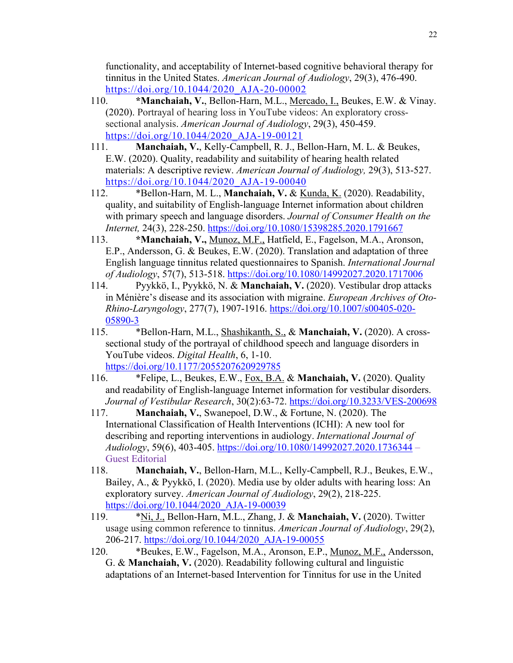functionality, and acceptability of Internet-based cognitive behavioral therapy for tinnitus in the United States. *American Journal of Audiology*, 29(3), 476-490. https://doi.org/10.1044/2020\_AJA-20-00002

- 110. **\*Manchaiah, V.**, Bellon-Harn, M.L., Mercado, I., Beukes, E.W. & Vinay. (2020). Portrayal of hearing loss in YouTube videos: An exploratory crosssectional analysis. *American Journal of Audiology*, 29(3), 450-459. https://doi.org/10.1044/2020\_AJA-19-00121
- 111. **Manchaiah, V.**, Kelly-Campbell, R. J., Bellon-Harn, M. L. & Beukes, E.W. (2020). Quality, readability and suitability of hearing health related materials: A descriptive review. *American Journal of Audiology,* 29(3), 513-527. https://doi.org/10.1044/2020\_AJA-19-00040
- 112. \*Bellon-Harn, M. L., **Manchaiah, V.** & Kunda, K. (2020). Readability, quality, and suitability of English-language Internet information about children with primary speech and language disorders. *Journal of Consumer Health on the Internet,* 24(3), 228-250. https://doi.org/10.1080/15398285.2020.1791667
- 113. **\*Manchaiah, V.,** Munoz, M.F., Hatfield, E., Fagelson, M.A., Aronson, E.P., Andersson, G. & Beukes, E.W. (2020). Translation and adaptation of three English language tinnitus related questionnaires to Spanish. *International Journal of Audiology*, 57(7), 513-518. https://doi.org/10.1080/14992027.2020.1717006
- 114. Pyykkö, I., Pyykkö, N. & **Manchaiah, V.** (2020). Vestibular drop attacks in Ménière's disease and its association with migraine. *European Archives of Oto-Rhino-Laryngology*, 277(7), 1907-1916. https://doi.org/10.1007/s00405-020- 05890-3
- 115. \*Bellon-Harn, M.L., Shashikanth, S., & **Manchaiah, V.** (2020). A crosssectional study of the portrayal of childhood speech and language disorders in YouTube videos. *Digital Health*, 6, 1-10. https://doi.org/10.1177/2055207620929785
- 116. \*Felipe, L., Beukes, E.W., Fox, B.A. & **Manchaiah, V.** (2020). Quality and readability of English-language Internet information for vestibular disorders. *Journal of Vestibular Research*, 30(2):63-72. https://doi.org/10.3233/VES-200698
- 117. **Manchaiah, V.**, Swanepoel, D.W., & Fortune, N. (2020). The International Classification of Health Interventions (ICHI): A new tool for describing and reporting interventions in audiology. *International Journal of Audiology*, 59(6), 403-405. https://doi.org/10.1080/14992027.2020.1736344 – Guest Editorial
- 118. **Manchaiah, V.**, Bellon-Harn, M.L., Kelly-Campbell, R.J., Beukes, E.W., Bailey, A., & Pyykkö, I. (2020). Media use by older adults with hearing loss: An exploratory survey. *American Journal of Audiology*, 29(2), 218-225. https://doi.org/10.1044/2020\_AJA-19-00039
- 119. \*Ni, J., Bellon-Harn, M.L., Zhang, J. & **Manchaiah, V.** (2020). Twitter usage using common reference to tinnitus. *American Journal of Audiology*, 29(2), 206-217. https://doi.org/10.1044/2020\_AJA-19-00055
- 120. \*Beukes, E.W., Fagelson, M.A., Aronson, E.P., Munoz, M.F., Andersson, G. & **Manchaiah, V.** (2020). Readability following cultural and linguistic adaptations of an Internet-based Intervention for Tinnitus for use in the United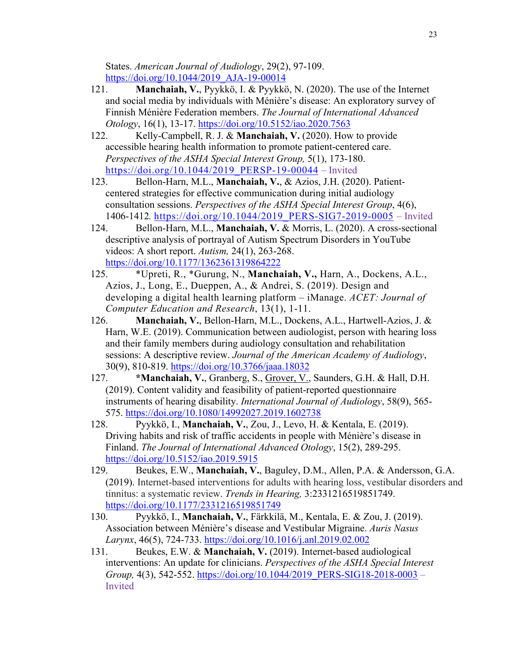States. *American Journal of Audiology*, 29(2), 97-109. https://doi.org/10.1044/2019\_AJA-19-00014

- 121. **Manchaiah, V.**, Pyykkö, I. & Pyykkö, N. (2020). The use of the Internet and social media by individuals with Ménière's disease: An exploratory survey of Finnish Ménière Federation members. *The Journal of International Advanced Otology*, 16(1), 13-17. https://doi.org/10.5152/iao.2020.7563
- 122. Kelly-Campbell, R. J. & **Manchaiah, V.** (2020). How to provide accessible hearing health information to promote patient-centered care. *Perspectives of the ASHA Special Interest Group,* 5(1), 173-180. https://doi.org/10.1044/2019\_PERSP-19-00044 – Invited
- 123. Bellon-Harn, M.L., **Manchaiah, V.**, & Azios, J.H. (2020). Patientcentered strategies for effective communication during initial audiology consultation sessions. *Perspectives of the ASHA Special Interest Group*, 4(6), 1406-1412*.* https://doi.org/10.1044/2019\_PERS-SIG7-2019-0005 – Invited
- 124. Bellon-Harn, M.L., **Manchaiah, V.** & Morris, L. (2020). A cross-sectional descriptive analysis of portrayal of Autism Spectrum Disorders in YouTube videos: A short report. *Autism,* 24(1), 263-268. https://doi.org/10.1177/1362361319864222
- 125. \*Upreti, R., \*Gurung, N., **Manchaiah, V.,** Harn, A., Dockens, A.L., Azios, J., Long, E., Dueppen, A., & Andrei, S. (2019). Design and developing a digital health learning platform – iManage. *ACET: Journal of Computer Education and Research*, 13(1), 1-11.
- 126. **Manchaiah, V.**, Bellon-Harn, M.L., Dockens, A.L., Hartwell-Azios, J. & Harn, W.E. (2019). Communication between audiologist, person with hearing loss and their family members during audiology consultation and rehabilitation sessions: A descriptive review. *Journal of the American Academy of Audiology*, 30(9), 810-819. https://doi.org/10.3766/jaaa.18032
- 127. **\*Manchaiah, V.**, Granberg, S., Grover, V., Saunders, G.H. & Hall, D.H. (2019). Content validity and feasibility of patient-reported questionnaire instruments of hearing disability. *International Journal of Audiology*, 58(9), 565- 575. https://doi.org/10.1080/14992027.2019.1602738
- 128. Pyykkö, I., **Manchaiah, V.**, Zou, J., Levo, H. & Kentala, E. (2019). Driving habits and risk of traffic accidents in people with Ménière's disease in Finland. *The Journal of International Advanced Otology*, 15(2), 289-295. https://doi.org/10.5152/iao.2019.5915
- 129. Beukes, E.W., **Manchaiah, V.**, Baguley, D.M., Allen, P.A. & Andersson, G.A. (2019). Internet-based interventions for adults with hearing loss, vestibular disorders and tinnitus: a systematic review. *Trends in Hearing,* 3:2331216519851749. https://doi.org/10.1177/2331216519851749
- 130. Pyykkö, I., **Manchaiah, V.**, Färkkilä, M., Kentala, E. & Zou, J. (2019). Association between Ménière's disease and Vestibular Migraine. *Auris Nasus Larynx*, 46(5), 724-733. https://doi.org/10.1016/j.anl.2019.02.002
- 131. Beukes, E.W. & **Manchaiah, V.** (2019). Internet-based audiological interventions: An update for clinicians. *Perspectives of the ASHA Special Interest Group*, 4(3), 542-552. https://doi.org/10.1044/2019\_PERS-SIG18-2018-0003 – Invited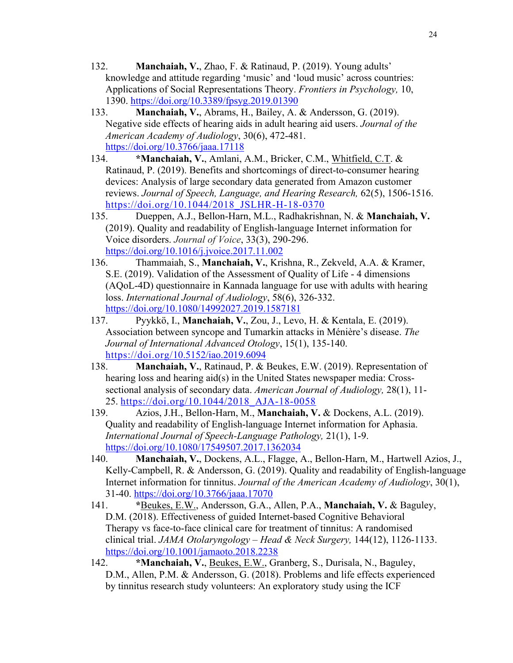- 132. **Manchaiah, V.**, Zhao, F. & Ratinaud, P. (2019). Young adults' knowledge and attitude regarding 'music' and 'loud music' across countries: Applications of Social Representations Theory. *Frontiers in Psychology,* 10, 1390. https://doi.org/10.3389/fpsyg.2019.01390
- 133. **Manchaiah, V.**, Abrams, H., Bailey, A. & Andersson, G. (2019). Negative side effects of hearing aids in adult hearing aid users. *Journal of the American Academy of Audiology*, 30(6), 472-481. https://doi.org/10.3766/jaaa.17118
- 134. **\*Manchaiah, V.**, Amlani, A.M., Bricker, C.M., Whitfield, C.T. & Ratinaud, P. (2019). Benefits and shortcomings of direct-to-consumer hearing devices: Analysis of large secondary data generated from Amazon customer reviews. *Journal of Speech, Language, and Hearing Research,* 62(5), 1506-1516. https://doi.org/10.1044/2018 JSLHR-H-18-0370
- 135. Dueppen, A.J., Bellon-Harn, M.L., Radhakrishnan, N. & **Manchaiah, V.** (2019). Quality and readability of English-language Internet information for Voice disorders. *Journal of Voice*, 33(3), 290-296. https://doi.org/10.1016/j.jvoice.2017.11.002
- 136. Thammaiah, S., **Manchaiah, V.**, Krishna, R., Zekveld, A.A. & Kramer, S.E. (2019). Validation of the Assessment of Quality of Life - 4 dimensions (AQoL-4D) questionnaire in Kannada language for use with adults with hearing loss. *International Journal of Audiology*, 58(6), 326-332. https://doi.org/10.1080/14992027.2019.1587181
- 137. Pyykkö, I., **Manchaiah, V.**, Zou, J., Levo, H. & Kentala, E. (2019). Association between syncope and Tumarkin attacks in Ménière's disease. *The Journal of International Advanced Otology*, 15(1), 135-140. https://doi.org/10.5152/iao.2019.6094
- 138. **Manchaiah, V.**, Ratinaud, P. & Beukes, E.W. (2019). Representation of hearing loss and hearing aid(s) in the United States newspaper media: Crosssectional analysis of secondary data. *American Journal of Audiology,* 28(1), 11- 25. https://doi.org/10.1044/2018\_AJA-18-0058
- 139. Azios, J.H., Bellon-Harn, M., **Manchaiah, V.** & Dockens, A.L. (2019). Quality and readability of English-language Internet information for Aphasia. *International Journal of Speech-Language Pathology,* 21(1), 1-9. https://doi.org/10.1080/17549507.2017.1362034
- 140. **Manchaiah, V.**, Dockens, A.L., Flagge, A., Bellon-Harn, M., Hartwell Azios, J., Kelly-Campbell, R. & Andersson, G. (2019). Quality and readability of English-language Internet information for tinnitus. *Journal of the American Academy of Audiology*, 30(1), 31-40. https://doi.org/10.3766/jaaa.17070
- 141. **\***Beukes, E.W., Andersson, G.A., Allen, P.A., **Manchaiah, V.** & Baguley, D.M. (2018). Effectiveness of guided Internet-based Cognitive Behavioral Therapy vs face-to-face clinical care for treatment of tinnitus: A randomised clinical trial. *JAMA Otolaryngology – Head & Neck Surgery,* 144(12), 1126-1133. https://doi.org/10.1001/jamaoto.2018.2238
- 142. **\*Manchaiah, V.**, Beukes, E.W., Granberg, S., Durisala, N., Baguley, D.M., Allen, P.M. & Andersson, G. (2018). Problems and life effects experienced by tinnitus research study volunteers: An exploratory study using the ICF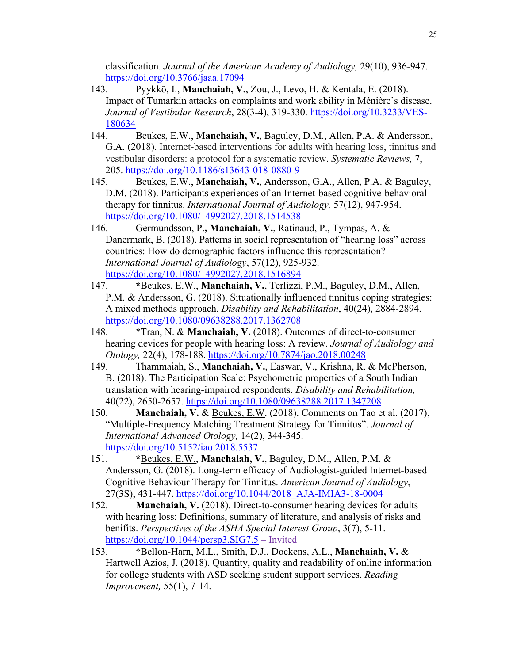classification. *Journal of the American Academy of Audiology,* 29(10), 936-947. https://doi.org/10.3766/jaaa.17094

- 143. Pyykkö, I., **Manchaiah, V.**, Zou, J., Levo, H. & Kentala, E. (2018). Impact of Tumarkin attacks on complaints and work ability in Ménière's disease. *Journal of Vestibular Research*, 28(3-4), 319-330. https://doi.org/10.3233/VES-180634
- 144. Beukes, E.W., **Manchaiah, V.**, Baguley, D.M., Allen, P.A. & Andersson, G.A. (2018). Internet-based interventions for adults with hearing loss, tinnitus and vestibular disorders: a protocol for a systematic review. *Systematic Reviews,* 7, 205. https://doi.org/10.1186/s13643-018-0880-9
- 145. Beukes, E.W., **Manchaiah, V.**, Andersson, G.A., Allen, P.A. & Baguley, D.M. (2018). Participants experiences of an Internet-based cognitive-behavioral therapy for tinnitus. *International Journal of Audiology,* 57(12), 947-954. https://doi.org/10.1080/14992027.2018.1514538
- 146. Germundsson, P.**, Manchaiah, V.**, Ratinaud, P., Tympas, A. & Danermark, B. (2018). Patterns in social representation of "hearing loss" across countries: How do demographic factors influence this representation? *International Journal of Audiology*, 57(12), 925-932. https://doi.org/10.1080/14992027.2018.1516894
- 147. **\***Beukes, E.W., **Manchaiah, V.**, Terlizzi, P.M., Baguley, D.M., Allen, P.M. & Andersson, G. (2018). Situationally influenced tinnitus coping strategies: A mixed methods approach. *Disability and Rehabilitation*, 40(24), 2884-2894. https://doi.org/10.1080/09638288.2017.1362708
- 148. \*Tran, N. & **Manchaiah, V.** (2018). Outcomes of direct-to-consumer hearing devices for people with hearing loss: A review. *Journal of Audiology and Otology,* 22(4), 178-188. https://doi.org/10.7874/jao.2018.00248
- 149. Thammaiah, S., **Manchaiah, V.**, Easwar, V., Krishna, R. & McPherson, B. (2018). The Participation Scale: Psychometric properties of a South Indian translation with hearing-impaired respondents. *Disability and Rehabilitation,*  40(22), 2650-2657. https://doi.org/10.1080/09638288.2017.1347208
- 150. **Manchaiah, V.** & Beukes, E.W. (2018). Comments on Tao et al. (2017), "Multiple-Frequency Matching Treatment Strategy for Tinnitus". *Journal of International Advanced Otology,* 14(2), 344-345. https://doi.org/10.5152/iao.2018.5537
- 151. **\***Beukes, E.W., **Manchaiah, V.**, Baguley, D.M., Allen, P.M. & Andersson, G. (2018). Long-term efficacy of Audiologist-guided Internet-based Cognitive Behaviour Therapy for Tinnitus. *American Journal of Audiology*, 27(3S), 431-447. https://doi.org/10.1044/2018\_AJA-IMIA3-18-0004
- 152. **Manchaiah, V.** (2018). Direct-to-consumer hearing devices for adults with hearing loss: Definitions, summary of literature, and analysis of risks and benifits. *Perspectives of the ASHA Special Interest Group*, 3(7), 5-11. https://doi.org/10.1044/persp3.SIG7.5 – Invited
- 153. \*Bellon-Harn, M.L., Smith, D.J., Dockens, A.L., **Manchaiah, V.** & Hartwell Azios, J. (2018). Quantity, quality and readability of online information for college students with ASD seeking student support services. *Reading Improvement,* 55(1), 7-14.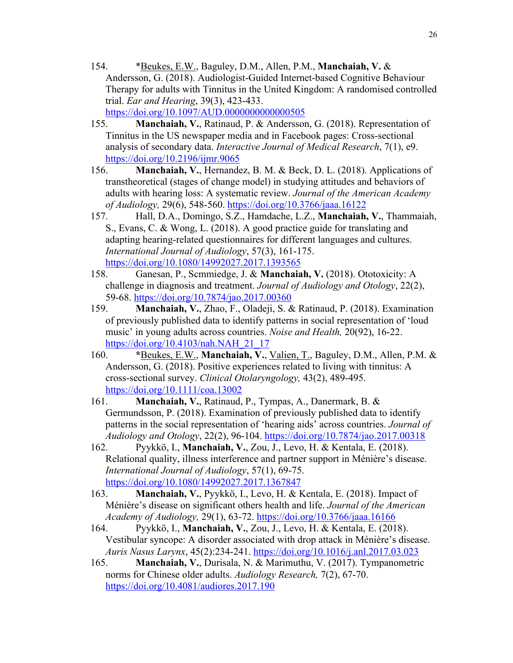- 154. \*Beukes, E.W., Baguley, D.M., Allen, P.M., **Manchaiah, V.** & Andersson, G. (2018). Audiologist-Guided Internet-based Cognitive Behaviour Therapy for adults with Tinnitus in the United Kingdom: A randomised controlled trial. *Ear and Hearing*, 39(3), 423-433. https://doi.org/10.1097/AUD.00000000000000505
- 155. **Manchaiah, V.**, Ratinaud, P. & Andersson, G. (2018). Representation of Tinnitus in the US newspaper media and in Facebook pages: Cross-sectional analysis of secondary data. *Interactive Journal of Medical Research*, 7(1), e9. https://doi.org/10.2196/ijmr.9065
- 156. **Manchaiah, V.**, Hernandez, B. M. & Beck, D. L. (2018). Applications of transtheoretical (stages of change model) in studying attitudes and behaviors of adults with hearing loss: A systematic review. *Journal of the American Academy of Audiology,* 29(6), 548-560. https://doi.org/10.3766/jaaa.16122
- 157. Hall, D.A., Domingo, S.Z., Hamdache, L.Z., **Manchaiah, V.**, Thammaiah, S., Evans, C. & Wong, L. (2018). A good practice guide for translating and adapting hearing-related questionnaires for different languages and cultures. *International Journal of Audiology*, 57(3), 161-175. https://doi.org/10.1080/14992027.2017.1393565
- 158. Ganesan, P., Scmmiedge, J. & **Manchaiah, V.** (2018). Ototoxicity: A challenge in diagnosis and treatment. *Journal of Audiology and Otology*, 22(2), 59-68. https://doi.org/10.7874/jao.2017.00360
- 159. **Manchaiah, V.**, Zhao, F., Oladeji, S. & Ratinaud, P. (2018). Examination of previously published data to identify patterns in social representation of 'loud music' in young adults across countries. *Noise and Health,* 20(92), 16-22. https://doi.org/10.4103/nah.NAH\_21\_17
- 160. **\***Beukes, E.W., **Manchaiah, V.**, Valien, T., Baguley, D.M., Allen, P.M. & Andersson, G. (2018). Positive experiences related to living with tinnitus: A cross-sectional survey. *Clinical Otolaryngology,* 43(2), 489-495. https://doi.org/10.1111/coa.13002
- 161. **Manchaiah, V.**, Ratinaud, P., Tympas, A., Danermark, B. & Germundsson, P. (2018). Examination of previously published data to identify patterns in the social representation of 'hearing aids' across countries. *Journal of Audiology and Otology*, 22(2), 96-104. https://doi.org/10.7874/jao.2017.00318
- 162. Pyykkö, I., **Manchaiah, V.**, Zou, J., Levo, H. & Kentala, E. (2018). Relational quality, illness interference and partner support in Ménière's disease. *International Journal of Audiology*, 57(1), 69-75. https://doi.org/10.1080/14992027.2017.1367847
- 163. **Manchaiah, V.**, Pyykkö, I., Levo, H. & Kentala, E. (2018). Impact of Ménière's disease on significant others health and life. *Journal of the American Academy of Audiology,* 29(1), 63-72. https://doi.org/10.3766/jaaa.16166
- 164. Pyykkö, I., **Manchaiah, V.**, Zou, J., Levo, H. & Kentala, E. (2018). Vestibular syncope: A disorder associated with drop attack in Ménière's disease. *Auris Nasus Larynx*, 45(2):234-241. https://doi.org/10.1016/j.anl.2017.03.023
- 165. **Manchaiah, V.**, Durisala, N. & Marimuthu, V. (2017). Tympanometric norms for Chinese older adults. *Audiology Research,* 7(2), 67-70. https://doi.org/10.4081/audiores.2017.190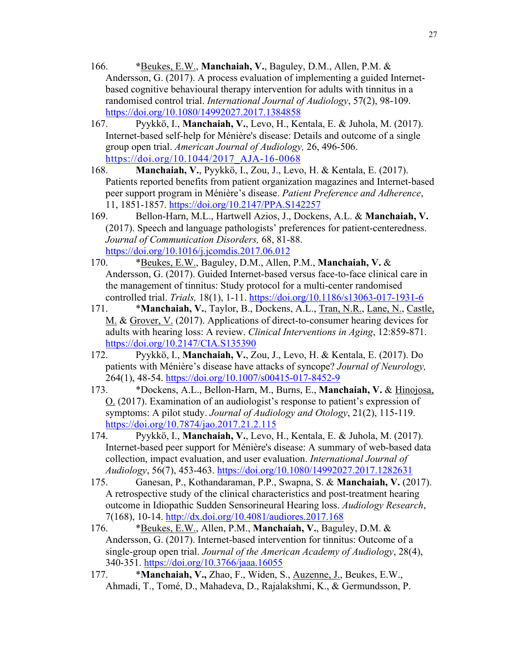- 166. **\***Beukes, E.W., **Manchaiah, V.**, Baguley, D.M., Allen, P.M. & Andersson, G. (2017). A process evaluation of implementing a guided Internetbased cognitive behavioural therapy intervention for adults with tinnitus in a randomised control trial. *International Journal of Audiology*, 57(2), 98-109. https://doi.org/10.1080/14992027.2017.1384858
- 167. Pyykkö, I., **Manchaiah, V.**, Levo, H., Kentala, E. & Juhola, M. (2017). Internet-based self-help for Ménière's disease: Details and outcome of a single group open trial. *American Journal of Audiology,* 26, 496-506. https://doi.org/10.1044/2017\_AJA-16-0068
- 168. **Manchaiah, V.**, Pyykkö, I., Zou, J., Levo, H. & Kentala, E. (2017). Patients reported benefits from patient organization magazines and Internet-based peer support program in Ménière's disease. *Patient Preference and Adherence*, 11, 1851-1857. https://doi.org/10.2147/PPA.S142257
- 169. Bellon-Harn, M.L., Hartwell Azios, J., Dockens, A.L. & **Manchaiah, V.** (2017). Speech and language pathologists' preferences for patient-centeredness. *Journal of Communication Disorders,* 68, 81-88. https://doi.org/10.1016/j.jcomdis.2017.06.012
- 170. \*Beukes, E.W., Baguley, D.M., Allen, P.M., **Manchaiah, V.** & Andersson, G. (2017). Guided Internet-based versus face-to-face clinical care in the management of tinnitus: Study protocol for a multi-center randomised controlled trial. *Trials,* 18(1), 1-11. https://doi.org/10.1186/s13063-017-1931-6
- 171. \***Manchaiah, V.**, Taylor, B., Dockens, A.L., Tran, N.R., Lane, N., Castle, M. & Grover, V. (2017). Applications of direct-to-consumer hearing devices for adults with hearing loss: A review. *Clinical Interventions in Aging*, 12:859-871. https://doi.org/10.2147/CIA.S135390
- 172. Pyykkö, I., **Manchaiah, V.**, Zou, J., Levo, H. & Kentala, E. (2017). Do patients with Ménière's disease have attacks of syncope? *Journal of Neurology,*  264(1), 48-54. https://doi.org/10.1007/s00415-017-8452-9
- 173. \*Dockens, A.L., Bellon-Harn, M., Burns, E., **Manchaiah, V.** & Hinojosa, O. (2017). Examination of an audiologist's response to patient's expression of symptoms: A pilot study. *Journal of Audiology and Otology*, 21(2), 115-119. https://doi.org/10.7874/jao.2017.21.2.115
- 174. Pyykkö, I., **Manchaiah, V.**, Levo, H., Kentala, E. & Juhola, M. (2017). Internet-based peer support for Ménière's disease: A summary of web-based data collection, impact evaluation, and user evaluation. *International Journal of Audiology*, 56(7), 453-463. https://doi.org/10.1080/14992027.2017.1282631
- 175. Ganesan, P., Kothandaraman, P.P., Swapna, S. & **Manchaiah, V.** (2017). A retrospective study of the clinical characteristics and post-treatment hearing outcome in Idiopathic Sudden Sensorineural Hearing loss. *Audiology Research*, 7(168), 10-14. http://dx.doi.org/10.4081/audiores.2017.168
- 176. \*Beukes, E.W., Allen, P.M., **Manchaiah, V.**, Baguley, D.M. & Andersson, G. (2017). Internet-based intervention for tinnitus: Outcome of a single-group open trial. *Journal of the American Academy of Audiology*, 28(4), 340-351. https://doi.org/10.3766/jaaa.16055
- 177. \***Manchaiah, V.,** Zhao, F., Widen, S., Auzenne, J., Beukes, E.W., Ahmadi, T., Tomé, D., Mahadeva, D., Rajalakshmi, K., & Germundsson, P.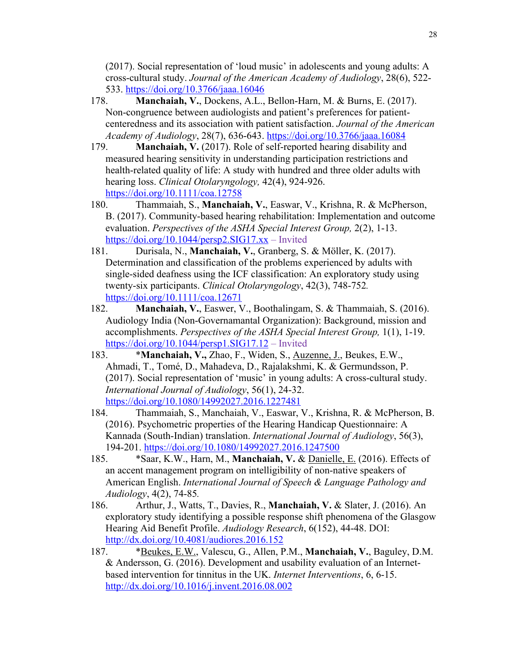(2017). Social representation of 'loud music' in adolescents and young adults: A cross-cultural study. *Journal of the American Academy of Audiology*, 28(6), 522- 533. https://doi.org/10.3766/jaaa.16046

- 178. **Manchaiah, V.**, Dockens, A.L., Bellon-Harn, M. & Burns, E. (2017). Non-congruence between audiologists and patient's preferences for patientcenteredness and its association with patient satisfaction. *Journal of the American Academy of Audiology*, 28(7), 636-643. https://doi.org/10.3766/jaaa.16084
- 179. **Manchaiah, V.** (2017). Role of self-reported hearing disability and measured hearing sensitivity in understanding participation restrictions and health-related quality of life: A study with hundred and three older adults with hearing loss. *Clinical Otolaryngology,* 42(4), 924-926. https://doi.org/10.1111/coa.12758
- 180. Thammaiah, S., **Manchaiah, V.**, Easwar, V., Krishna, R. & McPherson, B. (2017). Community-based hearing rehabilitation: Implementation and outcome evaluation. *Perspectives of the ASHA Special Interest Group,* 2(2), 1-13. https://doi.org/10.1044/persp2.SIG17.xx – Invited
- 181. Durisala, N., **Manchaiah, V.**, Granberg, S. & Möller, K. (2017). Determination and classification of the problems experienced by adults with single-sided deafness using the ICF classification: An exploratory study using twenty-six participants. *Clinical Otolaryngology*, 42(3), 748-752*.*  https://doi.org/10.1111/coa.12671
- 182. **Manchaiah, V.**, Easwer, V., Boothalingam, S. & Thammaiah, S. (2016). Audiology India (Non-Governamantal Organization): Background, mission and accomplishments. *Perspectives of the ASHA Special Interest Group,* 1(1), 1-19. https://doi.org/10.1044/persp1.SIG17.12 – Invited
- 183. \***Manchaiah, V.,** Zhao, F., Widen, S., Auzenne, J., Beukes, E.W., Ahmadi, T., Tomé, D., Mahadeva, D., Rajalakshmi, K. & Germundsson, P. (2017). Social representation of 'music' in young adults: A cross-cultural study. *International Journal of Audiology*, 56(1), 24-32. https://doi.org/10.1080/14992027.2016.1227481
- 184. Thammaiah, S., Manchaiah, V., Easwar, V., Krishna, R. & McPherson, B. (2016). Psychometric properties of the Hearing Handicap Questionnaire: A Kannada (South-Indian) translation. *International Journal of Audiology*, 56(3), 194-201. https://doi.org/10.1080/14992027.2016.1247500
- 185. \*Saar, K.W., Harn, M., **Manchaiah, V.** & Danielle, E. (2016). Effects of an accent management program on intelligibility of non-native speakers of American English. *International Journal of Speech & Language Pathology and Audiology*, 4(2), 74-85*.*
- 186. Arthur, J., Watts, T., Davies, R., **Manchaiah, V.** & Slater, J. (2016). An exploratory study identifying a possible response shift phenomena of the Glasgow Hearing Aid Benefit Profile. *Audiology Research*, 6(152), 44-48. DOI: http://dx.doi.org/10.4081/audiores.2016.152
- 187. \*Beukes, E.W., Valescu, G., Allen, P.M., **Manchaiah, V.**, Baguley, D.M. & Andersson, G. (2016). Development and usability evaluation of an Internetbased intervention for tinnitus in the UK. *Internet Interventions*, 6, 6-15. http://dx.doi.org/10.1016/j.invent.2016.08.002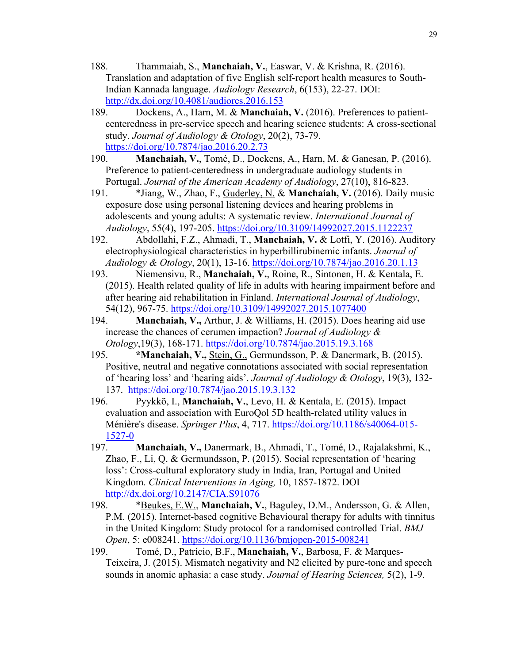- 188. Thammaiah, S., **Manchaiah, V.**, Easwar, V. & Krishna, R. (2016). Translation and adaptation of five English self-report health measures to South-Indian Kannada language. *Audiology Research*, 6(153), 22-27. DOI: http://dx.doi.org/10.4081/audiores.2016.153
- 189. Dockens, A., Harn, M. & **Manchaiah, V.** (2016). Preferences to patientcenteredness in pre-service speech and hearing science students: A cross-sectional study. *Journal of Audiology & Otology*, 20(2), 73-79. https://doi.org/10.7874/jao.2016.20.2.73
- 190. **Manchaiah, V.**, Tomé, D., Dockens, A., Harn, M. & Ganesan, P. (2016). Preference to patient-centeredness in undergraduate audiology students in Portugal. *Journal of the American Academy of Audiology*, 27(10), 816-823.
- 191. \*Jiang, W., Zhao, F., Guderley, N. & **Manchaiah, V.** (2016). Daily music exposure dose using personal listening devices and hearing problems in adolescents and young adults: A systematic review. *International Journal of Audiology*, 55(4), 197-205. https://doi.org/10.3109/14992027.2015.1122237
- 192. Abdollahi, F.Z., Ahmadi, T., **Manchaiah, V.** & Lotfi, Y. (2016). Auditory electrophysiological characteristics in hyperbillirubinemic infants. *Journal of Audiology & Otology*, 20(1), 13-16. https://doi.org/10.7874/jao.2016.20.1.13
- 193. Niemensivu, R., **Manchaiah, V.**, Roine, R., Sintonen, H. & Kentala, E. (2015). Health related quality of life in adults with hearing impairment before and after hearing aid rehabilitation in Finland. *International Journal of Audiology*, 54(12), 967-75. https://doi.org/10.3109/14992027.2015.1077400
- 194. **Manchaiah, V.,** Arthur, J. & Williams, H. (2015). Does hearing aid use increase the chances of cerumen impaction? *Journal of Audiology & Otology*,19(3), 168-171. https://doi.org/10.7874/jao.2015.19.3.168
- 195. **\*Manchaiah, V.,** Stein, G., Germundsson, P. & Danermark, B. (2015). Positive, neutral and negative connotations associated with social representation of 'hearing loss' and 'hearing aids'. *Journal of Audiology & Otology*, 19(3), 132- 137. https://doi.org/10.7874/jao.2015.19.3.132
- 196. Pyykkö, I., **Manchaiah, V.**, Levo, H. & Kentala, E. (2015). Impact evaluation and association with EuroQol 5D health-related utility values in Ménière's disease. *Springer Plus*, 4, 717. https://doi.org/10.1186/s40064-015- 1527-0
- 197. **Manchaiah, V.,** Danermark, B., Ahmadi, T., Tomé, D., Rajalakshmi, K., Zhao, F., Li, Q. & Germundsson, P. (2015). Social representation of 'hearing loss': Cross-cultural exploratory study in India, Iran, Portugal and United Kingdom. *Clinical Interventions in Aging,* 10, 1857-1872. DOI http://dx.doi.org/10.2147/CIA.S91076
- 198. \*Beukes, E.W., **Manchaiah, V.**, Baguley, D.M., Andersson, G. & Allen, P.M. (2015). Internet-based cognitive Behavioural therapy for adults with tinnitus in the United Kingdom: Study protocol for a randomised controlled Trial. *BMJ Open*, 5: e008241. https://doi.org/10.1136/bmjopen-2015-008241
- 199. Tomé, D., Patrício, B.F., **Manchaiah, V.**, Barbosa, F. & Marques-Teixeira, J. (2015). Mismatch negativity and N2 elicited by pure-tone and speech sounds in anomic aphasia: a case study. *Journal of Hearing Sciences,* 5(2), 1-9.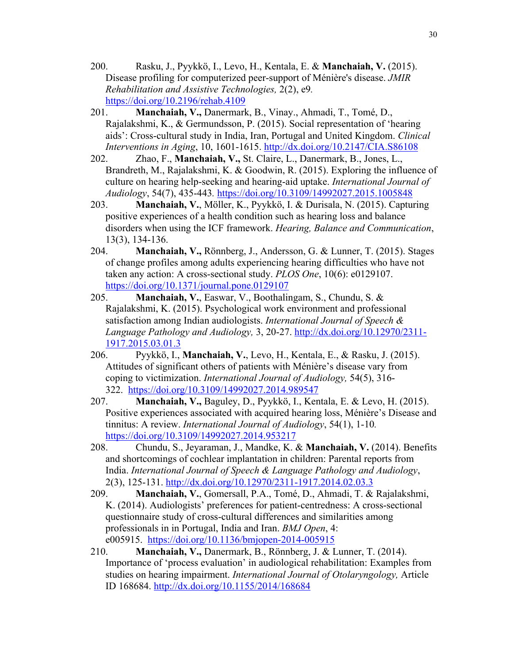- 200. Rasku, J., Pyykkö, I., Levo, H., Kentala, E. & **Manchaiah, V.** (2015). Disease profiling for computerized peer-support of Ménière's disease. *JMIR Rehabilitation and Assistive Technologies,* 2(2), e9*.* https://doi.org/10.2196/rehab.4109
- 201. **Manchaiah, V.,** Danermark, B., Vinay., Ahmadi, T., Tomé, D., Rajalakshmi, K., & Germundsson, P. (2015). Social representation of 'hearing aids': Cross-cultural study in India, Iran, Portugal and United Kingdom. *Clinical Interventions in Aging*, 10, 1601-1615. http://dx.doi.org/10.2147/CIA.S86108
- 202. Zhao, F., **Manchaiah, V.,** St. Claire, L., Danermark, B., Jones, L., Brandreth, M., Rajalakshmi, K. & Goodwin, R. (2015). Exploring the influence of culture on hearing help-seeking and hearing-aid uptake. *International Journal of Audiology*, 54(7), 435-443*.* https://doi.org/10.3109/14992027.2015.1005848
- 203. **Manchaiah, V.**, Möller, K., Pyykkö, I. & Durisala, N. (2015). Capturing positive experiences of a health condition such as hearing loss and balance disorders when using the ICF framework. *Hearing, Balance and Communication*, 13(3), 134-136.
- 204. **Manchaiah, V.,** Rönnberg, J., Andersson, G. & Lunner, T. (2015). Stages of change profiles among adults experiencing hearing difficulties who have not taken any action: A cross-sectional study. *PLOS One*, 10(6): e0129107. https://doi.org/10.1371/journal.pone.0129107
- 205. **Manchaiah, V.**, Easwar, V., Boothalingam, S., Chundu, S. & Rajalakshmi, K. (2015). Psychological work environment and professional satisfaction among Indian audiologists. *International Journal of Speech & Language Pathology and Audiology,* 3, 20-27. http://dx.doi.org/10.12970/2311- 1917.2015.03.01.3
- 206. Pyykkö, I., **Manchaiah, V.**, Levo, H., Kentala, E., & Rasku, J. (2015). Attitudes of significant others of patients with Ménière's disease vary from coping to victimization. *International Journal of Audiology,* 54(5), 316- 322. https://doi.org/10.3109/14992027.2014.989547
- 207. **Manchaiah, V.,** Baguley, D., Pyykkö, I., Kentala, E. & Levo, H. (2015). Positive experiences associated with acquired hearing loss, Ménière's Disease and tinnitus: A review. *International Journal of Audiology*, 54(1), 1-10*.* https://doi.org/10.3109/14992027.2014.953217
- 208. Chundu, S., Jeyaraman, J., Mandke, K. & **Manchaiah, V.** (2014). Benefits and shortcomings of cochlear implantation in children: Parental reports from India. *International Journal of Speech & Language Pathology and Audiology*, 2(3), 125-131. http://dx.doi.org/10.12970/2311-1917.2014.02.03.3
- 209. **Manchaiah, V.**, Gomersall, P.A., Tomé, D., Ahmadi, T. & Rajalakshmi, K. (2014). Audiologists' preferences for patient-centredness: A cross-sectional questionnaire study of cross-cultural differences and similarities among professionals in in Portugal, India and Iran. *BMJ Open*, 4: e005915. https://doi.org/10.1136/bmjopen-2014-005915
- 210. **Manchaiah, V.,** Danermark, B., Rönnberg, J. & Lunner, T. (2014). Importance of 'process evaluation' in audiological rehabilitation: Examples from studies on hearing impairment. *International Journal of Otolaryngology,* Article ID 168684. http://dx.doi.org/10.1155/2014/168684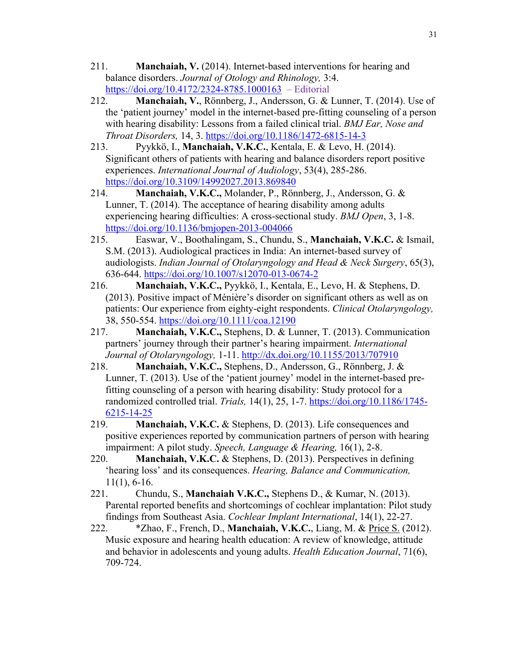- 211. **Manchaiah, V.** (2014). Internet-based interventions for hearing and balance disorders. *Journal of Otology and Rhinology,* 3:4. https://doi.org/10.4172/2324-8785.1000163 – Editorial
- 212. **Manchaiah, V.**, Rönnberg, J., Andersson, G. & Lunner, T. (2014). Use of the 'patient journey' model in the internet-based pre-fitting counseling of a person with hearing disability: Lessons from a failed clinical trial. *BMJ Ear, Nose and Throat Disorders,* 14, 3. https://doi.org/10.1186/1472-6815-14-3
- 213. Pyykkö, I., **Manchaiah, V.K.C.**, Kentala, E. & Levo, H. (2014). Significant others of patients with hearing and balance disorders report positive experiences. *International Journal of Audiology*, 53(4), 285-286. https://doi.org/10.3109/14992027.2013.869840
- 214. **Manchaiah, V.K.C.,** Molander, P., Rönnberg, J., Andersson, G. & Lunner, T. (2014). The acceptance of hearing disability among adults experiencing hearing difficulties: A cross-sectional study. *BMJ Open*, 3, 1-8. https://doi.org/10.1136/bmjopen-2013-004066
- 215. Easwar, V., Boothalingam, S., Chundu, S., **Manchaiah, V.K.C.** & Ismail, S.M. (2013). Audiological practices in India: An internet-based survey of audiologists. *Indian Journal of Otolaryngology and Head & Neck Surgery*, 65(3), 636-644. https://doi.org/10.1007/s12070-013-0674-2
- 216. **Manchaiah, V.K.C.,** Pyykkö, I., Kentala, E., Levo, H. & Stephens, D. (2013). Positive impact of Ménière's disorder on significant others as well as on patients: Our experience from eighty-eight respondents. *Clinical Otolaryngology,*  38, 550-554. https://doi.org/10.1111/coa.12190
- 217. **Manchaiah, V.K.C.,** Stephens, D. & Lunner, T. (2013). Communication partners' journey through their partner's hearing impairment. *International Journal of Otolaryngology,* 1-11. http://dx.doi.org/10.1155/2013/707910
- 218. **Manchaiah, V.K.C.,** Stephens, D., Andersson, G., Rönnberg, J. & Lunner, T. (2013). Use of the 'patient journey' model in the internet-based prefitting counseling of a person with hearing disability: Study protocol for a randomized controlled trial. *Trials,* 14(1), 25, 1-7. https://doi.org/10.1186/1745- 6215-14-25
- 219. **Manchaiah, V.K.C.** & Stephens, D. (2013). Life consequences and positive experiences reported by communication partners of person with hearing impairment: A pilot study. *Speech, Language & Hearing,* 16(1), 2-8.
- 220. **Manchaiah, V.K.C.** & Stephens, D. (2013). Perspectives in defining 'hearing loss' and its consequences. *Hearing, Balance and Communication,*  11(1), 6-16.
- 221. Chundu, S., **Manchaiah V.K.C.,** Stephens D., & Kumar, N. (2013). Parental reported benefits and shortcomings of cochlear implantation: Pilot study findings from Southeast Asia. *Cochlear Implant International*, 14(1), 22-27.
- 222. \*Zhao, F., French, D., **Manchaiah, V.K.C.**, Liang, M. & Price S. (2012). Music exposure and hearing health education: A review of knowledge, attitude and behavior in adolescents and young adults. *Health Education Journal*, 71(6), 709-724.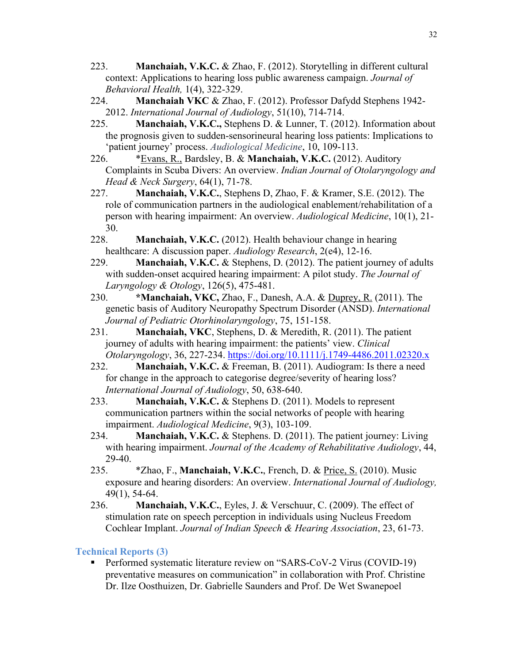- 223. **Manchaiah, V.K.C.** & Zhao, F. (2012). Storytelling in different cultural context: Applications to hearing loss public awareness campaign. *Journal of Behavioral Health,* 1(4), 322-329.
- 224. **Manchaiah VKC** & Zhao, F. (2012). Professor Dafydd Stephens 1942- 2012. *International Journal of Audiology*, 51(10), 714-714.
- 225. **Manchaiah, V.K.C.,** Stephens D. & Lunner, T. (2012). Information about the prognosis given to sudden-sensorineural hearing loss patients: Implications to 'patient journey' process. *Audiological Medicine*, 10, 109-113.
- 226. \*Evans, R., Bardsley, B. & **Manchaiah, V.K.C.** (2012). Auditory Complaints in Scuba Divers: An overview. *Indian Journal of Otolaryngology and Head & Neck Surgery*, 64(1), 71-78.
- 227. **Manchaiah, V.K.C.**, Stephens D, Zhao, F. & Kramer, S.E. (2012). The role of communication partners in the audiological enablement/rehabilitation of a person with hearing impairment: An overview. *Audiological Medicine*, 10(1), 21- 30.
- 228. **Manchaiah, V.K.C.** (2012). Health behaviour change in hearing healthcare: A discussion paper. *Audiology Research*, 2(e4), 12-16.
- 229. **Manchaiah, V.K.C.** & Stephens, D. (2012). The patient journey of adults with sudden-onset acquired hearing impairment: A pilot study. *The Journal of Laryngology & Otology*, 126(5), 475-481.
- 230. **\*Manchaiah, VKC,** Zhao, F., Danesh, A.A. & Duprey, R. (2011). The genetic basis of Auditory Neuropathy Spectrum Disorder (ANSD). *International Journal of Pediatric Otorhinolaryngology*, 75, 151-158.
- 231. **Manchaiah, VKC**, Stephens, D. & Meredith, R. (2011). The patient journey of adults with hearing impairment: the patients' view. *Clinical Otolaryngology*, 36, 227-234. https://doi.org/10.1111/j.1749-4486.2011.02320.x
- 232. **Manchaiah, V.K.C.** & Freeman, B. (2011). Audiogram: Is there a need for change in the approach to categorise degree/severity of hearing loss? *International Journal of Audiology*, 50, 638-640.
- 233. **Manchaiah, V.K.C.** & Stephens D. (2011). Models to represent communication partners within the social networks of people with hearing impairment. *Audiological Medicine*, 9(3), 103-109.
- 234. **Manchaiah, V.K.C.** & Stephens. D. (2011). The patient journey: Living with hearing impairment. *Journal of the Academy of Rehabilitative Audiology*, 44, 29-40.
- 235. \*Zhao, F., **Manchaiah, V.K.C.**, French, D. & Price, S. (2010). Music exposure and hearing disorders: An overview. *International Journal of Audiology,*  49(1), 54-64.
- 236. **Manchaiah, V.K.C.**, Eyles, J. & Verschuur, C. (2009). The effect of stimulation rate on speech perception in individuals using Nucleus Freedom Cochlear Implant. *Journal of Indian Speech & Hearing Association*, 23, 61-73.

#### **Technical Reports (3)**

■ Performed systematic literature review on "SARS-CoV-2 Virus (COVID-19) preventative measures on communication" in collaboration with Prof. Christine Dr. Ilze Oosthuizen, Dr. Gabrielle Saunders and Prof. De Wet Swanepoel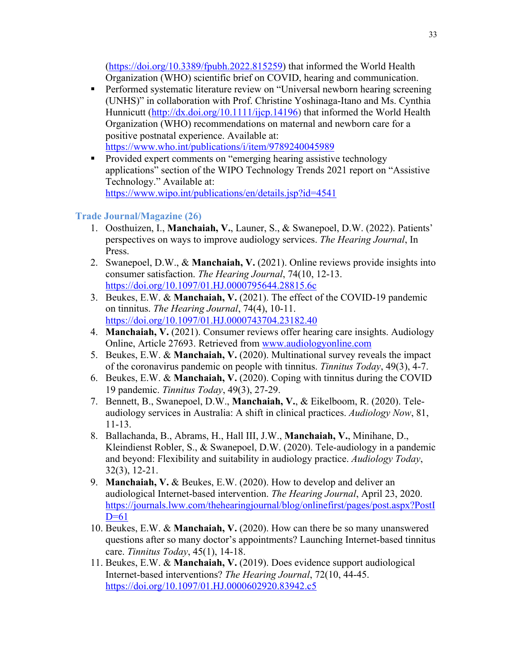(https://doi.org/10.3389/fpubh.2022.815259) that informed the World Health Organization (WHO) scientific brief on COVID, hearing and communication.

- Performed systematic literature review on "Universal newborn hearing screening (UNHS)" in collaboration with Prof. Christine Yoshinaga-Itano and Ms. Cynthia Hunnicutt (http://dx.doi.org/10.1111/ijcp.14196) that informed the World Health Organization (WHO) recommendations on maternal and newborn care for a positive postnatal experience. Available at: https://www.who.int/publications/i/item/9789240045989
- Provided expert comments on "emerging hearing assistive technology applications" section of the WIPO Technology Trends 2021 report on "Assistive Technology." Available at: https://www.wipo.int/publications/en/details.jsp?id=4541

## **Trade Journal/Magazine (26)**

- 1. Oosthuizen, I., **Manchaiah, V.**, Launer, S., & Swanepoel, D.W. (2022). Patients' perspectives on ways to improve audiology services. *The Hearing Journal*, In Press.
- 2. Swanepoel, D.W., & **Manchaiah, V.** (2021). Online reviews provide insights into consumer satisfaction. *The Hearing Journal*, 74(10, 12-13. https://doi.org/10.1097/01.HJ.0000795644.28815.6c
- 3. Beukes, E.W. & **Manchaiah, V.** (2021). The effect of the COVID-19 pandemic on tinnitus. *The Hearing Journal*, 74(4), 10-11. https://doi.org/10.1097/01.HJ.0000743704.23182.40
- 4. **Manchaiah, V.** (2021). Consumer reviews offer hearing care insights. Audiology Online, Article 27693. Retrieved from www.audiologyonline.com
- 5. Beukes, E.W. & **Manchaiah, V.** (2020). Multinational survey reveals the impact of the coronavirus pandemic on people with tinnitus. *Tinnitus Today*, 49(3), 4-7.
- 6. Beukes, E.W. & **Manchaiah, V.** (2020). Coping with tinnitus during the COVID 19 pandemic. *Tinnitus Today*, 49(3), 27-29.
- 7. Bennett, B., Swanepoel, D.W., **Manchaiah, V.**, & Eikelboom, R. (2020). Teleaudiology services in Australia: A shift in clinical practices. *Audiology Now*, 81, 11-13.
- 8. Ballachanda, B., Abrams, H., Hall III, J.W., **Manchaiah, V.**, Minihane, D., Kleindienst Robler, S., & Swanepoel, D.W. (2020). Tele-audiology in a pandemic and beyond: Flexibility and suitability in audiology practice. *Audiology Today*, 32(3), 12-21.
- 9. **Manchaiah, V.** & Beukes, E.W. (2020). How to develop and deliver an audiological Internet-based intervention. *The Hearing Journal*, April 23, 2020. https://journals.lww.com/thehearingjournal/blog/onlinefirst/pages/post.aspx?PostI  $D=61$
- 10. Beukes, E.W. & **Manchaiah, V.** (2020). How can there be so many unanswered questions after so many doctor's appointments? Launching Internet-based tinnitus care. *Tinnitus Today*, 45(1), 14-18.
- 11. Beukes, E.W. & **Manchaiah, V.** (2019). Does evidence support audiological Internet-based interventions? *The Hearing Journal*, 72(10, 44-45. https://doi.org/10.1097/01.HJ.0000602920.83942.c5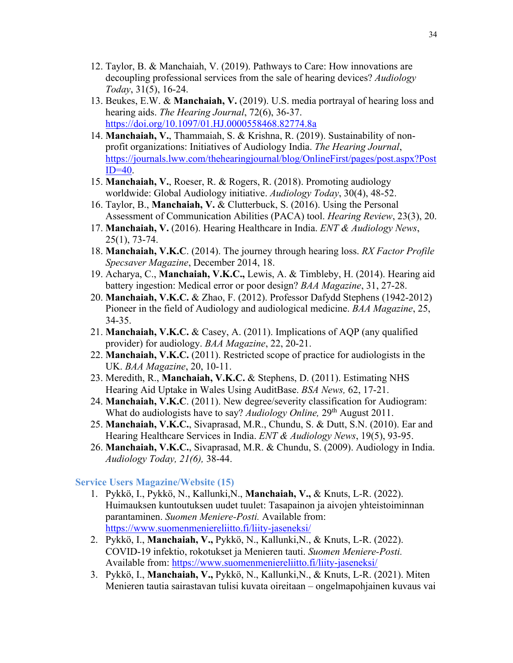- 12. Taylor, B. & Manchaiah, V. (2019). Pathways to Care: How innovations are decoupling professional services from the sale of hearing devices? *Audiology Today*, 31(5), 16-24.
- 13. Beukes, E.W. & **Manchaiah, V.** (2019). U.S. media portrayal of hearing loss and hearing aids. *The Hearing Journal*, 72(6), 36-37. https://doi.org/10.1097/01.HJ.0000558468.82774.8a
- 14. **Manchaiah, V.**, Thammaiah, S. & Krishna, R. (2019). Sustainability of nonprofit organizations: Initiatives of Audiology India. *The Hearing Journal*, https://journals.lww.com/thehearingjournal/blog/OnlineFirst/pages/post.aspx?Post  $ID=40$ .
- 15. **Manchaiah, V.**, Roeser, R. & Rogers, R. (2018). Promoting audiology worldwide: Global Audiology initiative. *Audiology Today*, 30(4), 48-52.
- 16. Taylor, B., **Manchaiah, V.** & Clutterbuck, S. (2016). Using the Personal Assessment of Communication Abilities (PACA) tool. *Hearing Review*, 23(3), 20.
- 17. **Manchaiah, V.** (2016). Hearing Healthcare in India. *ENT & Audiology News*, 25(1), 73-74.
- 18. **Manchaiah, V.K.C**. (2014). The journey through hearing loss. *RX Factor Profile Specsaver Magazine*, December 2014, 18.
- 19. Acharya, C., **Manchaiah, V.K.C.,** Lewis, A. & Timbleby, H. (2014). Hearing aid battery ingestion: Medical error or poor design? *BAA Magazine*, 31, 27-28.
- 20. **Manchaiah, V.K.C.** & Zhao, F. (2012). Professor Dafydd Stephens (1942-2012) Pioneer in the field of Audiology and audiological medicine. *BAA Magazine*, 25, 34-35.
- 21. **Manchaiah, V.K.C.** & Casey, A. (2011). Implications of AQP (any qualified provider) for audiology. *BAA Magazine*, 22, 20-21.
- 22. **Manchaiah, V.K.C.** (2011). Restricted scope of practice for audiologists in the UK. *BAA Magazine*, 20, 10-11.
- 23. Meredith, R., **Manchaiah, V.K.C.** & Stephens, D. (2011). Estimating NHS Hearing Aid Uptake in Wales Using AuditBase. *BSA News,* 62, 17-21.
- 24. **Manchaiah, V.K.C**. (2011). New degree/severity classification for Audiogram: What do audiologists have to say? *Audiology Online,* 29th August 2011.
- 25. **Manchaiah, V.K.C.**, Sivaprasad, M.R., Chundu, S. & Dutt, S.N. (2010). Ear and Hearing Healthcare Services in India. *ENT & Audiology News*, 19(5), 93-95.
- 26. **Manchaiah, V.K.C.**, Sivaprasad, M.R. & Chundu, S. (2009). Audiology in India. *Audiology Today, 21(6),* 38-44.

#### **Service Users Magazine/Website (15)**

- 1. Pykkö, I., Pykkö, N., Kallunki,N., **Manchaiah, V.,** & Knuts, L-R. (2022). Huimauksen kuntoutuksen uudet tuulet: Tasapainon ja aivojen yhteistoiminnan parantaminen. *Suomen Meniere-Posti.* Available from: https://www.suomenmeniereliitto.fi/liity-jaseneksi/
- 2. Pykkö, I., **Manchaiah, V.,** Pykkö, N., Kallunki,N., & Knuts, L-R. (2022). COVID-19 infektio, rokotukset ja Menieren tauti. *Suomen Meniere-Posti.*  Available from: https://www.suomenmeniereliitto.fi/liity-jaseneksi/
- 3. Pykkö, I., **Manchaiah, V.,** Pykkö, N., Kallunki,N., & Knuts, L-R. (2021). Miten Menieren tautia sairastavan tulisi kuvata oireitaan – ongelmapohjainen kuvaus vai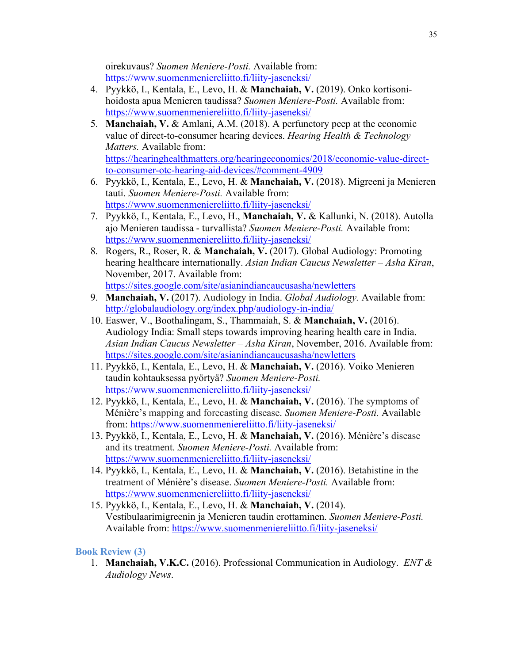oirekuvaus? *Suomen Meniere-Posti.* Available from: https://www.suomenmeniereliitto.fi/liity-jaseneksi/

- 4. Pyykkö, I., Kentala, E., Levo, H. & **Manchaiah, V.** (2019). Onko kortisonihoidosta apua Menieren taudissa? *Suomen Meniere-Posti.* Available from: https://www.suomenmeniereliitto.fi/liity-jaseneksi/
- 5. **Manchaiah, V.** & Amlani, A.M. (2018). A perfunctory peep at the economic value of direct-to-consumer hearing devices. *Hearing Health & Technology Matters.* Available from: https://hearinghealthmatters.org/hearingeconomics/2018/economic-value-directto-consumer-otc-hearing-aid-devices/#comment-4909
- 6. Pyykkö, I., Kentala, E., Levo, H. & **Manchaiah, V.** (2018). Migreeni ja Menieren tauti. *Suomen Meniere-Posti.* Available from: https://www.suomenmeniereliitto.fi/liity-jaseneksi/
- 7. Pyykkö, I., Kentala, E., Levo, H., **Manchaiah, V.** & Kallunki, N. (2018). Autolla ajo Menieren taudissa - turvallista? *Suomen Meniere-Posti.* Available from: https://www.suomenmeniereliitto.fi/liity-jaseneksi/
- 8. Rogers, R., Roser, R. & **Manchaiah, V.** (2017). Global Audiology: Promoting hearing healthcare internationally. *Asian Indian Caucus Newsletter – Asha Kiran*, November, 2017. Available from: https://sites.google.com/site/asianindiancaucusasha/newletters
- 9. **Manchaiah, V.** (2017). Audiology in India. *Global Audiology.* Available from: http://globalaudiology.org/index.php/audiology-in-india/
- 10. Easwer, V., Boothalingam, S., Thammaiah, S. & **Manchaiah, V.** (2016). Audiology India: Small steps towards improving hearing health care in India. *Asian Indian Caucus Newsletter – Asha Kiran*, November, 2016. Available from: https://sites.google.com/site/asianindiancaucusasha/newletters
- 11. Pyykkö, I., Kentala, E., Levo, H. & **Manchaiah, V.** (2016). Voiko Menieren taudin kohtauksessa pyörtyä? *Suomen Meniere-Posti.*  https://www.suomenmeniereliitto.fi/liity-jaseneksi/
- 12. Pyykkö, I., Kentala, E., Levo, H. & **Manchaiah, V.** (2016). The symptoms of Ménière's mapping and forecasting disease. *Suomen Meniere-Posti.* Available from: https://www.suomenmeniereliitto.fi/liity-jaseneksi/
- 13. Pyykkö, I., Kentala, E., Levo, H. & **Manchaiah, V.** (2016). Ménière's disease and its treatment. *Suomen Meniere-Posti.* Available from: https://www.suomenmeniereliitto.fi/liity-jaseneksi/
- 14. Pyykkö, I., Kentala, E., Levo, H. & **Manchaiah, V.** (2016). Betahistine in the treatment of Ménière's disease. *Suomen Meniere-Posti.* Available from: https://www.suomenmeniereliitto.fi/liity-jaseneksi/
- 15. Pyykkö, I., Kentala, E., Levo, H. & **Manchaiah, V.** (2014). Vestibulaarimigreenin ja Menieren taudin erottaminen. *Suomen Meniere-Posti.*  Available from: https://www.suomenmeniereliitto.fi/liity-jaseneksi/

#### **Book Review (3)**

1. **Manchaiah, V.K.C.** (2016). Professional Communication in Audiology. *ENT & Audiology News*.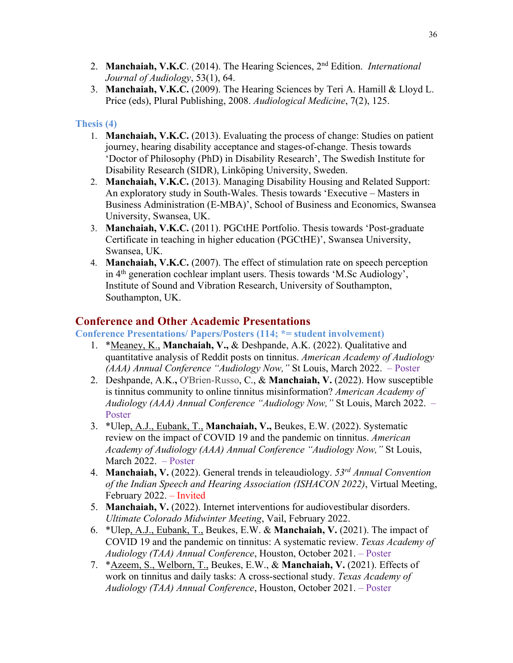- 2. **Manchaiah, V.K.C**. (2014). The Hearing Sciences, 2nd Edition. *International Journal of Audiology*, 53(1), 64.
- 3. **Manchaiah, V.K.C.** (2009). The Hearing Sciences by Teri A. Hamill & Lloyd L. Price (eds), Plural Publishing, 2008. *Audiological Medicine*, 7(2), 125.

### **Thesis (4)**

- 1. **Manchaiah, V.K.C.** (2013). Evaluating the process of change: Studies on patient journey, hearing disability acceptance and stages-of-change. Thesis towards 'Doctor of Philosophy (PhD) in Disability Research', The Swedish Institute for Disability Research (SIDR), Linköping University, Sweden.
- 2. **Manchaiah, V.K.C.** (2013). Managing Disability Housing and Related Support: An exploratory study in South-Wales. Thesis towards 'Executive – Masters in Business Administration (E-MBA)', School of Business and Economics, Swansea University, Swansea, UK.
- 3. **Manchaiah, V.K.C.** (2011). PGCtHE Portfolio. Thesis towards 'Post-graduate Certificate in teaching in higher education (PGCtHE)', Swansea University, Swansea, UK.
- 4. **Manchaiah, V.K.C.** (2007). The effect of stimulation rate on speech perception in 4th generation cochlear implant users. Thesis towards 'M.Sc Audiology', Institute of Sound and Vibration Research, University of Southampton, Southampton, UK.

## **Conference and Other Academic Presentations**

**Conference Presentations/ Papers/Posters (114; \*= student involvement)**

- 1. \*Meaney, K., **Manchaiah, V.,** & Deshpande, A.K. (2022). Qualitative and quantitative analysis of Reddit posts on tinnitus. *American Academy of Audiology (AAA) Annual Conference "Audiology Now,"* St Louis, March 2022. – Poster
- 2. Deshpande, A.K.**,** O'Brien-Russo, C., & **Manchaiah, V.** (2022). How susceptible is tinnitus community to online tinnitus misinformation? *American Academy of Audiology (AAA) Annual Conference "Audiology Now,"* St Louis, March 2022. – Poster
- 3. \*Ulep, A.J., Eubank, T., **Manchaiah, V.,** Beukes, E.W. (2022). Systematic review on the impact of COVID 19 and the pandemic on tinnitus. *American Academy of Audiology (AAA) Annual Conference "Audiology Now,"* St Louis, March 2022. – Poster
- 4. **Manchaiah, V.** (2022). General trends in teleaudiology. *53rd Annual Convention of the Indian Speech and Hearing Association (ISHACON 2022)*, Virtual Meeting, February 2022. – Invited
- 5. **Manchaiah, V.** (2022). Internet interventions for audiovestibular disorders. *Ultimate Colorado Midwinter Meeting*, Vail, February 2022.
- 6. \*Ulep, A.J., Eubank, T., Beukes, E.W. & **Manchaiah, V.** (2021). The impact of COVID 19 and the pandemic on tinnitus: A systematic review. *Texas Academy of Audiology (TAA) Annual Conference*, Houston, October 2021. – Poster
- 7. \*Azeem, S., Welborn, T., Beukes, E.W., & **Manchaiah, V.** (2021). Effects of work on tinnitus and daily tasks: A cross-sectional study. *Texas Academy of Audiology (TAA) Annual Conference*, Houston, October 2021. – Poster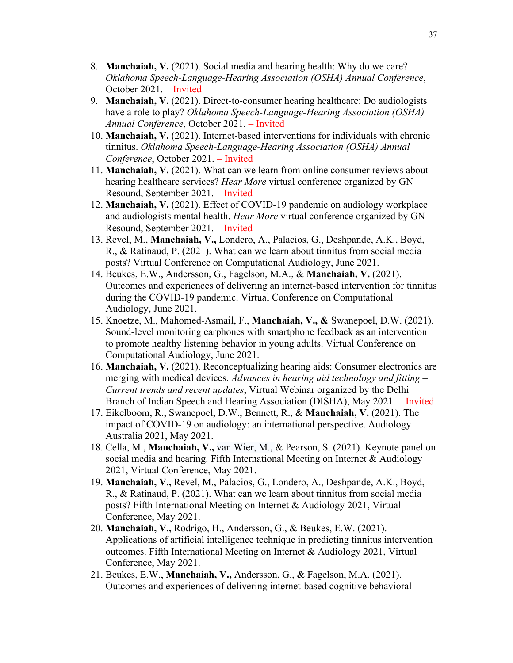- 8. **Manchaiah, V.** (2021). Social media and hearing health: Why do we care? *Oklahoma Speech-Language-Hearing Association (OSHA) Annual Conference*, October 2021. – Invited
- 9. **Manchaiah, V.** (2021). Direct-to-consumer hearing healthcare: Do audiologists have a role to play? *Oklahoma Speech-Language-Hearing Association (OSHA) Annual Conference*, October 2021. – Invited
- 10. **Manchaiah, V.** (2021). Internet-based interventions for individuals with chronic tinnitus. *Oklahoma Speech-Language-Hearing Association (OSHA) Annual Conference*, October 2021. – Invited
- 11. **Manchaiah, V.** (2021). What can we learn from online consumer reviews about hearing healthcare services? *Hear More* virtual conference organized by GN Resound, September 2021. – Invited
- 12. **Manchaiah, V.** (2021). Effect of COVID-19 pandemic on audiology workplace and audiologists mental health. *Hear More* virtual conference organized by GN Resound, September 2021. – Invited
- 13. Revel, M., **Manchaiah, V.,** Londero, A., Palacios, G., Deshpande, A.K., Boyd, R., & Ratinaud, P. (2021). What can we learn about tinnitus from social media posts? Virtual Conference on Computational Audiology, June 2021.
- 14. Beukes, E.W., Andersson, G., Fagelson, M.A., & **Manchaiah, V.** (2021). Outcomes and experiences of delivering an internet-based intervention for tinnitus during the COVID-19 pandemic. Virtual Conference on Computational Audiology, June 2021.
- 15. Knoetze, M., Mahomed-Asmail, F., **Manchaiah, V., &** Swanepoel, D.W. (2021). Sound-level monitoring earphones with smartphone feedback as an intervention to promote healthy listening behavior in young adults. Virtual Conference on Computational Audiology, June 2021.
- 16. **Manchaiah, V.** (2021). Reconceptualizing hearing aids: Consumer electronics are merging with medical devices. *Advances in hearing aid technology and fitting – Current trends and recent updates*, Virtual Webinar organized by the Delhi Branch of Indian Speech and Hearing Association (DISHA), May 2021. – Invited
- 17. Eikelboom, R., Swanepoel, D.W., Bennett, R., & **Manchaiah, V.** (2021). The impact of COVID-19 on audiology: an international perspective. Audiology Australia 2021, May 2021.
- 18. Cella, M., **Manchaiah, V.,** van Wier, M., & Pearson, S. (2021). Keynote panel on social media and hearing. Fifth International Meeting on Internet & Audiology 2021, Virtual Conference, May 2021.
- 19. **Manchaiah, V.,** Revel, M., Palacios, G., Londero, A., Deshpande, A.K., Boyd, R., & Ratinaud, P. (2021). What can we learn about tinnitus from social media posts? Fifth International Meeting on Internet & Audiology 2021, Virtual Conference, May 2021.
- 20. **Manchaiah, V.,** Rodrigo, H., Andersson, G., & Beukes, E.W. (2021). Applications of artificial intelligence technique in predicting tinnitus intervention outcomes. Fifth International Meeting on Internet & Audiology 2021, Virtual Conference, May 2021.
- 21. Beukes, E.W., **Manchaiah, V.,** Andersson, G., & Fagelson, M.A. (2021). Outcomes and experiences of delivering internet-based cognitive behavioral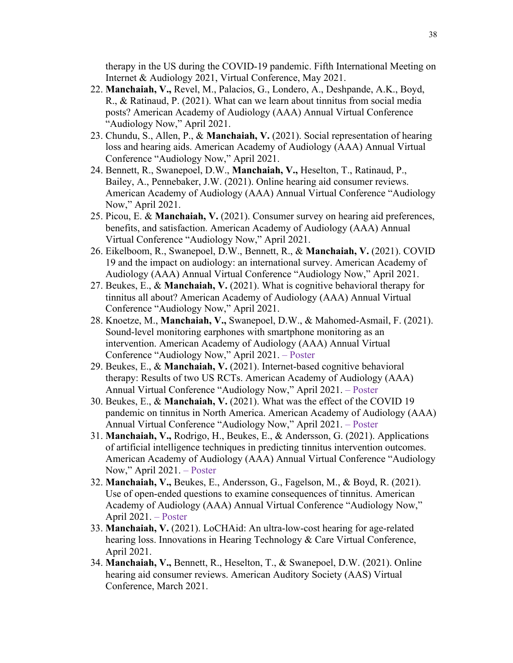therapy in the US during the COVID-19 pandemic. Fifth International Meeting on Internet & Audiology 2021, Virtual Conference, May 2021.

- 22. **Manchaiah, V.,** Revel, M., Palacios, G., Londero, A., Deshpande, A.K., Boyd, R., & Ratinaud, P. (2021). What can we learn about tinnitus from social media posts? American Academy of Audiology (AAA) Annual Virtual Conference "Audiology Now," April 2021.
- 23. Chundu, S., Allen, P., & **Manchaiah, V.** (2021). Social representation of hearing loss and hearing aids. American Academy of Audiology (AAA) Annual Virtual Conference "Audiology Now," April 2021.
- 24. Bennett, R., Swanepoel, D.W., **Manchaiah, V.,** Heselton, T., Ratinaud, P., Bailey, A., Pennebaker, J.W. (2021). Online hearing aid consumer reviews. American Academy of Audiology (AAA) Annual Virtual Conference "Audiology Now," April 2021.
- 25. Picou, E. & **Manchaiah, V.** (2021). Consumer survey on hearing aid preferences, benefits, and satisfaction. American Academy of Audiology (AAA) Annual Virtual Conference "Audiology Now," April 2021.
- 26. Eikelboom, R., Swanepoel, D.W., Bennett, R., & **Manchaiah, V.** (2021). COVID 19 and the impact on audiology: an international survey. American Academy of Audiology (AAA) Annual Virtual Conference "Audiology Now," April 2021.
- 27. Beukes, E., & **Manchaiah, V.** (2021). What is cognitive behavioral therapy for tinnitus all about? American Academy of Audiology (AAA) Annual Virtual Conference "Audiology Now," April 2021.
- 28. Knoetze, M., **Manchaiah, V.,** Swanepoel, D.W., & Mahomed-Asmail, F. (2021). Sound-level monitoring earphones with smartphone monitoring as an intervention. American Academy of Audiology (AAA) Annual Virtual Conference "Audiology Now," April 2021. – Poster
- 29. Beukes, E., & **Manchaiah, V.** (2021). Internet-based cognitive behavioral therapy: Results of two US RCTs. American Academy of Audiology (AAA) Annual Virtual Conference "Audiology Now," April 2021. – Poster
- 30. Beukes, E., & **Manchaiah, V.** (2021). What was the effect of the COVID 19 pandemic on tinnitus in North America. American Academy of Audiology (AAA) Annual Virtual Conference "Audiology Now," April 2021. – Poster
- 31. **Manchaiah, V.,** Rodrigo, H., Beukes, E., & Andersson, G. (2021). Applications of artificial intelligence techniques in predicting tinnitus intervention outcomes. American Academy of Audiology (AAA) Annual Virtual Conference "Audiology Now," April 2021. – Poster
- 32. **Manchaiah, V.,** Beukes, E., Andersson, G., Fagelson, M., & Boyd, R. (2021). Use of open-ended questions to examine consequences of tinnitus. American Academy of Audiology (AAA) Annual Virtual Conference "Audiology Now," April 2021. – Poster
- 33. **Manchaiah, V.** (2021). LoCHAid: An ultra-low-cost hearing for age-related hearing loss. Innovations in Hearing Technology & Care Virtual Conference, April 2021.
- 34. **Manchaiah, V.,** Bennett, R., Heselton, T., & Swanepoel, D.W. (2021). Online hearing aid consumer reviews. American Auditory Society (AAS) Virtual Conference, March 2021.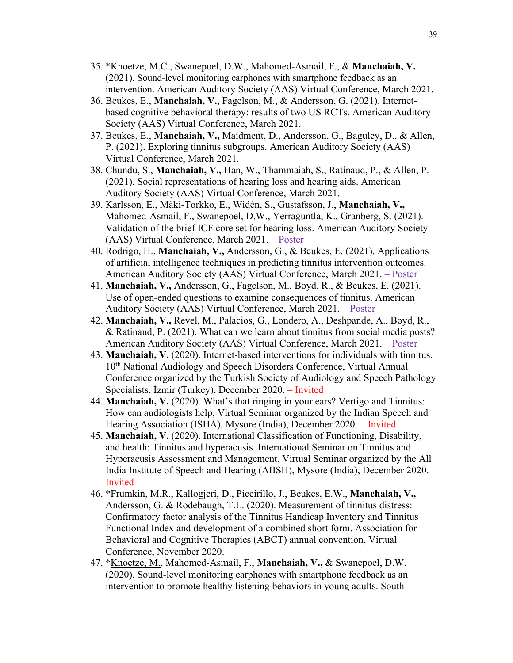- 35. \*Knoetze, M.C., Swanepoel, D.W., Mahomed-Asmail, F., & **Manchaiah, V.**  (2021). Sound-level monitoring earphones with smartphone feedback as an intervention. American Auditory Society (AAS) Virtual Conference, March 2021.
- 36. Beukes, E., **Manchaiah, V.,** Fagelson, M., & Andersson, G. (2021). Internetbased cognitive behavioral therapy: results of two US RCTs. American Auditory Society (AAS) Virtual Conference, March 2021.
- 37. Beukes, E., **Manchaiah, V.,** Maidment, D., Andersson, G., Baguley, D., & Allen, P. (2021). Exploring tinnitus subgroups. American Auditory Society (AAS) Virtual Conference, March 2021.
- 38. Chundu, S., **Manchaiah, V.,** Han, W., Thammaiah, S., Ratinaud, P., & Allen, P. (2021). Social representations of hearing loss and hearing aids. American Auditory Society (AAS) Virtual Conference, March 2021.
- 39. Karlsson, E., Mäki-Torkko, E., Widén, S., Gustafsson, J., **Manchaiah, V.,**  Mahomed-Asmail, F., Swanepoel, D.W., Yerraguntla, K., Granberg, S. (2021). Validation of the brief ICF core set for hearing loss. American Auditory Society (AAS) Virtual Conference, March 2021. – Poster
- 40. Rodrigo, H., **Manchaiah, V.,** Andersson, G., & Beukes, E. (2021). Applications of artificial intelligence techniques in predicting tinnitus intervention outcomes. American Auditory Society (AAS) Virtual Conference, March 2021. – Poster
- 41. **Manchaiah, V.,** Andersson, G., Fagelson, M., Boyd, R., & Beukes, E. (2021). Use of open-ended questions to examine consequences of tinnitus. American Auditory Society (AAS) Virtual Conference, March 2021. – Poster
- 42. **Manchaiah, V.,** Revel, M., Palacios, G., Londero, A., Deshpande, A., Boyd, R., & Ratinaud, P. (2021). What can we learn about tinnitus from social media posts? American Auditory Society (AAS) Virtual Conference, March 2021. – Poster
- 43. **Manchaiah, V.** (2020). Internet-based interventions for individuals with tinnitus. 10<sup>th</sup> National Audiology and Speech Disorders Conference, Virtual Annual Conference organized by the Turkish Society of Audiology and Speech Pathology Specialists, İzmir (Turkey), December 2020. – Invited
- 44. **Manchaiah, V.** (2020). What's that ringing in your ears? Vertigo and Tinnitus: How can audiologists help, Virtual Seminar organized by the Indian Speech and Hearing Association (ISHA), Mysore (India), December 2020. – Invited
- 45. **Manchaiah, V.** (2020). International Classification of Functioning, Disability, and health: Tinnitus and hyperacusis. International Seminar on Tinnitus and Hyperacusis Assessment and Management, Virtual Seminar organized by the All India Institute of Speech and Hearing (AIISH), Mysore (India), December 2020. – Invited
- 46. \*Frumkin, M.R., Kallogjeri, D., Piccirillo, J., Beukes, E.W., **Manchaiah, V.,** Andersson, G. & Rodebaugh, T.L. (2020). Measurement of tinnitus distress: Confirmatory factor analysis of the Tinnitus Handicap Inventory and Tinnitus Functional Index and development of a combined short form. Association for Behavioral and Cognitive Therapies (ABCT) annual convention, Virtual Conference, November 2020.
- 47. \*Knoetze, M., Mahomed-Asmail, F., **Manchaiah, V.,** & Swanepoel, D.W. (2020). Sound-level monitoring earphones with smartphone feedback as an intervention to promote healthy listening behaviors in young adults. South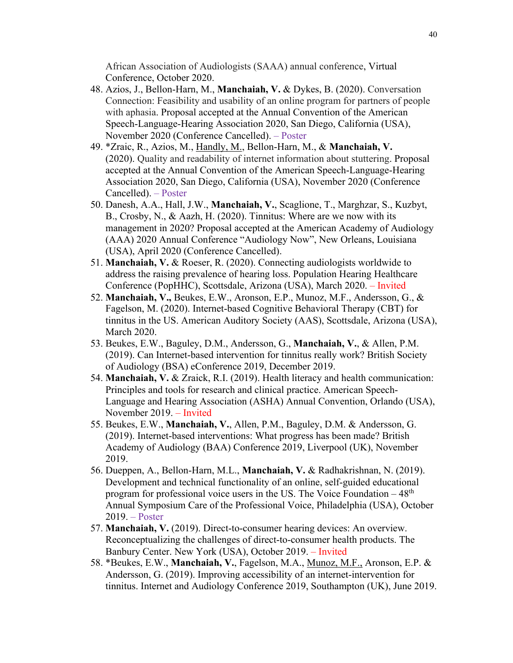African Association of Audiologists (SAAA) annual conference, Virtual Conference, October 2020.

- 48. Azios, J., Bellon-Harn, M., **Manchaiah, V.** & Dykes, B. (2020). Conversation Connection: Feasibility and usability of an online program for partners of people with aphasia. Proposal accepted at the Annual Convention of the American Speech-Language-Hearing Association 2020, San Diego, California (USA), November 2020 (Conference Cancelled). – Poster
- 49. \*Zraic, R., Azios, M., Handly, M., Bellon-Harn, M., & **Manchaiah, V.** (2020). Quality and readability of internet information about stuttering. Proposal accepted at the Annual Convention of the American Speech-Language-Hearing Association 2020, San Diego, California (USA), November 2020 (Conference Cancelled). – Poster
- 50. Danesh, A.A., Hall, J.W., **Manchaiah, V.**, Scaglione, T., Marghzar, S., Kuzbyt, B., Crosby, N., & Aazh, H. (2020). Tinnitus: Where are we now with its management in 2020? Proposal accepted at the American Academy of Audiology (AAA) 2020 Annual Conference "Audiology Now", New Orleans, Louisiana (USA), April 2020 (Conference Cancelled).
- 51. **Manchaiah, V.** & Roeser, R. (2020). Connecting audiologists worldwide to address the raising prevalence of hearing loss. Population Hearing Healthcare Conference (PopHHC), Scottsdale, Arizona (USA), March 2020. – Invited
- 52. **Manchaiah, V.,** Beukes, E.W., Aronson, E.P., Munoz, M.F., Andersson, G., & Fagelson, M. (2020). Internet-based Cognitive Behavioral Therapy (CBT) for tinnitus in the US. American Auditory Society (AAS), Scottsdale, Arizona (USA), March 2020.
- 53. Beukes, E.W., Baguley, D.M., Andersson, G., **Manchaiah, V.**, & Allen, P.M. (2019). Can Internet-based intervention for tinnitus really work? British Society of Audiology (BSA) eConference 2019, December 2019.
- 54. **Manchaiah, V.** & Zraick, R.I. (2019). Health literacy and health communication: Principles and tools for research and clinical practice. American Speech-Language and Hearing Association (ASHA) Annual Convention, Orlando (USA), November 2019. – Invited
- 55. Beukes, E.W., **Manchaiah, V.**, Allen, P.M., Baguley, D.M. & Andersson, G. (2019). Internet-based interventions: What progress has been made? British Academy of Audiology (BAA) Conference 2019, Liverpool (UK), November 2019.
- 56. Dueppen, A., Bellon-Harn, M.L., **Manchaiah, V.** & Radhakrishnan, N. (2019). Development and technical functionality of an online, self-guided educational program for professional voice users in the US. The Voice Foundation  $-48<sup>th</sup>$ Annual Symposium Care of the Professional Voice, Philadelphia (USA), October 2019. – Poster
- 57. **Manchaiah, V.** (2019). Direct-to-consumer hearing devices: An overview. Reconceptualizing the challenges of direct-to-consumer health products. The Banbury Center. New York (USA), October 2019. – Invited
- 58. \*Beukes, E.W., **Manchaiah, V.**, Fagelson, M.A., Munoz, M.F., Aronson, E.P. & Andersson, G. (2019). Improving accessibility of an internet-intervention for tinnitus. Internet and Audiology Conference 2019, Southampton (UK), June 2019.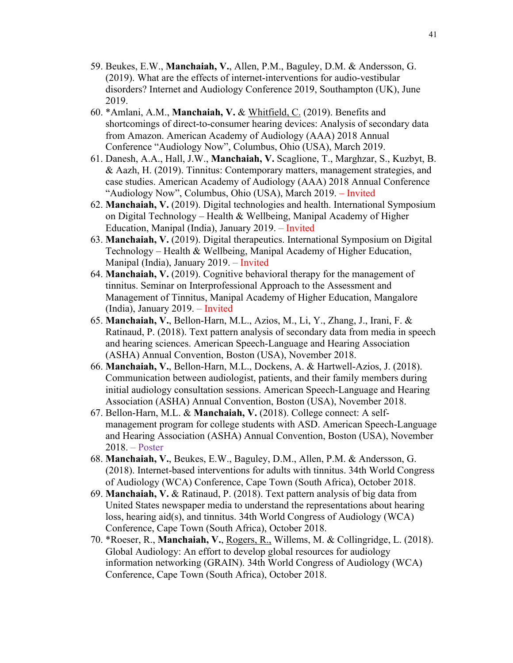- 59. Beukes, E.W., **Manchaiah, V.**, Allen, P.M., Baguley, D.M. & Andersson, G. (2019). What are the effects of internet-interventions for audio-vestibular disorders? Internet and Audiology Conference 2019, Southampton (UK), June 2019.
- 60. \*Amlani, A.M., **Manchaiah, V.** & Whitfield, C. (2019). Benefits and shortcomings of direct-to-consumer hearing devices: Analysis of secondary data from Amazon. American Academy of Audiology (AAA) 2018 Annual Conference "Audiology Now", Columbus, Ohio (USA), March 2019.
- 61. Danesh, A.A., Hall, J.W., **Manchaiah, V.** Scaglione, T., Marghzar, S., Kuzbyt, B. & Aazh, H. (2019). Tinnitus: Contemporary matters, management strategies, and case studies. American Academy of Audiology (AAA) 2018 Annual Conference "Audiology Now", Columbus, Ohio (USA), March 2019. – Invited
- 62. **Manchaiah, V.** (2019). Digital technologies and health. International Symposium on Digital Technology – Health & Wellbeing, Manipal Academy of Higher Education, Manipal (India), January 2019. – Invited
- 63. **Manchaiah, V.** (2019). Digital therapeutics. International Symposium on Digital Technology – Health & Wellbeing, Manipal Academy of Higher Education, Manipal (India), January 2019. – Invited
- 64. **Manchaiah, V.** (2019). Cognitive behavioral therapy for the management of tinnitus. Seminar on Interprofessional Approach to the Assessment and Management of Tinnitus, Manipal Academy of Higher Education, Mangalore (India), January 2019. – Invited
- 65. **Manchaiah, V.**, Bellon-Harn, M.L., Azios, M., Li, Y., Zhang, J., Irani, F. & Ratinaud, P. (2018). Text pattern analysis of secondary data from media in speech and hearing sciences. American Speech-Language and Hearing Association (ASHA) Annual Convention, Boston (USA), November 2018.
- 66. **Manchaiah, V.**, Bellon-Harn, M.L., Dockens, A. & Hartwell-Azios, J. (2018). Communication between audiologist, patients, and their family members during initial audiology consultation sessions. American Speech-Language and Hearing Association (ASHA) Annual Convention, Boston (USA), November 2018.
- 67. Bellon-Harn, M.L. & **Manchaiah, V.** (2018). College connect: A selfmanagement program for college students with ASD. American Speech-Language and Hearing Association (ASHA) Annual Convention, Boston (USA), November 2018. – Poster
- 68. **Manchaiah, V.**, Beukes, E.W., Baguley, D.M., Allen, P.M. & Andersson, G. (2018). Internet-based interventions for adults with tinnitus. 34th World Congress of Audiology (WCA) Conference, Cape Town (South Africa), October 2018.
- 69. **Manchaiah, V.** & Ratinaud, P. (2018). Text pattern analysis of big data from United States newspaper media to understand the representations about hearing loss, hearing aid(s), and tinnitus. 34th World Congress of Audiology (WCA) Conference, Cape Town (South Africa), October 2018.
- 70. \*Roeser, R., **Manchaiah, V.**, Rogers, R., Willems, M. & Collingridge, L. (2018). Global Audiology: An effort to develop global resources for audiology information networking (GRAIN). 34th World Congress of Audiology (WCA) Conference, Cape Town (South Africa), October 2018.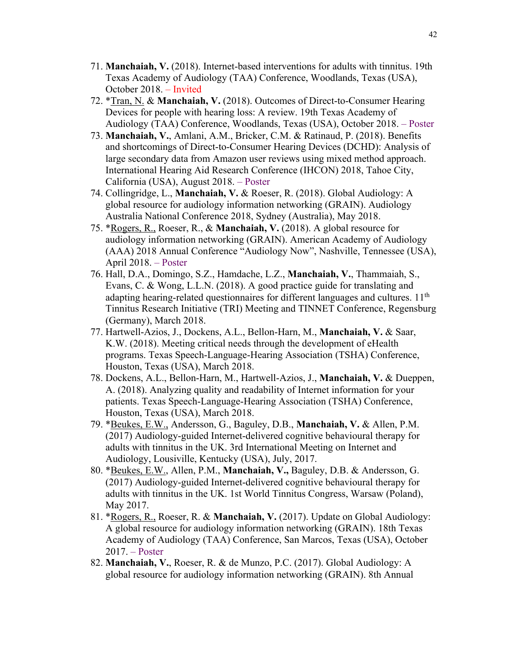- 71. **Manchaiah, V.** (2018). Internet-based interventions for adults with tinnitus. 19th Texas Academy of Audiology (TAA) Conference, Woodlands, Texas (USA), October 2018. – Invited
- 72. \*Tran, N. & **Manchaiah, V.** (2018). Outcomes of Direct-to-Consumer Hearing Devices for people with hearing loss: A review. 19th Texas Academy of Audiology (TAA) Conference, Woodlands, Texas (USA), October 2018. – Poster
- 73. **Manchaiah, V.**, Amlani, A.M., Bricker, C.M. & Ratinaud, P. (2018). Benefits and shortcomings of Direct-to-Consumer Hearing Devices (DCHD): Analysis of large secondary data from Amazon user reviews using mixed method approach. International Hearing Aid Research Conference (IHCON) 2018, Tahoe City, California (USA), August 2018. – Poster
- 74. Collingridge, L., **Manchaiah, V.** & Roeser, R. (2018). Global Audiology: A global resource for audiology information networking (GRAIN). Audiology Australia National Conference 2018, Sydney (Australia), May 2018.
- 75. \*Rogers, R., Roeser, R., & **Manchaiah, V.** (2018). A global resource for audiology information networking (GRAIN). American Academy of Audiology (AAA) 2018 Annual Conference "Audiology Now", Nashville, Tennessee (USA), April 2018. – Poster
- 76. Hall, D.A., Domingo, S.Z., Hamdache, L.Z., **Manchaiah, V.**, Thammaiah, S., Evans, C. & Wong, L.L.N. (2018). A good practice guide for translating and adapting hearing-related questionnaires for different languages and cultures.  $11<sup>th</sup>$ Tinnitus Research Initiative (TRI) Meeting and TINNET Conference, Regensburg (Germany), March 2018.
- 77. Hartwell-Azios, J., Dockens, A.L., Bellon-Harn, M., **Manchaiah, V.** & Saar, K.W. (2018). Meeting critical needs through the development of eHealth programs. Texas Speech-Language-Hearing Association (TSHA) Conference, Houston, Texas (USA), March 2018.
- 78. Dockens, A.L., Bellon-Harn, M., Hartwell-Azios, J., **Manchaiah, V.** & Dueppen, A. (2018). Analyzing quality and readability of Internet information for your patients. Texas Speech-Language-Hearing Association (TSHA) Conference, Houston, Texas (USA), March 2018.
- 79. \*Beukes, E.W., Andersson, G., Baguley, D.B., **Manchaiah, V.** & Allen, P.M. (2017) Audiology-guided Internet-delivered cognitive behavioural therapy for adults with tinnitus in the UK. 3rd International Meeting on Internet and Audiology, Lousiville, Kentucky (USA), July, 2017.
- 80. \*Beukes, E.W., Allen, P.M., **Manchaiah, V.,** Baguley, D.B. & Andersson, G. (2017) Audiology-guided Internet-delivered cognitive behavioural therapy for adults with tinnitus in the UK. 1st World Tinnitus Congress, Warsaw (Poland), May 2017.
- 81. \*Rogers, R., Roeser, R. & **Manchaiah, V.** (2017). Update on Global Audiology: A global resource for audiology information networking (GRAIN). 18th Texas Academy of Audiology (TAA) Conference, San Marcos, Texas (USA), October 2017. – Poster
- 82. **Manchaiah, V.**, Roeser, R. & de Munzo, P.C. (2017). Global Audiology: A global resource for audiology information networking (GRAIN). 8th Annual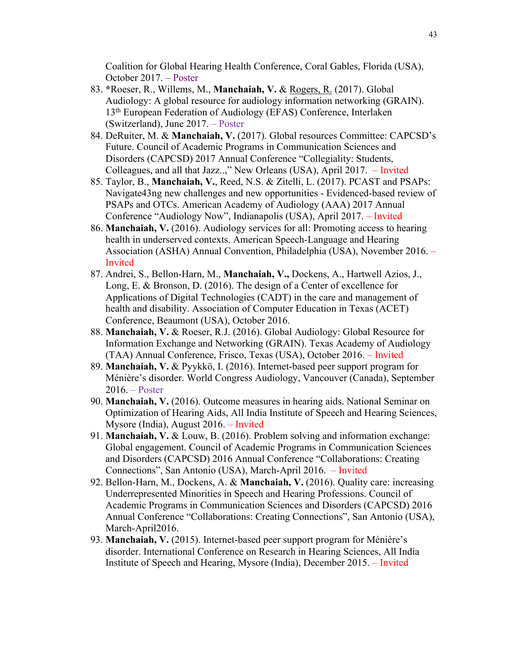Coalition for Global Hearing Health Conference, Coral Gables, Florida (USA), October 2017. – Poster

- 83. **\***Roeser, R., Willems, M., **Manchaiah, V.** & Rogers, R. (2017). Global Audiology: A global resource for audiology information networking (GRAIN). 13th European Federation of Audiology (EFAS) Conference, Interlaken (Switzerland), June 2017. – Poster
- 84. DeRuiter, M. & **Manchaiah, V.** (2017). Global resources Committee: CAPCSD's Future. Council of Academic Programs in Communication Sciences and Disorders (CAPCSD) 2017 Annual Conference "Collegiality: Students, Colleagues, and all that Jazz..," New Orleans (USA), April 2017. – Invited
- 85. Taylor, B., **Manchaiah, V.**, Reed, N.S. & Zitelli, L. (2017). PCAST and PSAPs: Navigate43ng new challenges and new opportunities - Evidenced-based review of PSAPs and OTCs. American Academy of Audiology (AAA) 2017 Annual Conference "Audiology Now", Indianapolis (USA), April 2017. – Invited
- 86. **Manchaiah, V.** (2016). Audiology services for all: Promoting access to hearing health in underserved contexts. American Speech-Language and Hearing Association (ASHA) Annual Convention, Philadelphia (USA), November 2016. – Invited
- 87. Andrei, S., Bellon-Harn, M., **Manchaiah, V.,** Dockens, A., Hartwell Azios, J., Long, E. & Bronson, D. (2016). The design of a Center of excellence for Applications of Digital Technologies (CADT) in the care and management of health and disability. Association of Computer Education in Texas (ACET) Conference, Beaumont (USA), October 2016.
- 88. **Manchaiah, V.** & Roeser, R.J. (2016). Global Audiology: Global Resource for Information Exchange and Networking (GRAIN). Texas Academy of Audiology (TAA) Annual Conference, Frisco, Texas (USA), October 2016. – Invited
- 89. **Manchaiah, V.** & Pyykkö, I. (2016). Internet-based peer support program for Ménière's disorder. World Congress Audiology, Vancouver (Canada), September 2016. – Poster
- 90. **Manchaiah, V.** (2016). Outcome measures in hearing aids. National Seminar on Optimization of Hearing Aids, All India Institute of Speech and Hearing Sciences, Mysore (India), August 2016. – Invited
- 91. **Manchaiah, V.** & Louw, B. (2016). Problem solving and information exchange: Global engagement. Council of Academic Programs in Communication Sciences and Disorders (CAPCSD) 2016 Annual Conference "Collaborations: Creating Connections", San Antonio (USA), March-April 2016. – Invited
- 92. Bellon-Harn, M., Dockens, A. & **Manchaiah, V.** (2016). Quality care: increasing Underrepresented Minorities in Speech and Hearing Professions. Council of Academic Programs in Communication Sciences and Disorders (CAPCSD) 2016 Annual Conference "Collaborations: Creating Connections", San Antonio (USA), March-April2016.
- 93. **Manchaiah, V.** (2015). Internet-based peer support program for Ménière's disorder. International Conference on Research in Hearing Sciences, All India Institute of Speech and Hearing, Mysore (India), December 2015. – Invited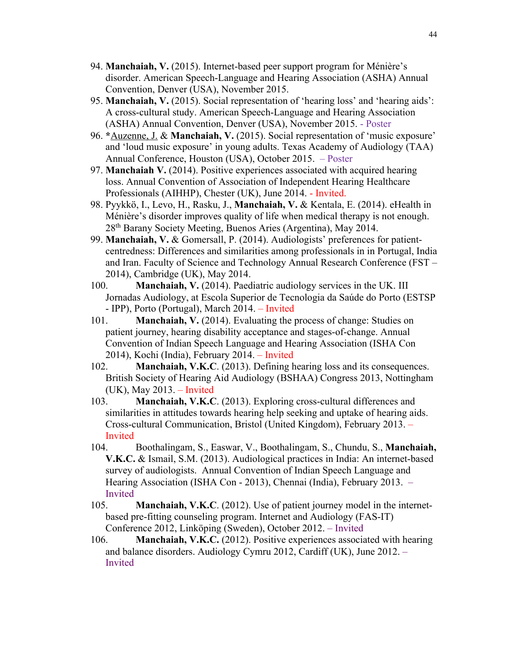- 94. **Manchaiah, V.** (2015). Internet-based peer support program for Ménière's disorder. American Speech-Language and Hearing Association (ASHA) Annual Convention, Denver (USA), November 2015.
- 95. **Manchaiah, V.** (2015). Social representation of 'hearing loss' and 'hearing aids': A cross-cultural study. American Speech-Language and Hearing Association (ASHA) Annual Convention, Denver (USA), November 2015. - Poster
- 96. **\***Auzenne, J. & **Manchaiah, V.** (2015). Social representation of 'music exposure' and 'loud music exposure' in young adults. Texas Academy of Audiology (TAA) Annual Conference, Houston (USA), October 2015. – Poster
- 97. **Manchaiah V.** (2014). Positive experiences associated with acquired hearing loss. Annual Convention of Association of Independent Hearing Healthcare Professionals (AIHHP), Chester (UK), June 2014. - Invited.
- 98. Pyykkö, I., Levo, H., Rasku, J., **Manchaiah, V.** & Kentala, E. (2014). eHealth in Ménière's disorder improves quality of life when medical therapy is not enough. 28th Barany Society Meeting, Buenos Aries (Argentina), May 2014.
- 99. **Manchaiah, V.** & Gomersall, P. (2014). Audiologists' preferences for patientcentredness: Differences and similarities among professionals in in Portugal, India and Iran. Faculty of Science and Technology Annual Research Conference (FST – 2014), Cambridge (UK), May 2014.
- 100. **Manchaiah, V.** (2014). Paediatric audiology services in the UK. III Jornadas Audiology, at Escola Superior de Tecnologia da Saúde do Porto (ESTSP - IPP), Porto (Portugal), March 2014. – Invited
- 101. **Manchaiah, V.** (2014). Evaluating the process of change: Studies on patient journey, hearing disability acceptance and stages-of-change. Annual Convention of Indian Speech Language and Hearing Association (ISHA Con 2014), Kochi (India), February 2014. – Invited
- 102. **Manchaiah, V.K.C**. (2013). Defining hearing loss and its consequences. British Society of Hearing Aid Audiology (BSHAA) Congress 2013, Nottingham (UK), May 2013. – Invited
- 103. **Manchaiah, V.K.C**. (2013). Exploring cross-cultural differences and similarities in attitudes towards hearing help seeking and uptake of hearing aids. Cross-cultural Communication, Bristol (United Kingdom), February 2013. – Invited
- 104. Boothalingam, S., Easwar, V., Boothalingam, S., Chundu, S., **Manchaiah, V.K.C.** & Ismail, S.M. (2013). Audiological practices in India: An internet-based survey of audiologists. Annual Convention of Indian Speech Language and Hearing Association (ISHA Con - 2013), Chennai (India), February 2013. – Invited
- 105. **Manchaiah, V.K.C**. (2012). Use of patient journey model in the internetbased pre-fitting counseling program. Internet and Audiology (FAS-IT) Conference 2012, Linköping (Sweden), October 2012. – Invited
- 106. **Manchaiah, V.K.C.** (2012). Positive experiences associated with hearing and balance disorders. Audiology Cymru 2012, Cardiff (UK), June 2012. – Invited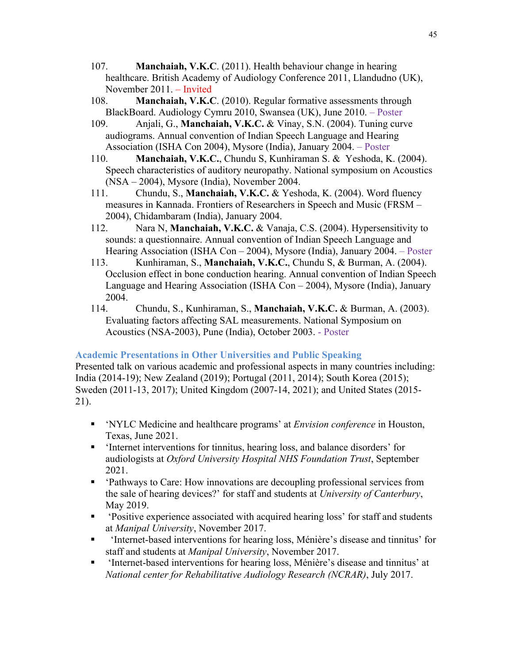- 107. **Manchaiah, V.K.C**. (2011). Health behaviour change in hearing healthcare. British Academy of Audiology Conference 2011, Llandudno (UK), November 2011. – Invited
- 108. **Manchaiah, V.K.C**. (2010). Regular formative assessments through BlackBoard. Audiology Cymru 2010, Swansea (UK), June 2010. – Poster
- 109. Anjali, G., **Manchaiah, V.K.C.** & Vinay, S.N. (2004). Tuning curve audiograms. Annual convention of Indian Speech Language and Hearing Association (ISHA Con 2004), Mysore (India), January 2004. – Poster
- 110. **Manchaiah, V.K.C.**, Chundu S, Kunhiraman S. & Yeshoda, K. (2004). Speech characteristics of auditory neuropathy. National symposium on Acoustics (NSA – 2004), Mysore (India), November 2004.
- 111. Chundu, S., **Manchaiah, V.K.C.** & Yeshoda, K. (2004). Word fluency measures in Kannada. Frontiers of Researchers in Speech and Music (FRSM – 2004), Chidambaram (India), January 2004.
- 112. Nara N, **Manchaiah, V.K.C.** & Vanaja, C.S. (2004). Hypersensitivity to sounds: a questionnaire. Annual convention of Indian Speech Language and Hearing Association (ISHA Con – 2004), Mysore (India), January 2004. – Poster
- 113. Kunhiraman, S., **Manchaiah, V.K.C.**, Chundu S, & Burman, A. (2004). Occlusion effect in bone conduction hearing. Annual convention of Indian Speech Language and Hearing Association (ISHA Con – 2004), Mysore (India), January 2004.
- 114. Chundu, S., Kunhiraman, S., **Manchaiah, V.K.C.** & Burman, A. (2003). Evaluating factors affecting SAL measurements. National Symposium on Acoustics (NSA-2003), Pune (India), October 2003. - Poster

#### **Academic Presentations in Other Universities and Public Speaking**

Presented talk on various academic and professional aspects in many countries including: India (2014-19); New Zealand (2019); Portugal (2011, 2014); South Korea (2015); Sweden (2011-13, 2017); United Kingdom (2007-14, 2021); and United States (2015- 21).

- § 'NYLC Medicine and healthcare programs' at *Envision conference* in Houston, Texas, June 2021.
- 'Internet interventions for tinnitus, hearing loss, and balance disorders' for audiologists at *Oxford University Hospital NHS Foundation Trust*, September 2021.
- 'Pathways to Care: How innovations are decoupling professional services from the sale of hearing devices?' for staff and students at *University of Canterbury*, May 2019.
- § 'Positive experience associated with acquired hearing loss' for staff and students at *Manipal University*, November 2017.
- § 'Internet-based interventions for hearing loss, Ménière's disease and tinnitus' for staff and students at *Manipal University*, November 2017.
- 'Internet-based interventions for hearing loss, Ménière's disease and tinnitus' at *National center for Rehabilitative Audiology Research (NCRAR)*, July 2017.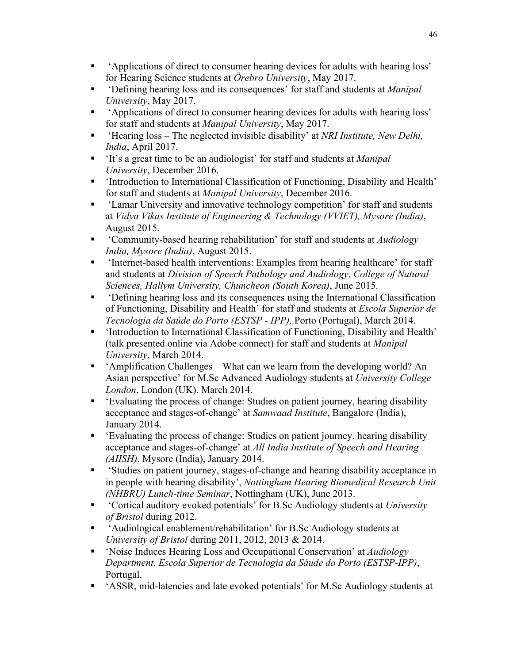- § 'Applications of direct to consumer hearing devices for adults with hearing loss' for Hearing Science students at *Örebro University*, May 2017.
- § 'Defining hearing loss and its consequences' for staff and students at *Manipal University*, May 2017.
- § 'Applications of direct to consumer hearing devices for adults with hearing loss' for staff and students at *Manipal University*, May 2017.
- 'Hearing loss The neglected invisible disability' at *NRI Institute, New Delhi*, *India*, April 2017.
- § 'It's a great time to be an audiologist' for staff and students at *Manipal University*, December 2016.
- 'Introduction to International Classification of Functioning, Disability and Health' for staff and students at *Manipal University*, December 2016.
- 'Lamar University and innovative technology competition' for staff and students at *Vidya Vikas Institute of Engineering & Technology (VVIET), Mysore (India)*, August 2015.
- § 'Community-based hearing rehabilitation' for staff and students at *Audiology India, Mysore (India)*, August 2015.
- 'Internet-based health interventions: Examples from hearing healthcare' for staff and students at *Division of Speech Pathology and Audiology, College of Natural Sciences, Hallym University, Chuncheon (South Korea)*, June 2015.
- § 'Defining hearing loss and its consequences using the International Classification of Functioning, Disability and Health' for staff and students at *Escola Superior de Tecnologia da Saúde do Porto (ESTSP - IPP),* Porto (Portugal), March 2014.
- 'Introduction to International Classification of Functioning, Disability and Health' (talk presented online via Adobe connect) for staff and students at *Manipal University*, March 2014.
- § 'Amplification Challenges What can we learn from the developing world? An Asian perspective' for M.Sc Advanced Audiology students at *University College London*, London (UK), March 2014.
- § 'Evaluating the process of change: Studies on patient journey, hearing disability acceptance and stages-of-change' at *Samwaad Institute*, Bangalore (India), January 2014.
- 'Evaluating the process of change: Studies on patient journey, hearing disability acceptance and stages-of-change' at *All India Institute of Speech and Hearing (AIISH)*, Mysore (India), January 2014.
- § 'Studies on patient journey, stages-of-change and hearing disability acceptance in in people with hearing disability', *Nottingham Hearing Biomedical Research Unit (NHBRU) Lunch-time Seminar*, Nottingham (UK), June 2013.
- § 'Cortical auditory evoked potentials' for B.Sc Audiology students at *University of Bristol* during 2012.
- 'Audiological enablement/rehabilitation' for B.Sc Audiology students at *University of Bristol* during 2011, 2012, 2013 & 2014.
- § 'Noise Induces Hearing Loss and Occupational Conservation' at *Audiology Department, Escola Superior de Tecnologia da Sáude do Porto (ESTSP-IPP)*, Portugal.
- § 'ASSR, mid-latencies and late evoked potentials' for M.Sc Audiology students at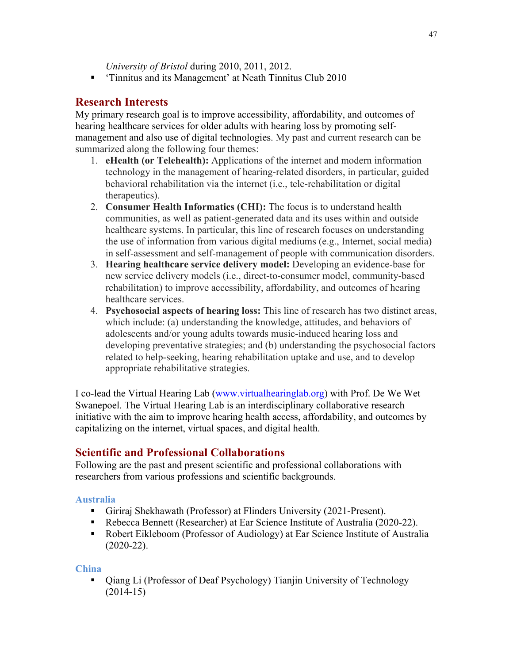*University of Bristol* during 2010, 2011, 2012.

§ 'Tinnitus and its Management' at Neath Tinnitus Club 2010

### **Research Interests**

My primary research goal is to improve accessibility, affordability, and outcomes of hearing healthcare services for older adults with hearing loss by promoting selfmanagement and also use of digital technologies. My past and current research can be summarized along the following four themes:

- 1. **eHealth (or Telehealth):** Applications of the internet and modern information technology in the management of hearing-related disorders, in particular, guided behavioral rehabilitation via the internet (i.e., tele-rehabilitation or digital therapeutics).
- 2. **Consumer Health Informatics (CHI):** The focus is to understand health communities, as well as patient-generated data and its uses within and outside healthcare systems. In particular, this line of research focuses on understanding the use of information from various digital mediums (e.g., Internet, social media) in self-assessment and self-management of people with communication disorders.
- 3. **Hearing healthcare service delivery model:** Developing an evidence-base for new service delivery models (i.e., direct-to-consumer model, community-based rehabilitation) to improve accessibility, affordability, and outcomes of hearing healthcare services.
- 4. **Psychosocial aspects of hearing loss:** This line of research has two distinct areas, which include: (a) understanding the knowledge, attitudes, and behaviors of adolescents and/or young adults towards music-induced hearing loss and developing preventative strategies; and (b) understanding the psychosocial factors related to help-seeking, hearing rehabilitation uptake and use, and to develop appropriate rehabilitative strategies.

I co-lead the Virtual Hearing Lab (www.virtualhearinglab.org) with Prof. De We Wet Swanepoel. The Virtual Hearing Lab is an interdisciplinary collaborative research initiative with the aim to improve hearing health access, affordability, and outcomes by capitalizing on the internet, virtual spaces, and digital health.

## **Scientific and Professional Collaborations**

Following are the past and present scientific and professional collaborations with researchers from various professions and scientific backgrounds.

#### **Australia**

- Giriraj Shekhawath (Professor) at Flinders University (2021-Present).
- Rebecca Bennett (Researcher) at Ear Science Institute of Australia (2020-22).
- Robert Eikleboom (Professor of Audiology) at Ear Science Institute of Australia (2020-22).

#### **China**

• Qiang Li (Professor of Deaf Psychology) Tianjin University of Technology (2014-15)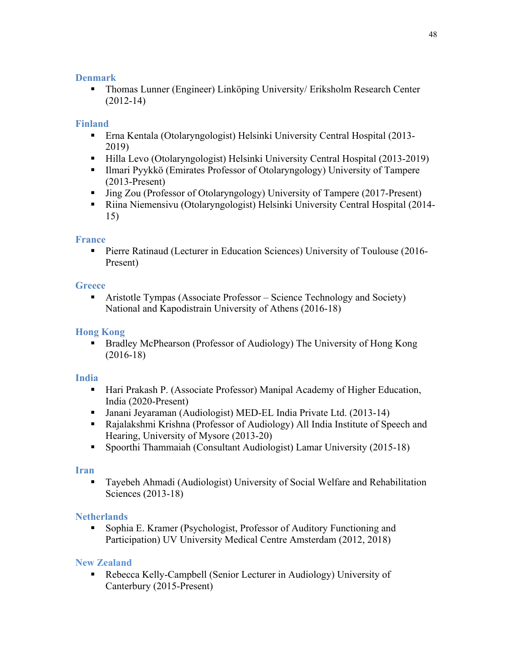### **Denmark**

§ Thomas Lunner (Engineer) Linköping University/ Eriksholm Research Center (2012-14)

### **Finland**

- § Erna Kentala (Otolaryngologist) Helsinki University Central Hospital (2013- 2019)
- Hilla Levo (Otolaryngologist) Helsinki University Central Hospital (2013-2019)
- Ilmari Pyykkö (Emirates Professor of Otolaryngology) University of Tampere (2013-Present)
- Jing Zou (Professor of Otolaryngology) University of Tampere (2017-Present)
- § Riina Niemensivu (Otolaryngologist) Helsinki University Central Hospital (2014- 15)

#### **France**

• Pierre Ratinaud (Lecturer in Education Sciences) University of Toulouse (2016-Present)

#### **Greece**

• Aristotle Tympas (Associate Professor – Science Technology and Society) National and Kapodistrain University of Athens (2016-18)

### **Hong Kong**

§ Bradley McPhearson (Professor of Audiology) The University of Hong Kong (2016-18)

#### **India**

- Hari Prakash P. (Associate Professor) Manipal Academy of Higher Education, India (2020-Present)
- Janani Jeyaraman (Audiologist) MED-EL India Private Ltd. (2013-14)
- Rajalakshmi Krishna (Professor of Audiology) All India Institute of Speech and Hearing, University of Mysore (2013-20)
- Spoorthi Thammaiah (Consultant Audiologist) Lamar University (2015-18)

#### **Iran**

§ Tayebeh Ahmadi (Audiologist) University of Social Welfare and Rehabilitation Sciences (2013-18)

### **Netherlands**

■ Sophia E. Kramer (Psychologist, Professor of Auditory Functioning and Participation) UV University Medical Centre Amsterdam (2012, 2018)

### **New Zealand**

■ Rebecca Kelly-Campbell (Senior Lecturer in Audiology) University of Canterbury (2015-Present)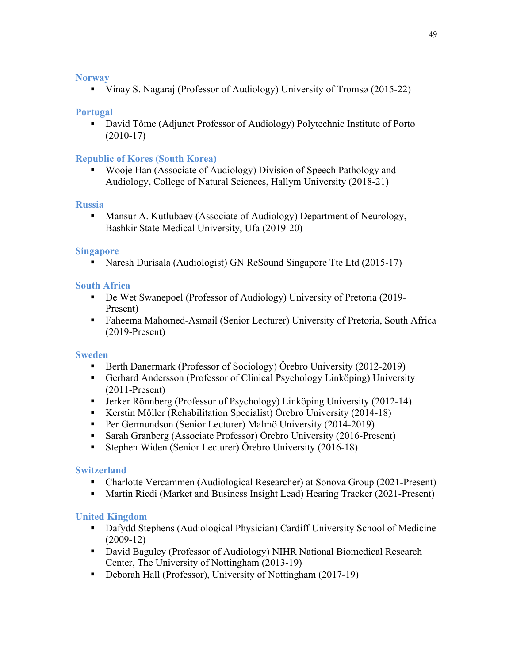#### **Norway**

■ Vinay S. Nagaraj (Professor of Audiology) University of Tromsø (2015-22)

#### **Portugal**

■ David Tòme (Adjunct Professor of Audiology) Polytechnic Institute of Porto (2010-17)

#### **Republic of Kores (South Korea)**

■ Wooje Han (Associate of Audiology) Division of Speech Pathology and Audiology, College of Natural Sciences, Hallym University (2018-21)

#### **Russia**

■ Mansur A. Kutlubaev (Associate of Audiology) Department of Neurology, Bashkir State Medical University, Ufa (2019-20)

#### **Singapore**

■ Naresh Durisala (Audiologist) GN ReSound Singapore Tte Ltd (2015-17)

#### **South Africa**

- De Wet Swanepoel (Professor of Audiology) University of Pretoria (2019-Present)
- § Faheema Mahomed-Asmail (Senior Lecturer) University of Pretoria, South Africa (2019-Present)

#### **Sweden**

- Berth Danermark (Professor of Sociology) Örebro University (2012-2019)
- Gerhard Andersson (Professor of Clinical Psychology Linköping) University (2011-Present)
- Jerker Rönnberg (Professor of Psychology) Linköping University (2012-14)
- Kerstin Möller (Rehabilitation Specialist) Örebro University (2014-18)
- Per Germundson (Senior Lecturer) Malmö University (2014-2019)
- Sarah Granberg (Associate Professor) Örebro University (2016-Present)
- Stephen Widen (Senior Lecturer) Örebro University (2016-18)

#### **Switzerland**

- Charlotte Vercammen (Audiological Researcher) at Sonova Group (2021-Present)
- § Martin Riedi (Market and Business Insight Lead) Hearing Tracker (2021-Present)

#### **United Kingdom**

- Dafydd Stephens (Audiological Physician) Cardiff University School of Medicine (2009-12)
- David Baguley (Professor of Audiology) NIHR National Biomedical Research Center, The University of Nottingham (2013-19)
- Deborah Hall (Professor), University of Nottingham (2017-19)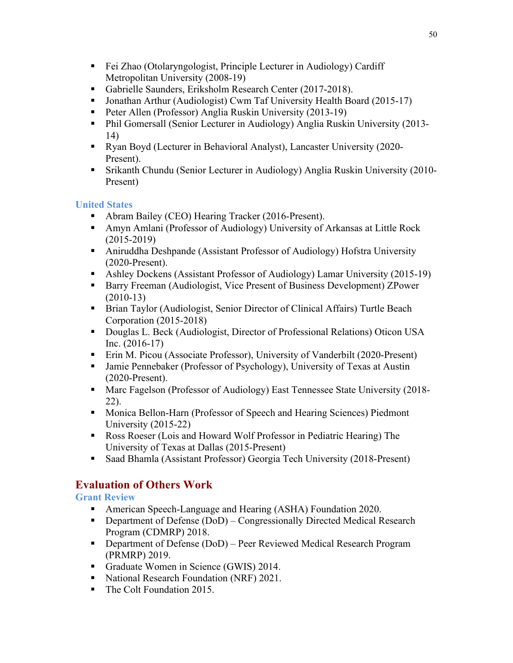- Fei Zhao (Otolaryngologist, Principle Lecturer in Audiology) Cardiff Metropolitan University (2008-19)
- Gabrielle Saunders, Eriksholm Research Center (2017-2018).
- Jonathan Arthur (Audiologist) Cwm Taf University Health Board (2015-17)
- Peter Allen (Professor) Anglia Ruskin University (2013-19)
- Phil Gomersall (Senior Lecturer in Audiology) Anglia Ruskin University (2013-14)
- Ryan Boyd (Lecturer in Behavioral Analyst), Lancaster University (2020-Present).
- Srikanth Chundu (Senior Lecturer in Audiology) Anglia Ruskin University (2010-Present)

### **United States**

- Abram Bailey (CEO) Hearing Tracker (2016-Present).
- Amyn Amlani (Professor of Audiology) University of Arkansas at Little Rock (2015-2019)
- Aniruddha Deshpande (Assistant Professor of Audiology) Hofstra University (2020-Present).
- Ashley Dockens (Assistant Professor of Audiology) Lamar University (2015-19)
- Barry Freeman (Audiologist, Vice Present of Business Development) ZPower (2010-13)
- Brian Taylor (Audiologist, Senior Director of Clinical Affairs) Turtle Beach Corporation (2015-2018)
- Douglas L. Beck (Audiologist, Director of Professional Relations) Oticon USA Inc. (2016-17)
- Erin M. Picou (Associate Professor), University of Vanderbilt (2020-Present)
- Jamie Pennebaker (Professor of Psychology), University of Texas at Austin (2020-Present).
- Marc Fagelson (Professor of Audiology) East Tennessee State University (2018-22).
- Monica Bellon-Harn (Professor of Speech and Hearing Sciences) Piedmont University (2015-22)
- Ross Roeser (Lois and Howard Wolf Professor in Pediatric Hearing) The University of Texas at Dallas (2015-Present)
- Saad Bhamla (Assistant Professor) Georgia Tech University (2018-Present)

## **Evaluation of Others Work**

**Grant Review**

- American Speech-Language and Hearing (ASHA) Foundation 2020.
- Department of Defense (DoD) Congressionally Directed Medical Research Program (CDMRP) 2018.
- Department of Defense (DoD) Peer Reviewed Medical Research Program (PRMRP) 2019.
- Graduate Women in Science (GWIS) 2014.
- National Research Foundation (NRF) 2021.
- The Colt Foundation 2015.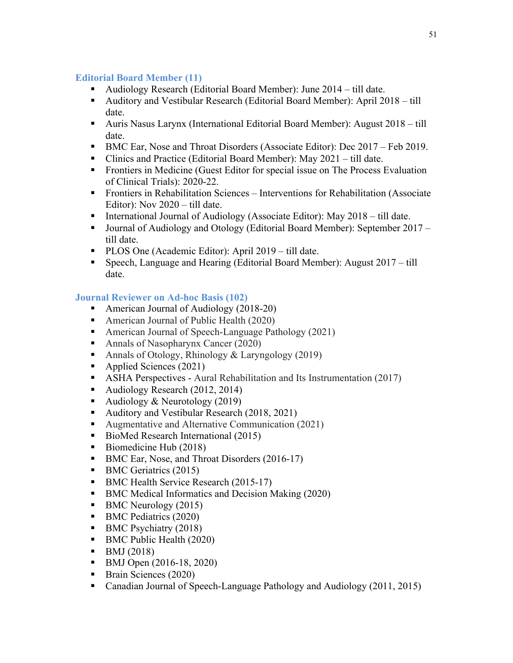### **Editorial Board Member (11)**

- Audiology Research (Editorial Board Member): June 2014 till date.
- § Auditory and Vestibular Research (Editorial Board Member): April 2018 till date.
- Auris Nasus Larynx (International Editorial Board Member): August 2018 till date.
- BMC Ear, Nose and Throat Disorders (Associate Editor): Dec 2017 Feb 2019.
- Clinics and Practice (Editorial Board Member): May 2021 till date.
- Frontiers in Medicine (Guest Editor for special issue on The Process Evaluation of Clinical Trials): 2020-22.
- Frontiers in Rehabilitation Sciences Interventions for Rehabilitation (Associate Editor): Nov 2020 – till date.
- International Journal of Audiology (Associate Editor): May 2018 till date.
- Journal of Audiology and Otology (Editorial Board Member): September 2017 till date.
- PLOS One (Academic Editor): April 2019 till date.
- Speech, Language and Hearing (Editorial Board Member): August 2017 till date.

## **Journal Reviewer on Ad-hoc Basis (102)**

- American Journal of Audiology (2018-20)
- American Journal of Public Health (2020)
- American Journal of Speech-Language Pathology (2021)
- Annals of Nasopharynx Cancer (2020)
- Annals of Otology, Rhinology & Laryngology (2019)
- Applied Sciences (2021)
- ASHA Perspectives Aural Rehabilitation and Its Instrumentation (2017)
- Audiology Research (2012, 2014)
- Audiology & Neurotology (2019)
- Auditory and Vestibular Research (2018, 2021)
- Augmentative and Alternative Communication (2021)
- BioMed Research International (2015)
- Biomedicine Hub (2018)
- BMC Ear, Nose, and Throat Disorders (2016-17)
- BMC Geriatrics (2015)
- BMC Health Service Research (2015-17)
- BMC Medical Informatics and Decision Making (2020)
- BMC Neurology (2015)
- BMC Pediatrics (2020)
- BMC Psychiatry (2018)
- BMC Public Health (2020)
- $\blacksquare$  BMJ (2018)
- BMJ Open (2016-18, 2020)
- Brain Sciences (2020)
- Canadian Journal of Speech-Language Pathology and Audiology (2011, 2015)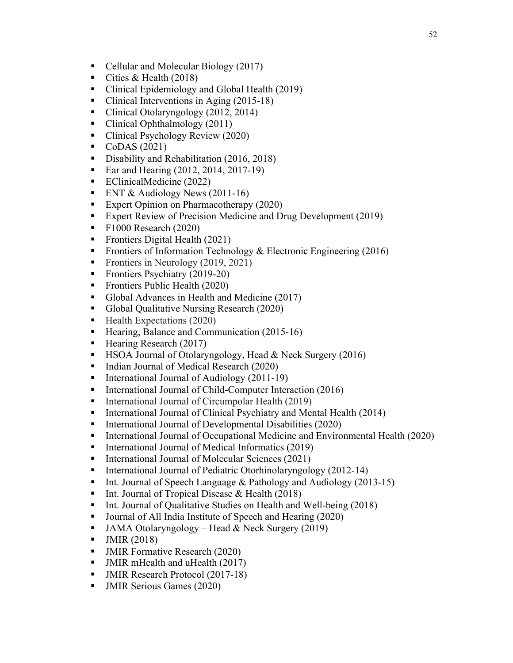- Cellular and Molecular Biology (2017)
- Cities & Health (2018)
- Clinical Epidemiology and Global Health (2019)
- Clinical Interventions in Aging (2015-18)
- Clinical Otolaryngology (2012, 2014)
- Clinical Ophthalmology (2011)
- Clinical Psychology Review (2020)
- $\bullet$  CoDAS (2021)
- Disability and Rehabilitation (2016, 2018)
- Ear and Hearing (2012, 2014, 2017-19)
- EClinicalMedicine (2022)
- ENT & Audiology News (2011-16)
- Expert Opinion on Pharmacotherapy (2020)
- Expert Review of Precision Medicine and Drug Development (2019)
- $\blacksquare$  F1000 Research (2020)
- Frontiers Digital Health (2021)
- Frontiers of Information Technology & Electronic Engineering (2016)
- Frontiers in Neurology (2019, 2021)
- Frontiers Psychiatry (2019-20)
- Frontiers Public Health (2020)
- Global Advances in Health and Medicine (2017)
- Global Qualitative Nursing Research (2020)
- Health Expectations (2020)
- Hearing, Balance and Communication (2015-16)
- Hearing Research (2017)
- HSOA Journal of Otolaryngology, Head & Neck Surgery (2016)
- Indian Journal of Medical Research (2020)
- International Journal of Audiology (2011-19)
- International Journal of Child-Computer Interaction (2016)
- International Journal of Circumpolar Health (2019)
- International Journal of Clinical Psychiatry and Mental Health (2014)
- International Journal of Developmental Disabilities (2020)
- International Journal of Occupational Medicine and Environmental Health (2020)
- International Journal of Medical Informatics (2019)
- International Journal of Molecular Sciences (2021)
- International Journal of Pediatric Otorhinolaryngology (2012-14)
- Int. Journal of Speech Language & Pathology and Audiology (2013-15)
- Int. Journal of Tropical Disease & Health (2018)
- Int. Journal of Qualitative Studies on Health and Well-being (2018)
- Journal of All India Institute of Speech and Hearing (2020)
- JAMA Otolaryngology Head & Neck Surgery (2019)
- JMIR (2018)
- JMIR Formative Research (2020)
- § JMIR mHealth and uHealth (2017)
- § JMIR Research Protocol (2017-18)
- JMIR Serious Games (2020)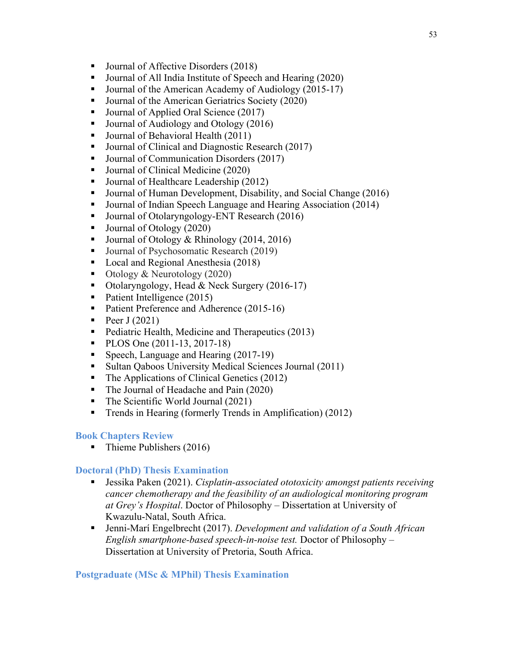- Journal of Affective Disorders (2018)
- Journal of All India Institute of Speech and Hearing (2020)
- Journal of the American Academy of Audiology (2015-17)
- Journal of the American Geriatrics Society (2020)
- Journal of Applied Oral Science (2017)
- Journal of Audiology and Otology (2016)
- Journal of Behavioral Health (2011)
- Journal of Clinical and Diagnostic Research (2017)
- Journal of Communication Disorders (2017)
- Journal of Clinical Medicine (2020)
- Journal of Healthcare Leadership (2012)
- Journal of Human Development, Disability, and Social Change (2016)
- Journal of Indian Speech Language and Hearing Association (2014)
- Journal of Otolaryngology-ENT Research (2016)
- Journal of Otology (2020)
- Journal of Otology & Rhinology (2014, 2016)
- Journal of Psychosomatic Research (2019)
- Local and Regional Anesthesia (2018)
- Otology & Neurotology (2020)
- Otolaryngology, Head & Neck Surgery (2016-17)
- Patient Intelligence (2015)
- Patient Preference and Adherence (2015-16)
- Peer  $J(2021)$
- Pediatric Health, Medicine and Therapeutics (2013)
- PLOS One (2011-13, 2017-18)
- Speech, Language and Hearing (2017-19)
- Sultan Qaboos University Medical Sciences Journal (2011)
- The Applications of Clinical Genetics (2012)
- The Journal of Headache and Pain (2020)
- The Scientific World Journal (2021)
- Trends in Hearing (formerly Trends in Amplification) (2012)

#### **Book Chapters Review**

■ Thieme Publishers (2016)

#### **Doctoral (PhD) Thesis Examination**

- Jessika Paken (2021). *Cisplatin-associated ototoxicity amongst patients receiving cancer chemotherapy and the feasibility of an audiological monitoring program at Grey's Hospital*. Doctor of Philosophy – Dissertation at University of Kwazulu-Natal, South Africa.
- Jenni-Marí Engelbrecht (2017). *Development and validation of a South African English smartphone-based speech-in-noise test.* Doctor of Philosophy – Dissertation at University of Pretoria, South Africa.

#### **Postgraduate (MSc & MPhil) Thesis Examination**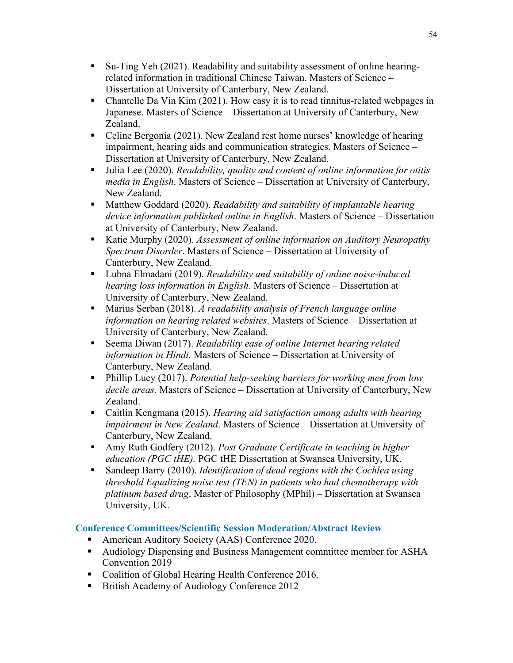- § Su-Ting Yeh (2021). Readability and suitability assessment of online hearingrelated information in traditional Chinese Taiwan. Masters of Science – Dissertation at University of Canterbury, New Zealand.
- Chantelle Da Vin Kim (2021). How easy it is to read tinnitus-related webpages in Japanese. Masters of Science – Dissertation at University of Canterbury, New Zealand.
- Celine Bergonia (2021). New Zealand rest home nurses' knowledge of hearing impairment, hearing aids and communication strategies. Masters of Science – Dissertation at University of Canterbury, New Zealand.
- § Julia Lee (2020). *Readability, quality and content of online information for otitis media in English*. Masters of Science – Dissertation at University of Canterbury, New Zealand.
- § Matthew Goddard (2020). *Readability and suitability of implantable hearing device information published online in English*. Masters of Science – Dissertation at University of Canterbury, New Zealand.
- Katie Murphy (2020). *Assessment of online information on Auditory Neuropathy Spectrum Disorder*. Masters of Science – Dissertation at University of Canterbury, New Zealand.
- Lubna Elmadani (2019). *Readability and suitability of online noise-induced hearing loss information in English*. Masters of Science – Dissertation at University of Canterbury, New Zealand.
- Marius Serban (2018). *A readability analysis of French language online information on hearing related websites*. Masters of Science – Dissertation at University of Canterbury, New Zealand.
- Seema Diwan (2017). *Readability ease of online Internet hearing related information in Hindi.* Masters of Science – Dissertation at University of Canterbury, New Zealand.
- § Phillip Luey (2017). *Potential help-seeking barriers for working men from low decile areas.* Masters of Science – Dissertation at University of Canterbury, New Zealand.
- § Caitlin Kengmana (2015). *Hearing aid satisfaction among adults with hearing impairment in New Zealand*. Masters of Science – Dissertation at University of Canterbury, New Zealand.
- Amy Ruth Godfery (2012). *Post Graduate Certificate in teaching in higher education (PGC tHE).* PGC tHE Dissertation at Swansea University, UK.
- Sandeep Barry (2010). *Identification of dead regions with the Cochlea using threshold Equalizing noise test (TEN) in patients who had chemotherapy with platinum based drug*. Master of Philosophy (MPhil) – Dissertation at Swansea University, UK.

## **Conference Committees/Scientific Session Moderation/Abstract Review**

- American Auditory Society (AAS) Conference 2020.
- § Audiology Dispensing and Business Management committee member for ASHA Convention 2019
- Coalition of Global Hearing Health Conference 2016.
- § British Academy of Audiology Conference 2012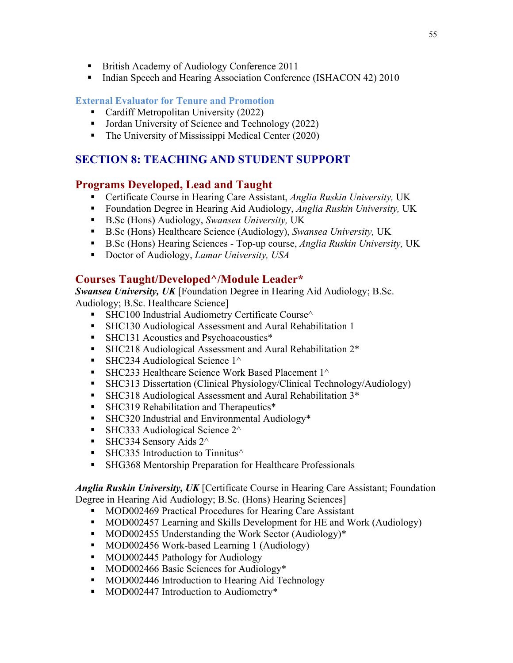- § British Academy of Audiology Conference 2011
- Indian Speech and Hearing Association Conference (ISHACON 42) 2010

#### **External Evaluator for Tenure and Promotion**

- Cardiff Metropolitan University (2022)
- Jordan University of Science and Technology (2022)
- The University of Mississippi Medical Center (2020)

## **SECTION 8: TEACHING AND STUDENT SUPPORT**

### **Programs Developed, Lead and Taught**

- Certificate Course in Hearing Care Assistant, *Anglia Ruskin University*, UK
- § Foundation Degree in Hearing Aid Audiology, *Anglia Ruskin University,* UK
- B.Sc (Hons) Audiology, *Swansea University*, UK
- B.Sc (Hons) Healthcare Science (Audiology), *Swansea University*, UK
- B.Sc (Hons) Hearing Sciences Top-up course, *Anglia Ruskin University*, UK
- Doctor of Audiology, *Lamar University*, *USA*

## **Courses Taught/Developed^/Module Leader\***

*Swansea University, UK* [Foundation Degree in Hearing Aid Audiology; B.Sc. Audiology; B.Sc. Healthcare Science]

- SHC100 Industrial Audiometry Certificate Course^
- SHC130 Audiological Assessment and Aural Rehabilitation 1
- SHC131 Acoustics and Psychoacoustics\*
- SHC218 Audiological Assessment and Aural Rehabilitation 2<sup>\*</sup>
- SHC234 Audiological Science  $1^{\wedge}$
- SHC233 Healthcare Science Work Based Placement  $1^{\wedge}$
- § SHC313 Dissertation (Clinical Physiology/Clinical Technology/Audiology)
- § SHC318 Audiological Assessment and Aural Rehabilitation 3\*
- SHC319 Rehabilitation and Therapeutics<sup>\*</sup>
- SHC320 Industrial and Environmental Audiology<sup>\*</sup>
- SHC333 Audiological Science  $2^{\wedge}$
- SHC334 Sensory Aids  $2^{\wedge}$
- $\blacksquare$  SHC335 Introduction to Tinnitus $\land$
- SHG368 Mentorship Preparation for Healthcare Professionals

#### *Anglia Ruskin University, UK* [Certificate Course in Hearing Care Assistant; Foundation Degree in Hearing Aid Audiology; B.Sc. (Hons) Hearing Sciences]

- MOD002469 Practical Procedures for Hearing Care Assistant
- MOD002457 Learning and Skills Development for HE and Work (Audiology)
- MOD002455 Understanding the Work Sector (Audiology)<sup>\*</sup>
- MOD002456 Work-based Learning 1 (Audiology)
- MOD002445 Pathology for Audiology
- MOD002466 Basic Sciences for Audiology\*
- MOD002446 Introduction to Hearing Aid Technology
- § MOD002447 Introduction to Audiometry\*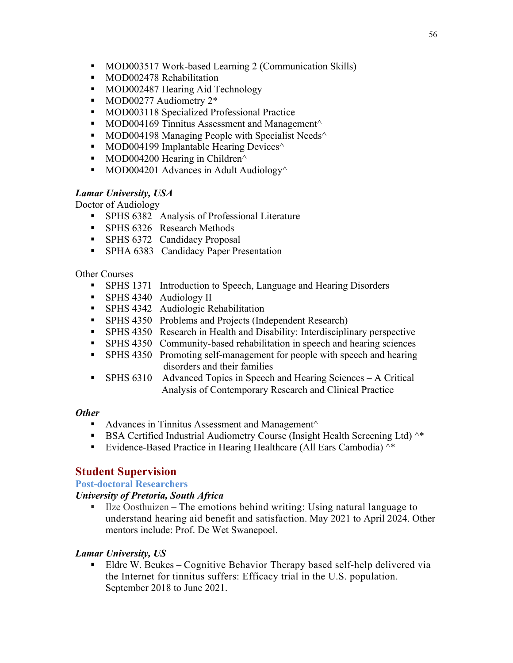- MOD003517 Work-based Learning 2 (Communication Skills)
- MOD002478 Rehabilitation
- MOD002487 Hearing Aid Technology
- MOD00277 Audiometry 2\*
- MOD003118 Specialized Professional Practice
- $\blacksquare$  MOD004169 Tinnitus Assessment and Management $\land$
- MOD004198 Managing People with Specialist Needs $\wedge$
- MOD004199 Implantable Hearing Devices $\wedge$
- MOD004200 Hearing in Children $\wedge$
- MOD004201 Advances in Adult Audiology $\wedge$

#### *Lamar University, USA*

Doctor of Audiology

- SPHS 6382 Analysis of Professional Literature
- SPHS 6326 Research Methods
- SPHS 6372 Candidacy Proposal
- SPHA 6383 Candidacy Paper Presentation

#### Other Courses

- SPHS 1371 Introduction to Speech, Language and Hearing Disorders
- SPHS 4340 Audiology II
- § SPHS 4342 Audiologic Rehabilitation
- SPHS 4350 Problems and Projects (Independent Research)
- § SPHS 4350 Research in Health and Disability: Interdisciplinary perspective
- SPHS 4350 Community-based rehabilitation in speech and hearing sciences
- SPHS 4350 Promoting self-management for people with speech and hearing disorders and their families
- § SPHS 6310 Advanced Topics in Speech and Hearing Sciences A Critical Analysis of Contemporary Research and Clinical Practice

#### *Other*

- Advances in Tinnitus Assessment and Management $\wedge$
- BSA Certified Industrial Audiometry Course (Insight Health Screening Ltd)  $^{\wedge*}$
- Evidence-Based Practice in Hearing Healthcare (All Ears Cambodia) ^\*

## **Student Supervision**

#### **Post-doctoral Researchers**

#### *University of Pretoria, South Africa*

■ Ilze Oosthuizen – The emotions behind writing: Using natural language to understand hearing aid benefit and satisfaction. May 2021 to April 2024. Other mentors include: Prof. De Wet Swanepoel.

#### *Lamar University, US*

§ Eldre W. Beukes – Cognitive Behavior Therapy based self-help delivered via the Internet for tinnitus suffers: Efficacy trial in the U.S. population. September 2018 to June 2021.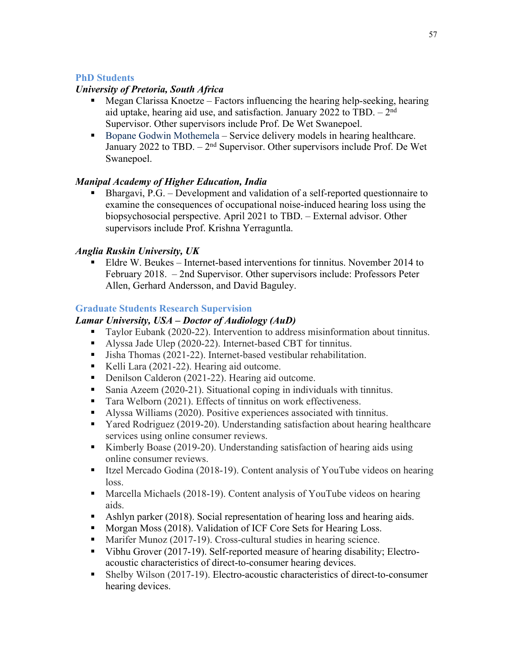### **PhD Students**

#### *University of Pretoria, South Africa*

- § Megan Clarissa Knoetze Factors influencing the hearing help-seeking, hearing aid uptake, hearing aid use, and satisfaction. January 2022 to TBD.  $-2<sup>nd</sup>$ Supervisor. Other supervisors include Prof. De Wet Swanepoel.
- Bopane Godwin Mothemela Service delivery models in hearing healthcare. January 2022 to TBD.  $-2<sup>nd</sup>$  Supervisor. Other supervisors include Prof. De Wet Swanepoel.

#### *Manipal Academy of Higher Education, India*

§ Bhargavi, P.G. – Development and validation of a self-reported questionnaire to examine the consequences of occupational noise-induced hearing loss using the biopsychosocial perspective. April 2021 to TBD. – External advisor. Other supervisors include Prof. Krishna Yerraguntla.

#### *Anglia Ruskin University, UK*

§ Eldre W. Beukes – Internet-based interventions for tinnitus. November 2014 to February 2018. – 2nd Supervisor. Other supervisors include: Professors Peter Allen, Gerhard Andersson, and David Baguley.

#### **Graduate Students Research Supervision**

#### *Lamar University, USA – Doctor of Audiology (AuD)*

- Taylor Eubank (2020-22). Intervention to address misinformation about tinnitus.
- Alyssa Jade Ulep (2020-22). Internet-based CBT for tinnitus.
- Jisha Thomas (2021-22). Internet-based vestibular rehabilitation.
- Kelli Lara (2021-22). Hearing aid outcome.
- Denilson Calderon (2021-22). Hearing aid outcome.
- Sania Azeem (2020-21). Situational coping in individuals with tinnitus.
- Tara Welborn (2021). Effects of tinnitus on work effectiveness.
- Alyssa Williams (2020). Positive experiences associated with tinnitus.
- Yared Rodriguez (2019-20). Understanding satisfaction about hearing healthcare services using online consumer reviews.
- § Kimberly Boase (2019-20). Understanding satisfaction of hearing aids using online consumer reviews.
- Itzel Mercado Godina (2018-19). Content analysis of YouTube videos on hearing loss.
- Marcella Michaels (2018-19). Content analysis of YouTube videos on hearing aids.
- Ashlyn parker (2018). Social representation of hearing loss and hearing aids.
- Morgan Moss (2018). Validation of ICF Core Sets for Hearing Loss.
- Marifer Munoz (2017-19). Cross-cultural studies in hearing science.
- Vibhu Grover (2017-19). Self-reported measure of hearing disability; Electroacoustic characteristics of direct-to-consumer hearing devices.
- Shelby Wilson (2017-19). Electro-acoustic characteristics of direct-to-consumer hearing devices.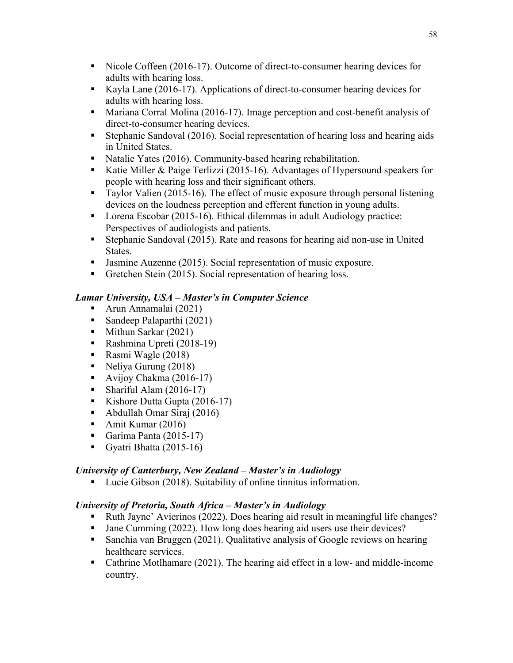- Nicole Coffeen (2016-17). Outcome of direct-to-consumer hearing devices for adults with hearing loss.
- Kayla Lane (2016-17). Applications of direct-to-consumer hearing devices for adults with hearing loss.
- Mariana Corral Molina (2016-17). Image perception and cost-benefit analysis of direct-to-consumer hearing devices.
- Stephanie Sandoval (2016). Social representation of hearing loss and hearing aids in United States.
- Natalie Yates (2016). Community-based hearing rehabilitation.
- Katie Miller & Paige Terlizzi (2015-16). Advantages of Hypersound speakers for people with hearing loss and their significant others.
- Taylor Valien (2015-16). The effect of music exposure through personal listening devices on the loudness perception and efferent function in young adults.
- Lorena Escobar (2015-16). Ethical dilemmas in adult Audiology practice: Perspectives of audiologists and patients.
- Stephanie Sandoval (2015). Rate and reasons for hearing aid non-use in United States.
- Jasmine Auzenne (2015). Social representation of music exposure.
- Gretchen Stein (2015). Social representation of hearing loss.

### *Lamar University, USA – Master's in Computer Science*

- Arun Annamalai (2021)
- Sandeep Palaparthi (2021)
- Mithun Sarkar (2021)
- Rashmina Upreti (2018-19)
- Rasmi Wagle (2018)
- Neliya Gurung (2018)
- Avijoy Chakma (2016-17)
- Shariful Alam  $(2016-17)$
- Kishore Dutta Gupta (2016-17)
- Abdullah Omar Siraj (2016)
- Amit Kumar (2016)
- Garima Panta (2015-17)
- Gyatri Bhatta (2015-16)

### *University of Canterbury, New Zealand – Master's in Audiology*

■ Lucie Gibson (2018). Suitability of online tinnitus information.

### *University of Pretoria, South Africa – Master's in Audiology*

- Ruth Jayne' Avierinos (2022). Does hearing aid result in meaningful life changes?
- Jane Cumming (2022). How long does hearing aid users use their devices?
- Sanchia van Bruggen (2021). Qualitative analysis of Google reviews on hearing healthcare services.
- Cathrine Motlhamare (2021). The hearing aid effect in a low- and middle-income country.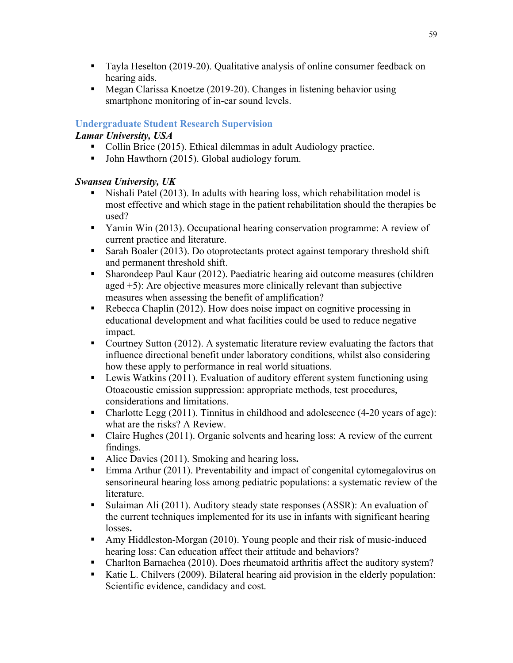- Tayla Heselton (2019-20). Qualitative analysis of online consumer feedback on hearing aids.
- Megan Clarissa Knoetze (2019-20). Changes in listening behavior using smartphone monitoring of in-ear sound levels.

## **Undergraduate Student Research Supervision**

*Lamar University, USA*

- Collin Brice (2015). Ethical dilemmas in adult Audiology practice.
- John Hawthorn (2015). Global audiology forum.

## *Swansea University, UK*

- § Nishali Patel (2013). In adults with hearing loss, which rehabilitation model is most effective and which stage in the patient rehabilitation should the therapies be used?
- § Yamin Win (2013). Occupational hearing conservation programme: A review of current practice and literature.
- Sarah Boaler (2013). Do otoprotectants protect against temporary threshold shift and permanent threshold shift.
- § Sharondeep Paul Kaur (2012). Paediatric hearing aid outcome measures (children aged +5): Are objective measures more clinically relevant than subjective measures when assessing the benefit of amplification?
- Rebecca Chaplin (2012). How does noise impact on cognitive processing in educational development and what facilities could be used to reduce negative impact.
- Courtney Sutton (2012). A systematic literature review evaluating the factors that influence directional benefit under laboratory conditions, whilst also considering how these apply to performance in real world situations.
- Lewis Watkins (2011). Evaluation of auditory efferent system functioning using Otoacoustic emission suppression: appropriate methods, test procedures, considerations and limitations.
- Charlotte Legg (2011). Tinnitus in childhood and adolescence (4-20 years of age): what are the risks? A Review.
- Claire Hughes (2011). Organic solvents and hearing loss: A review of the current findings.
- Alice Davies (2011). Smoking and hearing loss.
- Emma Arthur (2011). Preventability and impact of congenital cytomegalovirus on sensorineural hearing loss among pediatric populations: a systematic review of the literature.
- § Sulaiman Ali (2011). Auditory steady state responses (ASSR): An evaluation of the current techniques implemented for its use in infants with significant hearing losses**.**
- § Amy Hiddleston-Morgan (2010). Young people and their risk of music-induced hearing loss: Can education affect their attitude and behaviors?
- Charlton Barnachea (2010). Does rheumatoid arthritis affect the auditory system?
- Katie L. Chilvers (2009). Bilateral hearing aid provision in the elderly population: Scientific evidence, candidacy and cost.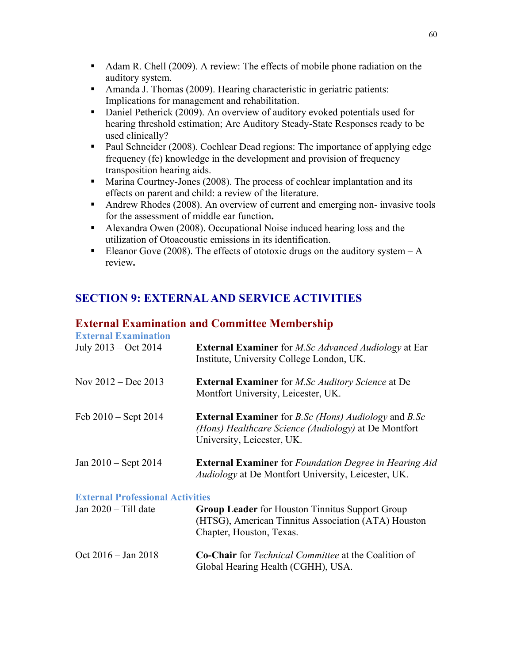- Adam R. Chell (2009). A review: The effects of mobile phone radiation on the auditory system.
- Amanda J. Thomas (2009). Hearing characteristic in geriatric patients: Implications for management and rehabilitation.
- Daniel Petherick (2009). An overview of auditory evoked potentials used for hearing threshold estimation; Are Auditory Steady-State Responses ready to be used clinically?
- Paul Schneider (2008). Cochlear Dead regions: The importance of applying edge frequency (fe) knowledge in the development and provision of frequency transposition hearing aids.
- Marina Courtney-Jones (2008). The process of cochlear implantation and its effects on parent and child: a review of the literature.
- Andrew Rhodes (2008). An overview of current and emerging non- invasive tools for the assessment of middle ear function**.**
- Alexandra Owen (2008). Occupational Noise induced hearing loss and the utilization of Otoacoustic emissions in its identification.
- Eleanor Gove (2008). The effects of ototoxic drugs on the auditory system  $-A$ review**.**

## **SECTION 9: EXTERNAL AND SERVICE ACTIVITIES**

## **External Examination and Committee Membership**

| <b>External Examination</b>             |                                                                                                                                                                 |
|-----------------------------------------|-----------------------------------------------------------------------------------------------------------------------------------------------------------------|
| July $2013 - Oct 2014$                  | <b>External Examiner</b> for <i>M.Sc Advanced Audiology</i> at Ear<br>Institute, University College London, UK.                                                 |
| Nov $2012 - Dec 2013$                   | <b>External Examiner</b> for <i>M.Sc Auditory Science</i> at De<br>Montfort University, Leicester, UK.                                                          |
| Feb $2010 -$ Sept $2014$                | <b>External Examiner</b> for <i>B.Sc (Hons) Audiology</i> and <i>B.Sc</i><br>(Hons) Healthcare Science (Audiology) at De Montfort<br>University, Leicester, UK. |
| Jan $2010 -$ Sept $2014$                | <b>External Examiner</b> for <i>Foundation Degree in Hearing Aid</i><br>Audiology at De Montfort University, Leicester, UK.                                     |
| <b>External Professional Activities</b> |                                                                                                                                                                 |
| Jan $2020 - Till$ date                  | <b>Group Leader</b> for Houston Tinnitus Support Group<br>(HTSG), American Tinnitus Association (ATA) Houston<br>Chapter, Houston, Texas.                       |
| Oct $2016 - Jan 2018$                   | <b>Co-Chair</b> for <i>Technical Committee</i> at the Coalition of<br>Global Hearing Health (CGHH), USA.                                                        |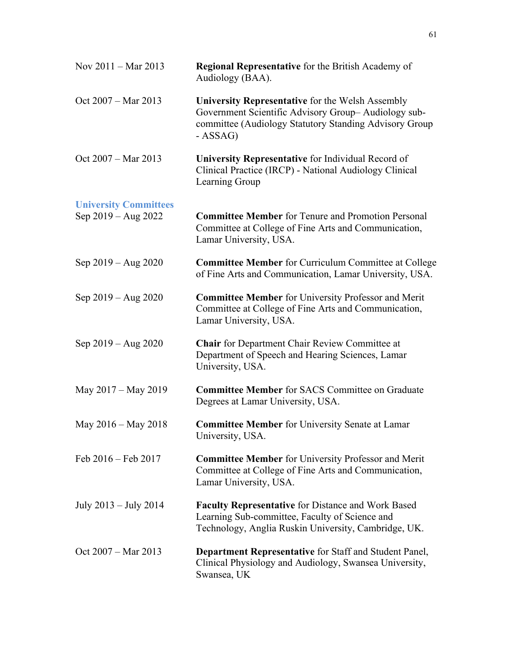| Nov $2011 - \text{Mar } 2013$ | <b>Regional Representative</b> for the British Academy of<br>Audiology (BAA).                                                                                                 |
|-------------------------------|-------------------------------------------------------------------------------------------------------------------------------------------------------------------------------|
| Oct 2007 - Mar 2013           | University Representative for the Welsh Assembly<br>Government Scientific Advisory Group-Audiology sub-<br>committee (Audiology Statutory Standing Advisory Group<br>- ASSAG) |
| Oct $2007 - \text{Mar } 2013$ | University Representative for Individual Record of<br>Clinical Practice (IRCP) - National Audiology Clinical<br>Learning Group                                                |
| <b>University Committees</b>  |                                                                                                                                                                               |
| Sep 2019 – Aug 2022           | <b>Committee Member</b> for Tenure and Promotion Personal<br>Committee at College of Fine Arts and Communication,<br>Lamar University, USA.                                   |
| Sep $2019 - Aug 2020$         | <b>Committee Member for Curriculum Committee at College</b><br>of Fine Arts and Communication, Lamar University, USA.                                                         |
| Sep $2019 - Aug 2020$         | <b>Committee Member for University Professor and Merit</b><br>Committee at College of Fine Arts and Communication,<br>Lamar University, USA.                                  |
| Sep $2019 - Aug 2020$         | <b>Chair</b> for Department Chair Review Committee at<br>Department of Speech and Hearing Sciences, Lamar<br>University, USA.                                                 |
| May 2017 – May 2019           | <b>Committee Member for SACS Committee on Graduate</b><br>Degrees at Lamar University, USA.                                                                                   |
| May 2016 – May 2018           | <b>Committee Member</b> for University Senate at Lamar<br>University, USA.                                                                                                    |
| Feb 2016 - Feb 2017           | <b>Committee Member</b> for University Professor and Merit<br>Committee at College of Fine Arts and Communication,<br>Lamar University, USA.                                  |
| July $2013 -$ July $2014$     | <b>Faculty Representative for Distance and Work Based</b><br>Learning Sub-committee, Faculty of Science and<br>Technology, Anglia Ruskin University, Cambridge, UK.           |
| Oct $2007 - \text{Mar } 2013$ | <b>Department Representative</b> for Staff and Student Panel,<br>Clinical Physiology and Audiology, Swansea University,<br>Swansea, UK                                        |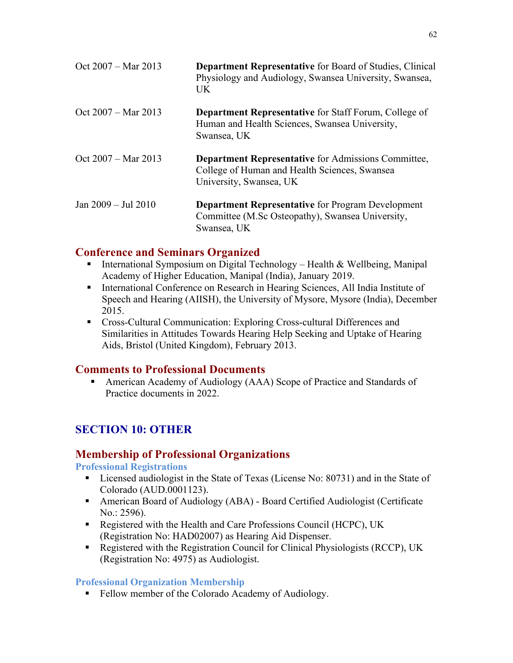| Oct 2007 – Mar 2013 | <b>Department Representative for Board of Studies, Clinical</b><br>Physiology and Audiology, Swansea University, Swansea,<br><b>UK</b> |
|---------------------|----------------------------------------------------------------------------------------------------------------------------------------|
| Oct 2007 – Mar 2013 | <b>Department Representative</b> for Staff Forum, College of<br>Human and Health Sciences, Swansea University,<br>Swansea, UK          |
| Oct 2007 – Mar 2013 | <b>Department Representative</b> for Admissions Committee,<br>College of Human and Health Sciences, Swansea<br>University, Swansea, UK |
| Jan 2009 – Jul 2010 | <b>Department Representative for Program Development</b><br>Committee (M.Sc Osteopathy), Swansea University,<br>Swansea, UK            |

## **Conference and Seminars Organized**

- § International Symposium on Digital Technology Health & Wellbeing, Manipal Academy of Higher Education, Manipal (India), January 2019.
- International Conference on Research in Hearing Sciences, All India Institute of Speech and Hearing (AIISH), the University of Mysore, Mysore (India), December 2015.
- Cross-Cultural Communication: Exploring Cross-cultural Differences and Similarities in Attitudes Towards Hearing Help Seeking and Uptake of Hearing Aids, Bristol (United Kingdom), February 2013.

## **Comments to Professional Documents**

■ American Academy of Audiology (AAA) Scope of Practice and Standards of Practice documents in 2022.

## **SECTION 10: OTHER**

## **Membership of Professional Organizations**

**Professional Registrations**

- Licensed audiologist in the State of Texas (License No: 80731) and in the State of Colorado (AUD.0001123).
- American Board of Audiology (ABA) Board Certified Audiologist (Certificate No.: 2596).
- Registered with the Health and Care Professions Council (HCPC), UK (Registration No: HAD02007) as Hearing Aid Dispenser.
- Registered with the Registration Council for Clinical Physiologists (RCCP), UK (Registration No: 4975) as Audiologist.

## **Professional Organization Membership**

■ Fellow member of the Colorado Academy of Audiology.